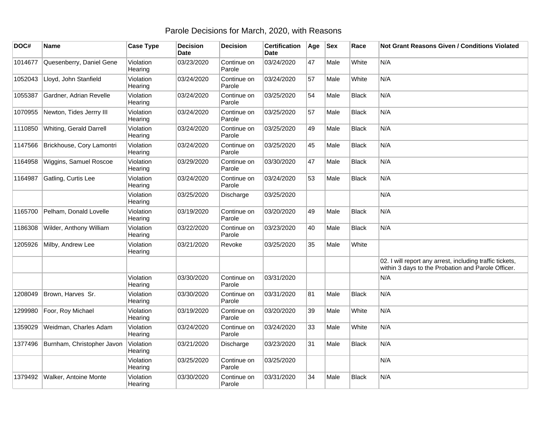## Parole Decisions for March, 2020, with Reasons

| DOC#    | <b>Name</b>                | <b>Case Type</b>     | <b>Decision</b><br><b>Date</b> | <b>Decision</b>       | <b>Certification</b><br><b>Date</b> | Age | <b>Sex</b> | Race         | <b>Not Grant Reasons Given / Conditions Violated</b>                                                           |
|---------|----------------------------|----------------------|--------------------------------|-----------------------|-------------------------------------|-----|------------|--------------|----------------------------------------------------------------------------------------------------------------|
| 1014677 | Quesenberry, Daniel Gene   | Violation<br>Hearing | 03/23/2020                     | Continue on<br>Parole | 03/24/2020                          | 47  | Male       | White        | N/A                                                                                                            |
| 1052043 | Lloyd, John Stanfield      | Violation<br>Hearing | 03/24/2020                     | Continue on<br>Parole | 03/24/2020                          | 57  | Male       | White        | N/A                                                                                                            |
| 1055387 | Gardner, Adrian Revelle    | Violation<br>Hearing | 03/24/2020                     | Continue on<br>Parole | 03/25/2020                          | 54  | Male       | <b>Black</b> | N/A                                                                                                            |
| 1070955 | Newton, Tides Jerrry III   | Violation<br>Hearing | 03/24/2020                     | Continue on<br>Parole | 03/25/2020                          | 57  | Male       | <b>Black</b> | N/A                                                                                                            |
| 1110850 | Whiting, Gerald Darrell    | Violation<br>Hearing | 03/24/2020                     | Continue on<br>Parole | 03/25/2020                          | 49  | Male       | <b>Black</b> | N/A                                                                                                            |
| 1147566 | Brickhouse, Cory Lamontri  | Violation<br>Hearing | 03/24/2020                     | Continue on<br>Parole | 03/25/2020                          | 45  | Male       | Black        | N/A                                                                                                            |
| 1164958 | Wiggins, Samuel Roscoe     | Violation<br>Hearing | 03/29/2020                     | Continue on<br>Parole | 03/30/2020                          | 47  | Male       | Black        | N/A                                                                                                            |
| 1164987 | Gatling, Curtis Lee        | Violation<br>Hearing | 03/24/2020                     | Continue on<br>Parole | 03/24/2020                          | 53  | Male       | <b>Black</b> | N/A                                                                                                            |
|         |                            | Violation<br>Hearing | 03/25/2020                     | Discharge             | 03/25/2020                          |     |            |              | N/A                                                                                                            |
| 1165700 | Pelham, Donald Lovelle     | Violation<br>Hearing | 03/19/2020                     | Continue on<br>Parole | 03/20/2020                          | 49  | Male       | <b>Black</b> | N/A                                                                                                            |
| 1186308 | Wilder, Anthony William    | Violation<br>Hearing | 03/22/2020                     | Continue on<br>Parole | 03/23/2020                          | 40  | Male       | <b>Black</b> | N/A                                                                                                            |
| 1205926 | Milby, Andrew Lee          | Violation<br>Hearing | 03/21/2020                     | Revoke                | 03/25/2020                          | 35  | Male       | White        |                                                                                                                |
|         |                            |                      |                                |                       |                                     |     |            |              | 02. I will report any arrest, including traffic tickets,<br>within 3 days to the Probation and Parole Officer. |
|         |                            | Violation<br>Hearing | 03/30/2020                     | Continue on<br>Parole | 03/31/2020                          |     |            |              | N/A                                                                                                            |
| 1208049 | Brown, Harves Sr.          | Violation<br>Hearing | 03/30/2020                     | Continue on<br>Parole | 03/31/2020                          | 81  | Male       | <b>Black</b> | N/A                                                                                                            |
| 1299980 | Foor, Roy Michael          | Violation<br>Hearing | 03/19/2020                     | Continue on<br>Parole | 03/20/2020                          | 39  | Male       | White        | N/A                                                                                                            |
| 1359029 | Weidman, Charles Adam      | Violation<br>Hearing | 03/24/2020                     | Continue on<br>Parole | 03/24/2020                          | 33  | Male       | White        | N/A                                                                                                            |
| 1377496 | Burnham, Christopher Javon | Violation<br>Hearing | 03/21/2020                     | Discharge             | 03/23/2020                          | 31  | Male       | <b>Black</b> | N/A                                                                                                            |
|         |                            | Violation<br>Hearing | 03/25/2020                     | Continue on<br>Parole | 03/25/2020                          |     |            |              | N/A                                                                                                            |
| 1379492 | Walker, Antoine Monte      | Violation<br>Hearing | 03/30/2020                     | Continue on<br>Parole | 03/31/2020                          | 34  | Male       | <b>Black</b> | N/A                                                                                                            |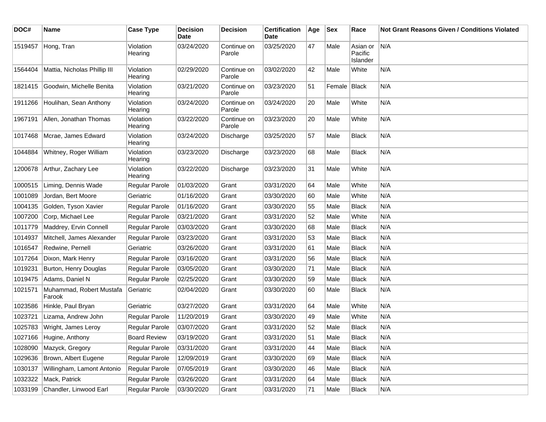| DOC#    | <b>Name</b>                        | <b>Case Type</b>     | <b>Decision</b><br><b>Date</b> | <b>Decision</b>       | <b>Certification</b><br>Date | Age | <b>Sex</b>   | Race                            | Not Grant Reasons Given / Conditions Violated |
|---------|------------------------------------|----------------------|--------------------------------|-----------------------|------------------------------|-----|--------------|---------------------------------|-----------------------------------------------|
| 1519457 | Hong, Tran                         | Violation<br>Hearing | 03/24/2020                     | Continue on<br>Parole | 03/25/2020                   | 47  | Male         | Asian or<br>Pacific<br>Islander | N/A                                           |
| 1564404 | Mattia, Nicholas Phillip III       | Violation<br>Hearing | 02/29/2020                     | Continue on<br>Parole | 03/02/2020                   | 42  | Male         | White                           | N/A                                           |
| 1821415 | Goodwin, Michelle Benita           | Violation<br>Hearing | 03/21/2020                     | Continue on<br>Parole | 03/23/2020                   | 51  | Female Black |                                 | N/A                                           |
| 1911266 | Houlihan, Sean Anthony             | Violation<br>Hearing | 03/24/2020                     | Continue on<br>Parole | 03/24/2020                   | 20  | Male         | White                           | N/A                                           |
| 1967191 | Allen, Jonathan Thomas             | Violation<br>Hearing | 03/22/2020                     | Continue on<br>Parole | 03/23/2020                   | 20  | Male         | White                           | N/A                                           |
| 1017468 | Mcrae, James Edward                | Violation<br>Hearing | 03/24/2020                     | Discharge             | 03/25/2020                   | 57  | Male         | <b>Black</b>                    | N/A                                           |
| 1044884 | Whitney, Roger William             | Violation<br>Hearing | 03/23/2020                     | Discharge             | 03/23/2020                   | 68  | Male         | <b>Black</b>                    | N/A                                           |
| 1200678 | Arthur, Zachary Lee                | Violation<br>Hearing | 03/22/2020                     | Discharge             | 03/23/2020                   | 31  | Male         | White                           | N/A                                           |
| 1000515 | Liming, Dennis Wade                | Regular Parole       | 01/03/2020                     | Grant                 | 03/31/2020                   | 64  | Male         | White                           | N/A                                           |
| 1001089 | Jordan, Bert Moore                 | Geriatric            | 01/16/2020                     | Grant                 | 03/30/2020                   | 60  | Male         | White                           | N/A                                           |
| 1004135 | Golden, Tyson Xavier               | Regular Parole       | 01/16/2020                     | Grant                 | 03/30/2020                   | 55  | Male         | <b>Black</b>                    | N/A                                           |
| 1007200 | Corp, Michael Lee                  | Regular Parole       | 03/21/2020                     | Grant                 | 03/31/2020                   | 52  | Male         | White                           | N/A                                           |
| 1011779 | Maddrey, Ervin Connell             | Regular Parole       | 03/03/2020                     | Grant                 | 03/30/2020                   | 68  | Male         | <b>Black</b>                    | N/A                                           |
| 1014937 | Mitchell, James Alexander          | Regular Parole       | 03/23/2020                     | Grant                 | 03/31/2020                   | 53  | Male         | <b>Black</b>                    | N/A                                           |
| 1016547 | Redwine, Pernell                   | Geriatric            | 03/26/2020                     | Grant                 | 03/31/2020                   | 61  | Male         | <b>Black</b>                    | N/A                                           |
| 1017264 | Dixon, Mark Henry                  | Regular Parole       | 03/16/2020                     | Grant                 | 03/31/2020                   | 56  | Male         | <b>Black</b>                    | N/A                                           |
| 1019231 | Burton, Henry Douglas              | Regular Parole       | 03/05/2020                     | Grant                 | 03/30/2020                   | 71  | Male         | <b>Black</b>                    | N/A                                           |
| 1019475 | Adams, Daniel N                    | Regular Parole       | 02/25/2020                     | Grant                 | 03/30/2020                   | 59  | Male         | <b>Black</b>                    | N/A                                           |
| 1021571 | Muhammad, Robert Mustafa<br>Farook | Geriatric            | 02/04/2020                     | Grant                 | 03/30/2020                   | 60  | Male         | Black                           | N/A                                           |
| 1023586 | Hinkle, Paul Bryan                 | Geriatric            | 03/27/2020                     | Grant                 | 03/31/2020                   | 64  | Male         | White                           | N/A                                           |
| 1023721 | Lizama, Andrew John                | Regular Parole       | 11/20/2019                     | Grant                 | 03/30/2020                   | 49  | Male         | White                           | N/A                                           |
| 1025783 | Wright, James Leroy                | Regular Parole       | 03/07/2020                     | Grant                 | 03/31/2020                   | 52  | Male         | <b>Black</b>                    | N/A                                           |
|         | 1027166 Hugine, Anthony            | <b>Board Review</b>  | 03/19/2020                     | Grant                 | 03/31/2020                   | 51  | Male         | <b>Black</b>                    | N/A                                           |
| 1028090 | Mazyck, Gregory                    | Regular Parole       | 03/31/2020                     | Grant                 | 03/31/2020                   | 44  | Male         | <b>Black</b>                    | N/A                                           |
| 1029636 | Brown, Albert Eugene               | Regular Parole       | 12/09/2019                     | Grant                 | 03/30/2020                   | 69  | Male         | <b>Black</b>                    | N/A                                           |
| 1030137 | Willingham, Lamont Antonio         | Regular Parole       | 07/05/2019                     | Grant                 | 03/30/2020                   | 46  | Male         | <b>Black</b>                    | N/A                                           |
| 1032322 | Mack, Patrick                      | Regular Parole       | 03/26/2020                     | Grant                 | 03/31/2020                   | 64  | Male         | <b>Black</b>                    | N/A                                           |
| 1033199 | Chandler, Linwood Earl             | Regular Parole       | 03/30/2020                     | Grant                 | 03/31/2020                   | 71  | Male         | <b>Black</b>                    | N/A                                           |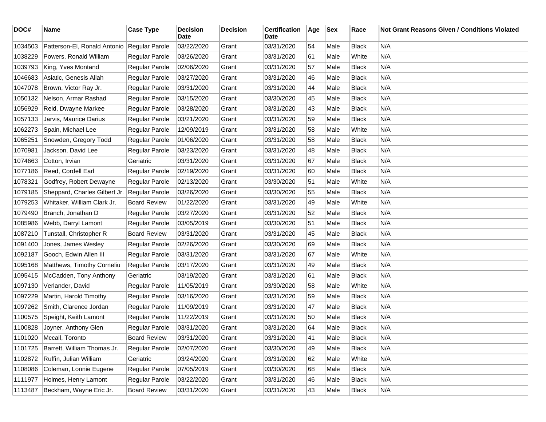| DOC#    | <b>Name</b>                    | <b>Case Type</b>      | <b>Decision</b><br>Date | <b>Decision</b> | <b>Certification</b><br>Date | Age | <b>Sex</b> | Race         | Not Grant Reasons Given / Conditions Violated |
|---------|--------------------------------|-----------------------|-------------------------|-----------------|------------------------------|-----|------------|--------------|-----------------------------------------------|
| 1034503 | Patterson-El, Ronald Antonio   | Regular Parole        | 03/22/2020              | Grant           | 03/31/2020                   | 54  | Male       | <b>Black</b> | N/A                                           |
| 1038229 | Powers, Ronald William         | <b>Regular Parole</b> | 03/26/2020              | Grant           | 03/31/2020                   | 61  | Male       | White        | N/A                                           |
| 1039793 | King, Yves Montand             | Regular Parole        | 02/06/2020              | Grant           | 03/31/2020                   | 57  | Male       | <b>Black</b> | N/A                                           |
| 1046683 | Asiatic, Genesis Allah         | Regular Parole        | 03/27/2020              | Grant           | 03/31/2020                   | 46  | Male       | Black        | N/A                                           |
| 1047078 | Brown, Victor Ray Jr.          | Regular Parole        | 03/31/2020              | Grant           | 03/31/2020                   | 44  | Male       | <b>Black</b> | N/A                                           |
| 1050132 | Nelson, Armar Rashad           | <b>Regular Parole</b> | 03/15/2020              | Grant           | 03/30/2020                   | 45  | Male       | <b>Black</b> | N/A                                           |
| 1056929 | Reid, Dwayne Markee            | Regular Parole        | 03/28/2020              | Grant           | 03/31/2020                   | 43  | Male       | <b>Black</b> | N/A                                           |
| 1057133 | Jarvis, Maurice Darius         | Regular Parole        | 03/21/2020              | Grant           | 03/31/2020                   | 59  | Male       | <b>Black</b> | N/A                                           |
| 1062273 | Spain, Michael Lee             | Regular Parole        | 12/09/2019              | Grant           | 03/31/2020                   | 58  | Male       | White        | N/A                                           |
| 1065251 | Snowden, Gregory Todd          | Regular Parole        | 01/06/2020              | Grant           | 03/31/2020                   | 58  | Male       | <b>Black</b> | N/A                                           |
| 1070981 | Jackson, David Lee             | Regular Parole        | 03/23/2020              | Grant           | 03/31/2020                   | 48  | Male       | <b>Black</b> | N/A                                           |
| 1074663 | Cotton, Irvian                 | Geriatric             | 03/31/2020              | Grant           | 03/31/2020                   | 67  | Male       | <b>Black</b> | N/A                                           |
| 1077186 | Reed, Cordell Earl             | Regular Parole        | 02/19/2020              | Grant           | 03/31/2020                   | 60  | Male       | <b>Black</b> | N/A                                           |
| 1078321 | Godfrey, Robert Dewayne        | Regular Parole        | 02/13/2020              | Grant           | 03/30/2020                   | 51  | Male       | White        | N/A                                           |
| 1079185 | Sheppard, Charles Gilbert Jr.  | Regular Parole        | 03/26/2020              | Grant           | 03/30/2020                   | 55  | Male       | <b>Black</b> | N/A                                           |
| 1079253 | Whitaker, William Clark Jr.    | <b>Board Review</b>   | 01/22/2020              | Grant           | 03/31/2020                   | 49  | Male       | White        | N/A                                           |
| 1079490 | Branch, Jonathan D             | Regular Parole        | 03/27/2020              | Grant           | 03/31/2020                   | 52  | Male       | <b>Black</b> | N/A                                           |
| 1085986 | Webb, Darryl Lamont            | Regular Parole        | 03/05/2019              | Grant           | 03/30/2020                   | 51  | Male       | <b>Black</b> | N/A                                           |
| 1087210 | Tunstall, Christopher R        | <b>Board Review</b>   | 03/31/2020              | Grant           | 03/31/2020                   | 45  | Male       | <b>Black</b> | N/A                                           |
| 1091400 | Jones, James Wesley            | Regular Parole        | 02/26/2020              | Grant           | 03/30/2020                   | 69  | Male       | <b>Black</b> | N/A                                           |
| 1092187 | Gooch, Edwin Allen III         | Regular Parole        | 03/31/2020              | Grant           | 03/31/2020                   | 67  | Male       | White        | N/A                                           |
| 1095168 | Matthews, Timothy Corneliu     | Regular Parole        | 03/17/2020              | Grant           | 03/31/2020                   | 49  | Male       | <b>Black</b> | N/A                                           |
| 1095415 | McCadden, Tony Anthony         | Geriatric             | 03/19/2020              | Grant           | 03/31/2020                   | 61  | Male       | <b>Black</b> | N/A                                           |
| 1097130 | Verlander, David               | Regular Parole        | 11/05/2019              | Grant           | 03/30/2020                   | 58  | Male       | White        | N/A                                           |
| 1097229 | Martin, Harold Timothy         | Regular Parole        | 03/16/2020              | Grant           | 03/31/2020                   | 59  | Male       | <b>Black</b> | N/A                                           |
| 1097262 | Smith, Clarence Jordan         | Regular Parole        | 11/09/2019              | Grant           | 03/31/2020                   | 47  | Male       | <b>Black</b> | N/A                                           |
| 1100575 | Speight, Keith Lamont          | Regular Parole        | 11/22/2019              | Grant           | 03/31/2020                   | 50  | Male       | Black        | N/A                                           |
| 1100828 | Joyner, Anthony Glen           | <b>Regular Parole</b> | 03/31/2020              | Grant           | 03/31/2020                   | 64  | Male       | Black        | N/A                                           |
|         | 1101020   Mccall, Toronto      | <b>Board Review</b>   | 03/31/2020              | Grant           | 03/31/2020                   | 41  | Male       | <b>Black</b> | N/A                                           |
| 1101725 | Barrett, William Thomas Jr.    | Regular Parole        | 02/07/2020              | Grant           | 03/30/2020                   | 49  | Male       | Black        | N/A                                           |
|         | 1102872 Ruffin, Julian William | Geriatric             | 03/24/2020              | Grant           | 03/31/2020                   | 62  | Male       | White        | N/A                                           |
| 1108086 | Coleman, Lonnie Eugene         | Regular Parole        | 07/05/2019              | Grant           | 03/30/2020                   | 68  | Male       | Black        | N/A                                           |
| 1111977 | Holmes, Henry Lamont           | Regular Parole        | 03/22/2020              | Grant           | 03/31/2020                   | 46  | Male       | <b>Black</b> | N/A                                           |
| 1113487 | Beckham, Wayne Eric Jr.        | <b>Board Review</b>   | 03/31/2020              | Grant           | 03/31/2020                   | 43  | Male       | Black        | N/A                                           |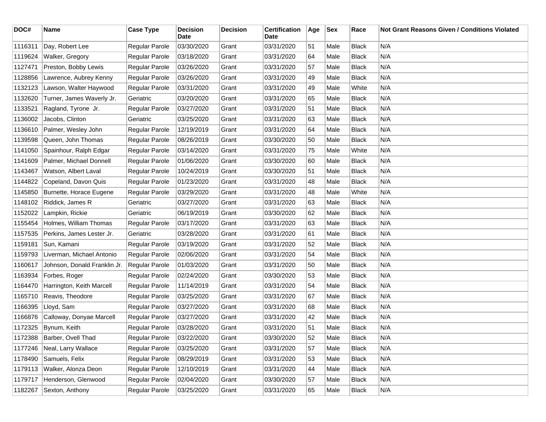| DOC#    | Name                         | <b>Case Type</b> | <b>Decision</b><br><b>Date</b> | <b>Decision</b> | <b>Certification</b><br>Date | Age | Sex  | Race         | <b>Not Grant Reasons Given / Conditions Violated</b> |
|---------|------------------------------|------------------|--------------------------------|-----------------|------------------------------|-----|------|--------------|------------------------------------------------------|
| 1116311 | Day, Robert Lee              | Regular Parole   | 03/30/2020                     | Grant           | 03/31/2020                   | 51  | Male | <b>Black</b> | N/A                                                  |
| 1119624 | Walker, Gregory              | Regular Parole   | 03/18/2020                     | Grant           | 03/31/2020                   | 64  | Male | <b>Black</b> | N/A                                                  |
| 1127471 | Preston, Bobby Lewis         | Regular Parole   | 03/26/2020                     | Grant           | 03/31/2020                   | 57  | Male | <b>Black</b> | N/A                                                  |
| 1128856 | Lawrence, Aubrey Kenny       | Regular Parole   | 03/26/2020                     | Grant           | 03/31/2020                   | 49  | Male | <b>Black</b> | N/A                                                  |
| 1132123 | Lawson, Walter Haywood       | Regular Parole   | 03/31/2020                     | Grant           | 03/31/2020                   | 49  | Male | White        | N/A                                                  |
| 1132620 | Turner, James Waverly Jr.    | Geriatric        | 03/20/2020                     | Grant           | 03/31/2020                   | 65  | Male | <b>Black</b> | N/A                                                  |
| 1133521 | Ragland, Tyrone Jr.          | Regular Parole   | 03/27/2020                     | Grant           | 03/31/2020                   | 51  | Male | <b>Black</b> | N/A                                                  |
| 1136002 | Jacobs, Clinton              | Geriatric        | 03/25/2020                     | Grant           | 03/31/2020                   | 63  | Male | <b>Black</b> | N/A                                                  |
| 1136610 | Palmer, Wesley John          | Regular Parole   | 12/19/2019                     | Grant           | 03/31/2020                   | 64  | Male | <b>Black</b> | N/A                                                  |
| 1139598 | Queen, John Thomas           | Regular Parole   | 08/26/2019                     | Grant           | 03/30/2020                   | 50  | Male | <b>Black</b> | N/A                                                  |
| 1141050 | Spainhour, Ralph Edgar       | Regular Parole   | 03/14/2020                     | Grant           | 03/31/2020                   | 75  | Male | White        | N/A                                                  |
| 1141609 | Palmer, Michael Donnell      | Regular Parole   | 01/06/2020                     | Grant           | 03/30/2020                   | 60  | Male | <b>Black</b> | N/A                                                  |
| 1143467 | Watson, Albert Laval         | Regular Parole   | 10/24/2019                     | Grant           | 03/30/2020                   | 51  | Male | Black        | N/A                                                  |
| 1144822 | Copeland, Davon Quis         | Regular Parole   | 01/23/2020                     | Grant           | 03/31/2020                   | 48  | Male | <b>Black</b> | N/A                                                  |
| 1145850 | Burnette, Horace Eugene      | Regular Parole   | 03/29/2020                     | Grant           | 03/31/2020                   | 48  | Male | White        | N/A                                                  |
| 1148102 | Riddick, James R             | Geriatric        | 03/27/2020                     | Grant           | 03/31/2020                   | 63  | Male | <b>Black</b> | N/A                                                  |
| 1152022 | Lampkin, Rickie              | Geriatric        | 06/19/2019                     | Grant           | 03/30/2020                   | 62  | Male | <b>Black</b> | N/A                                                  |
| 1155454 | Holmes, William Thomas       | Regular Parole   | 03/17/2020                     | Grant           | 03/31/2020                   | 63  | Male | <b>Black</b> | N/A                                                  |
| 1157535 | Perkins, James Lester Jr.    | Geriatric        | 03/28/2020                     | Grant           | 03/31/2020                   | 61  | Male | <b>Black</b> | N/A                                                  |
| 1159181 | Sun, Kamani                  | Regular Parole   | 03/19/2020                     | Grant           | 03/31/2020                   | 52  | Male | <b>Black</b> | N/A                                                  |
| 1159793 | Liverman, Michael Antonio    | Regular Parole   | 02/06/2020                     | Grant           | 03/31/2020                   | 54  | Male | <b>Black</b> | N/A                                                  |
| 1160617 | Johnson, Donald Franklin Jr. | Regular Parole   | 01/03/2020                     | Grant           | 03/31/2020                   | 50  | Male | <b>Black</b> | N/A                                                  |
| 1163934 | Forbes, Roger                | Regular Parole   | 02/24/2020                     | Grant           | 03/30/2020                   | 53  | Male | <b>Black</b> | N/A                                                  |
| 1164470 | Harrington, Keith Marcell    | Regular Parole   | 11/14/2019                     | Grant           | 03/31/2020                   | 54  | Male | <b>Black</b> | N/A                                                  |
| 1165710 | Reavis, Theodore             | Regular Parole   | 03/25/2020                     | Grant           | 03/31/2020                   | 67  | Male | <b>Black</b> | N/A                                                  |
| 1166395 | Lloyd, Sam                   | Regular Parole   | 03/27/2020                     | Grant           | 03/31/2020                   | 68  | Male | <b>Black</b> | N/A                                                  |
| 1166876 | Calloway, Donyae Marcell     | Regular Parole   | 03/27/2020                     | Grant           | 03/31/2020                   | 42  | Male | <b>Black</b> | N/A                                                  |
| 1172325 | Bynum, Keith                 | Regular Parole   | 03/28/2020                     | Grant           | 03/31/2020                   | 51  | Male | <b>Black</b> | N/A                                                  |
| 1172388 | Barber, Ovell Thad           | Regular Parole   | 03/22/2020                     | Grant           | 03/30/2020                   | 52  | Male | Black        | N/A                                                  |
| 1177246 | Neal, Larry Wallace          | Regular Parole   | 03/25/2020                     | Grant           | 03/31/2020                   | 57  | Male | <b>Black</b> | N/A                                                  |
| 1178490 | Samuels, Felix               | Regular Parole   | 08/29/2019                     | Grant           | 03/31/2020                   | 53  | Male | <b>Black</b> | N/A                                                  |
| 1179113 | Walker, Alonza Deon          | Regular Parole   | 12/10/2019                     | Grant           | 03/31/2020                   | 44  | Male | <b>Black</b> | N/A                                                  |
| 1179717 | Henderson, Glenwood          | Regular Parole   | 02/04/2020                     | Grant           | 03/30/2020                   | 57  | Male | <b>Black</b> | N/A                                                  |
| 1182267 | Sexton, Anthony              | Regular Parole   | 03/25/2020                     | Grant           | 03/31/2020                   | 65  | Male | Black        | N/A                                                  |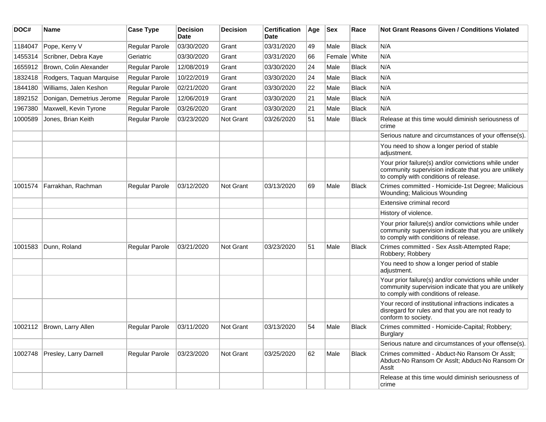| DOC#    | Name                       | <b>Case Type</b>      | <b>Decision</b><br>Date | <b>Decision</b> | <b>Certification</b><br>Date | Age | <b>Sex</b> | Race  | <b>Not Grant Reasons Given / Conditions Violated</b>                                                                                                  |
|---------|----------------------------|-----------------------|-------------------------|-----------------|------------------------------|-----|------------|-------|-------------------------------------------------------------------------------------------------------------------------------------------------------|
| 1184047 | Pope, Kerry V              | <b>Regular Parole</b> | 03/30/2020              | Grant           | 03/31/2020                   | 49  | Male       | Black | N/A                                                                                                                                                   |
| 1455314 | Scribner, Debra Kaye       | Geriatric             | 03/30/2020              | Grant           | 03/31/2020                   | 66  | Female     | White | N/A                                                                                                                                                   |
| 1655912 | Brown, Colin Alexander     | <b>Regular Parole</b> | 12/08/2019              | Grant           | 03/30/2020                   | 24  | Male       | Black | N/A                                                                                                                                                   |
| 1832418 | Rodgers, Taquan Marquise   | Regular Parole        | 10/22/2019              | Grant           | 03/30/2020                   | 24  | Male       | Black | N/A                                                                                                                                                   |
| 1844180 | Williams, Jalen Keshon     | <b>Regular Parole</b> | 02/21/2020              | Grant           | 03/30/2020                   | 22  | Male       | Black | N/A                                                                                                                                                   |
| 1892152 | Donigan, Demetrius Jerome  | Regular Parole        | 12/06/2019              | Grant           | 03/30/2020                   | 21  | Male       | Black | N/A                                                                                                                                                   |
| 1967380 | Maxwell, Kevin Tyrone      | <b>Regular Parole</b> | 03/26/2020              | Grant           | 03/30/2020                   | 21  | Male       | Black | N/A                                                                                                                                                   |
| 1000589 | Jones, Brian Keith         | Regular Parole        | 03/23/2020              | Not Grant       | 03/26/2020                   | 51  | Male       | Black | Release at this time would diminish seriousness of<br>crime                                                                                           |
|         |                            |                       |                         |                 |                              |     |            |       | Serious nature and circumstances of your offense(s).                                                                                                  |
|         |                            |                       |                         |                 |                              |     |            |       | You need to show a longer period of stable<br>adjustment.                                                                                             |
|         |                            |                       |                         |                 |                              |     |            |       | Your prior failure(s) and/or convictions while under<br>community supervision indicate that you are unlikely<br>to comply with conditions of release. |
| 1001574 | Farrakhan, Rachman         | <b>Regular Parole</b> | 03/12/2020              | Not Grant       | 03/13/2020                   | 69  | Male       | Black | Crimes committed - Homicide-1st Degree; Malicious<br>Wounding; Malicious Wounding                                                                     |
|         |                            |                       |                         |                 |                              |     |            |       | Extensive criminal record                                                                                                                             |
|         |                            |                       |                         |                 |                              |     |            |       | History of violence.                                                                                                                                  |
|         |                            |                       |                         |                 |                              |     |            |       | Your prior failure(s) and/or convictions while under<br>community supervision indicate that you are unlikely<br>to comply with conditions of release. |
| 1001583 | Dunn, Roland               | Regular Parole        | 03/21/2020              | Not Grant       | 03/23/2020                   | 51  | Male       | Black | Crimes committed - Sex Asslt-Attempted Rape;<br>Robbery; Robbery                                                                                      |
|         |                            |                       |                         |                 |                              |     |            |       | You need to show a longer period of stable<br>adjustment.                                                                                             |
|         |                            |                       |                         |                 |                              |     |            |       | Your prior failure(s) and/or convictions while under<br>community supervision indicate that you are unlikely<br>to comply with conditions of release. |
|         |                            |                       |                         |                 |                              |     |            |       | Your record of institutional infractions indicates a<br>disregard for rules and that you are not ready to<br>conform to society.                      |
|         | 1002112 Brown, Larry Allen | <b>Regular Parole</b> | 03/11/2020              | Not Grant       | 03/13/2020                   | 54  | Male       | Black | Crimes committed - Homicide-Capital; Robbery;<br>Burglary                                                                                             |
|         |                            |                       |                         |                 |                              |     |            |       | Serious nature and circumstances of your offense(s).                                                                                                  |
| 1002748 | Presley, Larry Darnell     | Regular Parole        | 03/23/2020              | Not Grant       | 03/25/2020                   | 62  | Male       | Black | Crimes committed - Abduct-No Ransom Or Asslt;<br>Abduct-No Ransom Or Asslt; Abduct-No Ransom Or<br>Assit                                              |
|         |                            |                       |                         |                 |                              |     |            |       | Release at this time would diminish seriousness of<br>crime                                                                                           |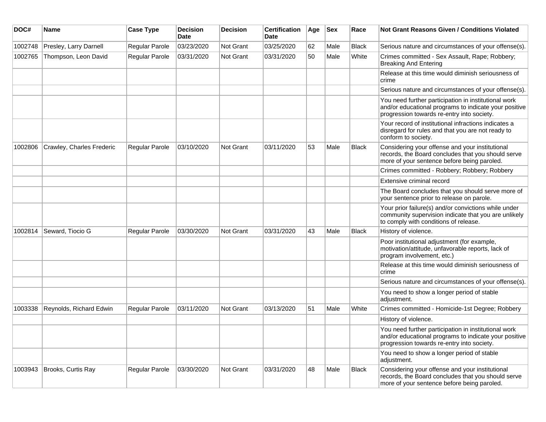| DOC#    | <b>Name</b>               | <b>Case Type</b> | <b>Decision</b><br><b>Date</b> | <b>Decision</b> | <b>Certification</b><br>Date | Age | <b>Sex</b> | Race         | <b>Not Grant Reasons Given / Conditions Violated</b>                                                                                                        |
|---------|---------------------------|------------------|--------------------------------|-----------------|------------------------------|-----|------------|--------------|-------------------------------------------------------------------------------------------------------------------------------------------------------------|
| 1002748 | Presley, Larry Darnell    | Regular Parole   | 03/23/2020                     | Not Grant       | 03/25/2020                   | 62  | Male       | <b>Black</b> | Serious nature and circumstances of your offense(s).                                                                                                        |
| 1002765 | Thompson, Leon David      | Regular Parole   | 03/31/2020                     | Not Grant       | 03/31/2020                   | 50  | Male       | White        | Crimes committed - Sex Assault, Rape; Robbery;<br><b>Breaking And Entering</b>                                                                              |
|         |                           |                  |                                |                 |                              |     |            |              | Release at this time would diminish seriousness of<br>crime                                                                                                 |
|         |                           |                  |                                |                 |                              |     |            |              | Serious nature and circumstances of your offense(s).                                                                                                        |
|         |                           |                  |                                |                 |                              |     |            |              | You need further participation in institutional work<br>and/or educational programs to indicate your positive<br>progression towards re-entry into society. |
|         |                           |                  |                                |                 |                              |     |            |              | Your record of institutional infractions indicates a<br>disregard for rules and that you are not ready to<br>conform to society.                            |
| 1002806 | Crawley, Charles Frederic | Regular Parole   | 03/10/2020                     | Not Grant       | 03/11/2020                   | 53  | Male       | Black        | Considering your offense and your institutional<br>records, the Board concludes that you should serve<br>more of your sentence before being paroled.        |
|         |                           |                  |                                |                 |                              |     |            |              | Crimes committed - Robbery; Robbery; Robbery                                                                                                                |
|         |                           |                  |                                |                 |                              |     |            |              | Extensive criminal record                                                                                                                                   |
|         |                           |                  |                                |                 |                              |     |            |              | The Board concludes that you should serve more of<br>your sentence prior to release on parole.                                                              |
|         |                           |                  |                                |                 |                              |     |            |              | Your prior failure(s) and/or convictions while under<br>community supervision indicate that you are unlikely<br>to comply with conditions of release.       |
| 1002814 | Seward, Tiocio G          | Regular Parole   | 03/30/2020                     | Not Grant       | 03/31/2020                   | 43  | Male       | <b>Black</b> | History of violence.                                                                                                                                        |
|         |                           |                  |                                |                 |                              |     |            |              | Poor institutional adjustment (for example,<br>motivation/attitude, unfavorable reports, lack of<br>program involvement, etc.)                              |
|         |                           |                  |                                |                 |                              |     |            |              | Release at this time would diminish seriousness of<br>crime                                                                                                 |
|         |                           |                  |                                |                 |                              |     |            |              | Serious nature and circumstances of your offense(s).                                                                                                        |
|         |                           |                  |                                |                 |                              |     |            |              | You need to show a longer period of stable<br>adjustment.                                                                                                   |
| 1003338 | Reynolds, Richard Edwin   | Regular Parole   | 03/11/2020                     | Not Grant       | 03/13/2020                   | 51  | Male       | White        | Crimes committed - Homicide-1st Degree; Robbery                                                                                                             |
|         |                           |                  |                                |                 |                              |     |            |              | History of violence.                                                                                                                                        |
|         |                           |                  |                                |                 |                              |     |            |              | You need further participation in institutional work<br>and/or educational programs to indicate your positive<br>progression towards re-entry into society. |
|         |                           |                  |                                |                 |                              |     |            |              | You need to show a longer period of stable<br>adjustment.                                                                                                   |
| 1003943 | Brooks, Curtis Ray        | Regular Parole   | 03/30/2020                     | Not Grant       | 03/31/2020                   | 48  | Male       | <b>Black</b> | Considering your offense and your institutional<br>records, the Board concludes that you should serve<br>more of your sentence before being paroled.        |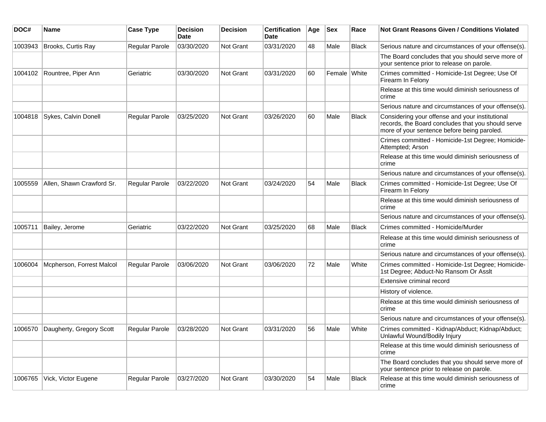| DOC#    | Name                      | <b>Case Type</b>      | <b>Decision</b><br>Date | <b>Decision</b> | <b>Certification</b><br>Date | Age | <b>Sex</b>   | Race         | <b>Not Grant Reasons Given / Conditions Violated</b>                                                                                                 |
|---------|---------------------------|-----------------------|-------------------------|-----------------|------------------------------|-----|--------------|--------------|------------------------------------------------------------------------------------------------------------------------------------------------------|
| 1003943 | Brooks, Curtis Ray        | Regular Parole        | 03/30/2020              | Not Grant       | 03/31/2020                   | 48  | Male         | <b>Black</b> | Serious nature and circumstances of your offense(s).                                                                                                 |
|         |                           |                       |                         |                 |                              |     |              |              | The Board concludes that you should serve more of<br>your sentence prior to release on parole.                                                       |
| 1004102 | Rountree, Piper Ann       | Geriatric             | 03/30/2020              | Not Grant       | 03/31/2020                   | 60  | Female White |              | Crimes committed - Homicide-1st Degree; Use Of<br>Firearm In Felony                                                                                  |
|         |                           |                       |                         |                 |                              |     |              |              | Release at this time would diminish seriousness of<br>crime                                                                                          |
|         |                           |                       |                         |                 |                              |     |              |              | Serious nature and circumstances of your offense(s).                                                                                                 |
| 1004818 | Sykes, Calvin Donell      | Regular Parole        | 03/25/2020              | Not Grant       | 03/26/2020                   | 60  | Male         | <b>Black</b> | Considering your offense and your institutional<br>records, the Board concludes that you should serve<br>more of your sentence before being paroled. |
|         |                           |                       |                         |                 |                              |     |              |              | Crimes committed - Homicide-1st Degree; Homicide-<br>Attempted; Arson                                                                                |
|         |                           |                       |                         |                 |                              |     |              |              | Release at this time would diminish seriousness of<br>crime                                                                                          |
|         |                           |                       |                         |                 |                              |     |              |              | Serious nature and circumstances of your offense(s).                                                                                                 |
| 1005559 | Allen, Shawn Crawford Sr. | <b>Regular Parole</b> | 03/22/2020              | Not Grant       | 03/24/2020                   | 54  | Male         | <b>Black</b> | Crimes committed - Homicide-1st Degree; Use Of<br>Firearm In Felony                                                                                  |
|         |                           |                       |                         |                 |                              |     |              |              | Release at this time would diminish seriousness of<br>crime                                                                                          |
|         |                           |                       |                         |                 |                              |     |              |              | Serious nature and circumstances of your offense(s).                                                                                                 |
| 1005711 | Bailey, Jerome            | Geriatric             | 03/22/2020              | Not Grant       | 03/25/2020                   | 68  | Male         | <b>Black</b> | Crimes committed - Homicide/Murder                                                                                                                   |
|         |                           |                       |                         |                 |                              |     |              |              | Release at this time would diminish seriousness of<br>crime                                                                                          |
|         |                           |                       |                         |                 |                              |     |              |              | Serious nature and circumstances of your offense(s).                                                                                                 |
| 1006004 | Mcpherson, Forrest Malcol | <b>Regular Parole</b> | 03/06/2020              | Not Grant       | 03/06/2020                   | 72  | Male         | White        | Crimes committed - Homicide-1st Degree; Homicide-<br>1st Degree; Abduct-No Ransom Or Asslt                                                           |
|         |                           |                       |                         |                 |                              |     |              |              | Extensive criminal record                                                                                                                            |
|         |                           |                       |                         |                 |                              |     |              |              | History of violence.                                                                                                                                 |
|         |                           |                       |                         |                 |                              |     |              |              | Release at this time would diminish seriousness of<br>crime                                                                                          |
|         |                           |                       |                         |                 |                              |     |              |              | Serious nature and circumstances of your offense(s).                                                                                                 |
| 1006570 | Daugherty, Gregory Scott  | <b>Regular Parole</b> | 03/28/2020              | Not Grant       | 03/31/2020                   | 56  | Male         | White        | Crimes committed - Kidnap/Abduct; Kidnap/Abduct;<br>Unlawful Wound/Bodily Injury                                                                     |
|         |                           |                       |                         |                 |                              |     |              |              | Release at this time would diminish seriousness of<br>crime                                                                                          |
|         |                           |                       |                         |                 |                              |     |              |              | The Board concludes that you should serve more of<br>your sentence prior to release on parole.                                                       |
| 1006765 | Vick, Victor Eugene       | Regular Parole        | 03/27/2020              | Not Grant       | 03/30/2020                   | 54  | Male         | Black        | Release at this time would diminish seriousness of<br>crime                                                                                          |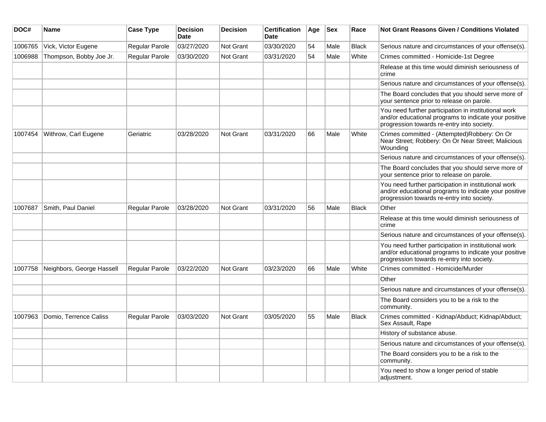| DOC#    | Name                      | <b>Case Type</b> | <b>Decision</b><br><b>Date</b> | <b>Decision</b>  | <b>Certification</b><br>Date | Age | <b>Sex</b> | Race         | Not Grant Reasons Given / Conditions Violated                                                                                                               |
|---------|---------------------------|------------------|--------------------------------|------------------|------------------------------|-----|------------|--------------|-------------------------------------------------------------------------------------------------------------------------------------------------------------|
| 1006765 | Vick, Victor Eugene       | Regular Parole   | 03/27/2020                     | Not Grant        | 03/30/2020                   | 54  | Male       | <b>Black</b> | Serious nature and circumstances of your offense(s).                                                                                                        |
| 1006988 | Thompson, Bobby Joe Jr.   | Regular Parole   | 03/30/2020                     | <b>Not Grant</b> | 03/31/2020                   | 54  | Male       | White        | Crimes committed - Homicide-1st Degree                                                                                                                      |
|         |                           |                  |                                |                  |                              |     |            |              | Release at this time would diminish seriousness of<br>crime                                                                                                 |
|         |                           |                  |                                |                  |                              |     |            |              | Serious nature and circumstances of your offense(s).                                                                                                        |
|         |                           |                  |                                |                  |                              |     |            |              | The Board concludes that you should serve more of<br>your sentence prior to release on parole.                                                              |
|         |                           |                  |                                |                  |                              |     |            |              | You need further participation in institutional work<br>and/or educational programs to indicate your positive<br>progression towards re-entry into society. |
| 1007454 | Withrow, Carl Eugene      | Geriatric        | 03/28/2020                     | Not Grant        | 03/31/2020                   | 66  | Male       | White        | Crimes committed - (Attempted)Robbery: On Or<br>Near Street; Robbery: On Or Near Street; Malicious<br>Wounding                                              |
|         |                           |                  |                                |                  |                              |     |            |              | Serious nature and circumstances of your offense(s).                                                                                                        |
|         |                           |                  |                                |                  |                              |     |            |              | The Board concludes that you should serve more of<br>your sentence prior to release on parole.                                                              |
|         |                           |                  |                                |                  |                              |     |            |              | You need further participation in institutional work<br>and/or educational programs to indicate your positive<br>progression towards re-entry into society. |
| 1007687 | Smith, Paul Daniel        | Regular Parole   | 03/28/2020                     | <b>Not Grant</b> | 03/31/2020                   | 56  | Male       | <b>Black</b> | Other                                                                                                                                                       |
|         |                           |                  |                                |                  |                              |     |            |              | Release at this time would diminish seriousness of<br>crime                                                                                                 |
|         |                           |                  |                                |                  |                              |     |            |              | Serious nature and circumstances of your offense(s).                                                                                                        |
|         |                           |                  |                                |                  |                              |     |            |              | You need further participation in institutional work<br>and/or educational programs to indicate your positive<br>progression towards re-entry into society. |
| 1007758 | Neighbors, George Hassell | Regular Parole   | 03/22/2020                     | <b>Not Grant</b> | 03/23/2020                   | 66  | Male       | White        | Crimes committed - Homicide/Murder                                                                                                                          |
|         |                           |                  |                                |                  |                              |     |            |              | Other                                                                                                                                                       |
|         |                           |                  |                                |                  |                              |     |            |              | Serious nature and circumstances of your offense(s).                                                                                                        |
|         |                           |                  |                                |                  |                              |     |            |              | The Board considers you to be a risk to the<br>community.                                                                                                   |
| 1007963 | Domio, Terrence Caliss    | Regular Parole   | 03/03/2020                     | <b>Not Grant</b> | 03/05/2020                   | 55  | Male       | <b>Black</b> | Crimes committed - Kidnap/Abduct; Kidnap/Abduct;<br>Sex Assault, Rape                                                                                       |
|         |                           |                  |                                |                  |                              |     |            |              | History of substance abuse.                                                                                                                                 |
|         |                           |                  |                                |                  |                              |     |            |              | Serious nature and circumstances of your offense(s).                                                                                                        |
|         |                           |                  |                                |                  |                              |     |            |              | The Board considers you to be a risk to the<br>community.                                                                                                   |
|         |                           |                  |                                |                  |                              |     |            |              | You need to show a longer period of stable<br>adjustment.                                                                                                   |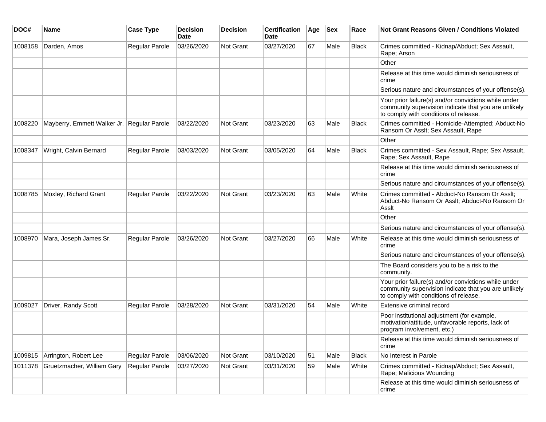| DOC#    | <b>Name</b>                                | <b>Case Type</b>      | <b>Decision</b><br><b>Date</b> | <b>Decision</b>  | <b>Certification</b><br>Date | Age | <b>Sex</b> | Race         | <b>Not Grant Reasons Given / Conditions Violated</b>                                                                                                  |
|---------|--------------------------------------------|-----------------------|--------------------------------|------------------|------------------------------|-----|------------|--------------|-------------------------------------------------------------------------------------------------------------------------------------------------------|
| 1008158 | Darden, Amos                               | Regular Parole        | 03/26/2020                     | Not Grant        | 03/27/2020                   | 67  | Male       | <b>Black</b> | Crimes committed - Kidnap/Abduct; Sex Assault,<br>Rape; Arson                                                                                         |
|         |                                            |                       |                                |                  |                              |     |            |              | Other                                                                                                                                                 |
|         |                                            |                       |                                |                  |                              |     |            |              | Release at this time would diminish seriousness of<br>crime                                                                                           |
|         |                                            |                       |                                |                  |                              |     |            |              | Serious nature and circumstances of your offense(s).                                                                                                  |
|         |                                            |                       |                                |                  |                              |     |            |              | Your prior failure(s) and/or convictions while under<br>community supervision indicate that you are unlikely<br>to comply with conditions of release. |
| 1008220 | Mayberry, Emmett Walker Jr. Regular Parole |                       | 03/22/2020                     | <b>Not Grant</b> | 03/23/2020                   | 63  | Male       | <b>Black</b> | Crimes committed - Homicide-Attempted; Abduct-No<br>Ransom Or Asslt; Sex Assault, Rape                                                                |
|         |                                            |                       |                                |                  |                              |     |            |              | Other                                                                                                                                                 |
| 1008347 | Wright, Calvin Bernard                     | Regular Parole        | 03/03/2020                     | <b>Not Grant</b> | 03/05/2020                   | 64  | Male       | <b>Black</b> | Crimes committed - Sex Assault, Rape; Sex Assault,<br>Rape; Sex Assault, Rape                                                                         |
|         |                                            |                       |                                |                  |                              |     |            |              | Release at this time would diminish seriousness of<br>crime                                                                                           |
|         |                                            |                       |                                |                  |                              |     |            |              | Serious nature and circumstances of your offense(s).                                                                                                  |
| 1008785 | Moxley, Richard Grant                      | Regular Parole        | 03/22/2020                     | Not Grant        | 03/23/2020                   | 63  | Male       | White        | Crimes committed - Abduct-No Ransom Or Asslt;<br>Abduct-No Ransom Or Asslt; Abduct-No Ransom Or<br>Assit                                              |
|         |                                            |                       |                                |                  |                              |     |            |              | Other                                                                                                                                                 |
|         |                                            |                       |                                |                  |                              |     |            |              | Serious nature and circumstances of your offense(s).                                                                                                  |
| 1008970 | Mara, Joseph James Sr.                     | Regular Parole        | 03/26/2020                     | <b>Not Grant</b> | 03/27/2020                   | 66  | Male       | White        | Release at this time would diminish seriousness of<br>crime                                                                                           |
|         |                                            |                       |                                |                  |                              |     |            |              | Serious nature and circumstances of your offense(s).                                                                                                  |
|         |                                            |                       |                                |                  |                              |     |            |              | The Board considers you to be a risk to the<br>community.                                                                                             |
|         |                                            |                       |                                |                  |                              |     |            |              | Your prior failure(s) and/or convictions while under<br>community supervision indicate that you are unlikely<br>to comply with conditions of release. |
| 1009027 | Driver, Randy Scott                        | <b>Regular Parole</b> | 03/28/2020                     | <b>Not Grant</b> | 03/31/2020                   | 54  | Male       | White        | Extensive criminal record                                                                                                                             |
|         |                                            |                       |                                |                  |                              |     |            |              | Poor institutional adjustment (for example,<br>motivation/attitude, unfavorable reports, lack of<br>program involvement, etc.)                        |
|         |                                            |                       |                                |                  |                              |     |            |              | Release at this time would diminish seriousness of<br>crime                                                                                           |
| 1009815 | Arrington, Robert Lee                      | Regular Parole        | 03/06/2020                     | <b>Not Grant</b> | 03/10/2020                   | 51  | Male       | <b>Black</b> | No Interest in Parole                                                                                                                                 |
| 1011378 | Gruetzmacher, William Gary                 | Regular Parole        | 03/27/2020                     | Not Grant        | 03/31/2020                   | 59  | Male       | White        | Crimes committed - Kidnap/Abduct; Sex Assault,<br>Rape; Malicious Wounding                                                                            |
|         |                                            |                       |                                |                  |                              |     |            |              | Release at this time would diminish seriousness of<br>crime                                                                                           |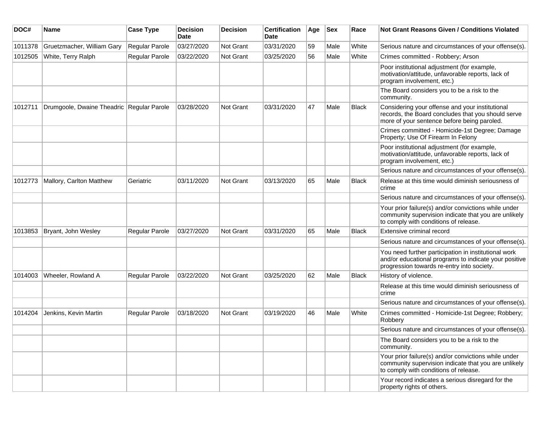| DOC#    | <b>Name</b>                               | <b>Case Type</b> | <b>Decision</b><br><b>Date</b> | <b>Decision</b> | <b>Certification</b><br><b>Date</b> | Age | <b>Sex</b> | Race         | <b>Not Grant Reasons Given / Conditions Violated</b>                                                                                                        |
|---------|-------------------------------------------|------------------|--------------------------------|-----------------|-------------------------------------|-----|------------|--------------|-------------------------------------------------------------------------------------------------------------------------------------------------------------|
| 1011378 | Gruetzmacher, William Gary                | Regular Parole   | 03/27/2020                     | Not Grant       | 03/31/2020                          | 59  | Male       | White        | Serious nature and circumstances of your offense(s).                                                                                                        |
| 1012505 | White, Terry Ralph                        | Regular Parole   | 03/22/2020                     | Not Grant       | 03/25/2020                          | 56  | Male       | White        | Crimes committed - Robbery; Arson                                                                                                                           |
|         |                                           |                  |                                |                 |                                     |     |            |              | Poor institutional adjustment (for example,<br>motivation/attitude, unfavorable reports, lack of<br>program involvement, etc.)                              |
|         |                                           |                  |                                |                 |                                     |     |            |              | The Board considers you to be a risk to the<br>community.                                                                                                   |
| 1012711 | Drumgoole, Dwaine Theadric Regular Parole |                  | 03/28/2020                     | Not Grant       | 03/31/2020                          | 47  | Male       | Black        | Considering your offense and your institutional<br>records, the Board concludes that you should serve<br>more of your sentence before being paroled.        |
|         |                                           |                  |                                |                 |                                     |     |            |              | Crimes committed - Homicide-1st Degree; Damage<br>Property; Use Of Firearm In Felony                                                                        |
|         |                                           |                  |                                |                 |                                     |     |            |              | Poor institutional adjustment (for example,<br>motivation/attitude, unfavorable reports, lack of<br>program involvement, etc.)                              |
|         |                                           |                  |                                |                 |                                     |     |            |              | Serious nature and circumstances of your offense(s).                                                                                                        |
| 1012773 | Mallory, Carlton Matthew                  | Geriatric        | 03/11/2020                     | Not Grant       | 03/13/2020                          | 65  | Male       | <b>Black</b> | Release at this time would diminish seriousness of<br>crime                                                                                                 |
|         |                                           |                  |                                |                 |                                     |     |            |              | Serious nature and circumstances of your offense(s).                                                                                                        |
|         |                                           |                  |                                |                 |                                     |     |            |              | Your prior failure(s) and/or convictions while under<br>community supervision indicate that you are unlikely<br>to comply with conditions of release.       |
| 1013853 | Bryant, John Wesley                       | Regular Parole   | 03/27/2020                     | Not Grant       | 03/31/2020                          | 65  | Male       | Black        | Extensive criminal record                                                                                                                                   |
|         |                                           |                  |                                |                 |                                     |     |            |              | Serious nature and circumstances of your offense(s).                                                                                                        |
|         |                                           |                  |                                |                 |                                     |     |            |              | You need further participation in institutional work<br>and/or educational programs to indicate your positive<br>progression towards re-entry into society. |
| 1014003 | Wheeler, Rowland A                        | Regular Parole   | 03/22/2020                     | Not Grant       | 03/25/2020                          | 62  | Male       | Black        | History of violence.                                                                                                                                        |
|         |                                           |                  |                                |                 |                                     |     |            |              | Release at this time would diminish seriousness of<br>crime                                                                                                 |
|         |                                           |                  |                                |                 |                                     |     |            |              | Serious nature and circumstances of your offense(s).                                                                                                        |
| 1014204 | Jenkins, Kevin Martin                     | Regular Parole   | 03/18/2020                     | Not Grant       | 03/19/2020                          | 46  | Male       | White        | Crimes committed - Homicide-1st Degree; Robbery;<br>Robbery                                                                                                 |
|         |                                           |                  |                                |                 |                                     |     |            |              | Serious nature and circumstances of your offense(s).                                                                                                        |
|         |                                           |                  |                                |                 |                                     |     |            |              | The Board considers you to be a risk to the<br>community.                                                                                                   |
|         |                                           |                  |                                |                 |                                     |     |            |              | Your prior failure(s) and/or convictions while under<br>community supervision indicate that you are unlikely<br>to comply with conditions of release.       |
|         |                                           |                  |                                |                 |                                     |     |            |              | Your record indicates a serious disregard for the<br>property rights of others.                                                                             |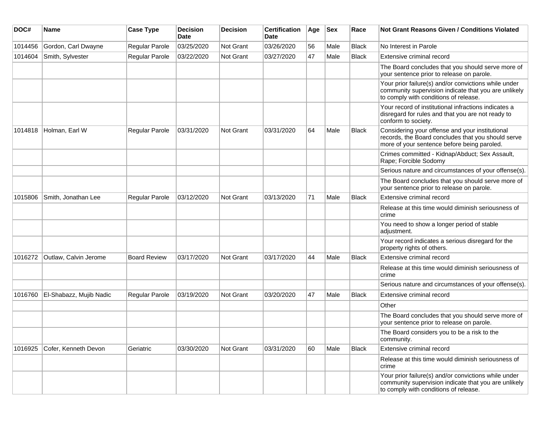| DOC#    | <b>Name</b>             | <b>Case Type</b>    | <b>Decision</b><br>Date | <b>Decision</b> | <b>Certification</b><br>Date | Age | Sex  | Race         | Not Grant Reasons Given / Conditions Violated                                                                                                         |
|---------|-------------------------|---------------------|-------------------------|-----------------|------------------------------|-----|------|--------------|-------------------------------------------------------------------------------------------------------------------------------------------------------|
| 1014456 | Gordon, Carl Dwayne     | Regular Parole      | 03/25/2020              | Not Grant       | 03/26/2020                   | 56  | Male | <b>Black</b> | No Interest in Parole                                                                                                                                 |
| 1014604 | Smith, Sylvester        | Regular Parole      | 03/22/2020              | Not Grant       | 03/27/2020                   | 47  | Male | <b>Black</b> | Extensive criminal record                                                                                                                             |
|         |                         |                     |                         |                 |                              |     |      |              | The Board concludes that you should serve more of<br>your sentence prior to release on parole.                                                        |
|         |                         |                     |                         |                 |                              |     |      |              | Your prior failure(s) and/or convictions while under<br>community supervision indicate that you are unlikely<br>to comply with conditions of release. |
|         |                         |                     |                         |                 |                              |     |      |              | Your record of institutional infractions indicates a<br>disregard for rules and that you are not ready to<br>conform to society.                      |
| 1014818 | Holman, Earl W          | Regular Parole      | 03/31/2020              | Not Grant       | 03/31/2020                   | 64  | Male | <b>Black</b> | Considering your offense and your institutional<br>records, the Board concludes that you should serve<br>more of your sentence before being paroled.  |
|         |                         |                     |                         |                 |                              |     |      |              | Crimes committed - Kidnap/Abduct; Sex Assault,<br>Rape; Forcible Sodomy                                                                               |
|         |                         |                     |                         |                 |                              |     |      |              | Serious nature and circumstances of your offense(s).                                                                                                  |
|         |                         |                     |                         |                 |                              |     |      |              | The Board concludes that you should serve more of<br>your sentence prior to release on parole.                                                        |
| 1015806 | Smith, Jonathan Lee     | Regular Parole      | 03/12/2020              | Not Grant       | 03/13/2020                   | 71  | Male | Black        | Extensive criminal record                                                                                                                             |
|         |                         |                     |                         |                 |                              |     |      |              | Release at this time would diminish seriousness of<br>crime                                                                                           |
|         |                         |                     |                         |                 |                              |     |      |              | You need to show a longer period of stable<br>adjustment.                                                                                             |
|         |                         |                     |                         |                 |                              |     |      |              | Your record indicates a serious disregard for the<br>property rights of others.                                                                       |
| 1016272 | Outlaw, Calvin Jerome   | <b>Board Review</b> | 03/17/2020              | Not Grant       | 03/17/2020                   | 44  | Male | <b>Black</b> | Extensive criminal record                                                                                                                             |
|         |                         |                     |                         |                 |                              |     |      |              | Release at this time would diminish seriousness of<br>crime                                                                                           |
|         |                         |                     |                         |                 |                              |     |      |              | Serious nature and circumstances of your offense(s).                                                                                                  |
| 1016760 | El-Shabazz, Mujib Nadic | Regular Parole      | 03/19/2020              | Not Grant       | 03/20/2020                   | 47  | Male | <b>Black</b> | Extensive criminal record                                                                                                                             |
|         |                         |                     |                         |                 |                              |     |      |              | Other                                                                                                                                                 |
|         |                         |                     |                         |                 |                              |     |      |              | The Board concludes that you should serve more of<br>your sentence prior to release on parole.                                                        |
|         |                         |                     |                         |                 |                              |     |      |              | The Board considers you to be a risk to the<br>community.                                                                                             |
| 1016925 | Cofer, Kenneth Devon    | Geriatric           | 03/30/2020              | Not Grant       | 03/31/2020                   | 60  | Male | <b>Black</b> | Extensive criminal record                                                                                                                             |
|         |                         |                     |                         |                 |                              |     |      |              | Release at this time would diminish seriousness of<br>crime                                                                                           |
|         |                         |                     |                         |                 |                              |     |      |              | Your prior failure(s) and/or convictions while under<br>community supervision indicate that you are unlikely<br>to comply with conditions of release. |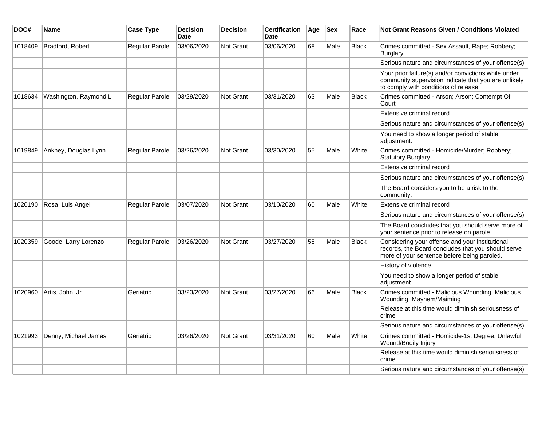| DOC#    | <b>Name</b>           | <b>Case Type</b>      | <b>Decision</b><br><b>Date</b> | <b>Decision</b> | <b>Certification</b><br>Date | Age | <b>Sex</b> | Race         | <b>Not Grant Reasons Given / Conditions Violated</b>                                                                                                  |
|---------|-----------------------|-----------------------|--------------------------------|-----------------|------------------------------|-----|------------|--------------|-------------------------------------------------------------------------------------------------------------------------------------------------------|
| 1018409 | Bradford, Robert      | Regular Parole        | 03/06/2020                     | Not Grant       | 03/06/2020                   | 68  | Male       | <b>Black</b> | Crimes committed - Sex Assault, Rape; Robbery;<br>Burglary                                                                                            |
|         |                       |                       |                                |                 |                              |     |            |              | Serious nature and circumstances of your offense(s).                                                                                                  |
|         |                       |                       |                                |                 |                              |     |            |              | Your prior failure(s) and/or convictions while under<br>community supervision indicate that you are unlikely<br>to comply with conditions of release. |
| 1018634 | Washington, Raymond L | Regular Parole        | 03/29/2020                     | Not Grant       | 03/31/2020                   | 63  | Male       | <b>Black</b> | Crimes committed - Arson; Arson; Contempt Of<br>Court                                                                                                 |
|         |                       |                       |                                |                 |                              |     |            |              | Extensive criminal record                                                                                                                             |
|         |                       |                       |                                |                 |                              |     |            |              | Serious nature and circumstances of your offense(s).                                                                                                  |
|         |                       |                       |                                |                 |                              |     |            |              | You need to show a longer period of stable<br>adjustment.                                                                                             |
| 1019849 | Ankney, Douglas Lynn  | Regular Parole        | 03/26/2020                     | Not Grant       | 03/30/2020                   | 55  | Male       | White        | Crimes committed - Homicide/Murder; Robbery;<br><b>Statutory Burglary</b>                                                                             |
|         |                       |                       |                                |                 |                              |     |            |              | Extensive criminal record                                                                                                                             |
|         |                       |                       |                                |                 |                              |     |            |              | Serious nature and circumstances of your offense(s).                                                                                                  |
|         |                       |                       |                                |                 |                              |     |            |              | The Board considers you to be a risk to the<br>community.                                                                                             |
| 1020190 | Rosa, Luis Angel      | <b>Regular Parole</b> | 03/07/2020                     | Not Grant       | 03/10/2020                   | 60  | Male       | White        | Extensive criminal record                                                                                                                             |
|         |                       |                       |                                |                 |                              |     |            |              | Serious nature and circumstances of your offense(s).                                                                                                  |
|         |                       |                       |                                |                 |                              |     |            |              | The Board concludes that you should serve more of<br>your sentence prior to release on parole.                                                        |
| 1020359 | Goode, Larry Lorenzo  | Regular Parole        | 03/26/2020                     | Not Grant       | 03/27/2020                   | 58  | Male       | <b>Black</b> | Considering your offense and your institutional<br>records, the Board concludes that you should serve<br>more of your sentence before being paroled.  |
|         |                       |                       |                                |                 |                              |     |            |              | History of violence.                                                                                                                                  |
|         |                       |                       |                                |                 |                              |     |            |              | You need to show a longer period of stable<br>adjustment.                                                                                             |
| 1020960 | Artis, John Jr.       | Geriatric             | 03/23/2020                     | Not Grant       | 03/27/2020                   | 66  | Male       | <b>Black</b> | Crimes committed - Malicious Wounding; Malicious<br>Wounding; Mayhem/Maiming                                                                          |
|         |                       |                       |                                |                 |                              |     |            |              | Release at this time would diminish seriousness of<br>crime                                                                                           |
|         |                       |                       |                                |                 |                              |     |            |              | Serious nature and circumstances of your offense(s).                                                                                                  |
| 1021993 | Denny, Michael James  | Geriatric             | 03/26/2020                     | Not Grant       | 03/31/2020                   | 60  | Male       | White        | Crimes committed - Homicide-1st Degree; Unlawful<br>Wound/Bodily Injury                                                                               |
|         |                       |                       |                                |                 |                              |     |            |              | Release at this time would diminish seriousness of<br>crime                                                                                           |
|         |                       |                       |                                |                 |                              |     |            |              | Serious nature and circumstances of your offense(s).                                                                                                  |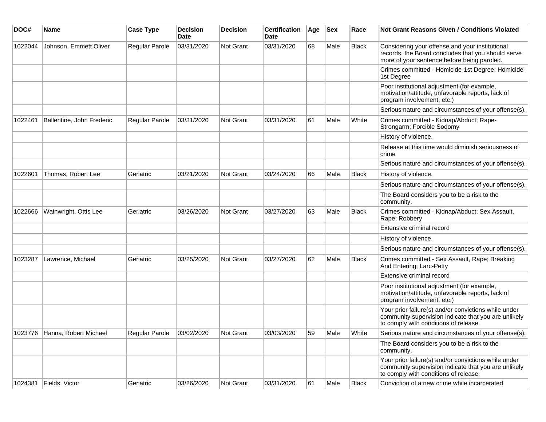| DOC#    | <b>Name</b>                   | <b>Case Type</b> | <b>Decision</b><br><b>Date</b> | Decision         | <b>Certification</b><br>Date | Age | <b>Sex</b> | Race         | Not Grant Reasons Given / Conditions Violated                                                                                                         |
|---------|-------------------------------|------------------|--------------------------------|------------------|------------------------------|-----|------------|--------------|-------------------------------------------------------------------------------------------------------------------------------------------------------|
| 1022044 | Johnson, Emmett Oliver        | Regular Parole   | 03/31/2020                     | <b>Not Grant</b> | 03/31/2020                   | 68  | Male       | <b>Black</b> | Considering your offense and your institutional<br>records, the Board concludes that you should serve<br>more of your sentence before being paroled.  |
|         |                               |                  |                                |                  |                              |     |            |              | Crimes committed - Homicide-1st Degree; Homicide-<br>1st Degree                                                                                       |
|         |                               |                  |                                |                  |                              |     |            |              | Poor institutional adjustment (for example,<br>motivation/attitude, unfavorable reports, lack of<br>program involvement, etc.)                        |
|         |                               |                  |                                |                  |                              |     |            |              | Serious nature and circumstances of your offense(s).                                                                                                  |
| 1022461 | Ballentine, John Frederic     | Regular Parole   | 03/31/2020                     | Not Grant        | 03/31/2020                   | 61  | Male       | White        | Crimes committed - Kidnap/Abduct; Rape-<br>Strongarm; Forcible Sodomy                                                                                 |
|         |                               |                  |                                |                  |                              |     |            |              | History of violence.                                                                                                                                  |
|         |                               |                  |                                |                  |                              |     |            |              | Release at this time would diminish seriousness of<br>crime                                                                                           |
|         |                               |                  |                                |                  |                              |     |            |              | Serious nature and circumstances of your offense(s).                                                                                                  |
| 1022601 | Thomas, Robert Lee            | Geriatric        | 03/21/2020                     | <b>Not Grant</b> | 03/24/2020                   | 66  | Male       | <b>Black</b> | History of violence.                                                                                                                                  |
|         |                               |                  |                                |                  |                              |     |            |              | Serious nature and circumstances of your offense(s).                                                                                                  |
|         |                               |                  |                                |                  |                              |     |            |              | The Board considers you to be a risk to the<br>community.                                                                                             |
| 1022666 | Wainwright, Ottis Lee         | Geriatric        | 03/26/2020                     | Not Grant        | 03/27/2020                   | 63  | Male       | <b>Black</b> | Crimes committed - Kidnap/Abduct; Sex Assault,<br>Rape; Robbery                                                                                       |
|         |                               |                  |                                |                  |                              |     |            |              | Extensive criminal record                                                                                                                             |
|         |                               |                  |                                |                  |                              |     |            |              | History of violence.                                                                                                                                  |
|         |                               |                  |                                |                  |                              |     |            |              | Serious nature and circumstances of your offense(s).                                                                                                  |
| 1023287 | Lawrence, Michael             | Geriatric        | 03/25/2020                     | Not Grant        | 03/27/2020                   | 62  | Male       | <b>Black</b> | Crimes committed - Sex Assault, Rape; Breaking<br>And Entering; Larc-Petty                                                                            |
|         |                               |                  |                                |                  |                              |     |            |              | Extensive criminal record                                                                                                                             |
|         |                               |                  |                                |                  |                              |     |            |              | Poor institutional adjustment (for example,<br>motivation/attitude, unfavorable reports, lack of<br>program involvement, etc.)                        |
|         |                               |                  |                                |                  |                              |     |            |              | Your prior failure(s) and/or convictions while under<br>community supervision indicate that you are unlikely<br>to comply with conditions of release. |
|         | 1023776 Hanna, Robert Michael | Regular Parole   | 03/02/2020                     | Not Grant        | 03/03/2020                   | 59  | Male       | White        | Serious nature and circumstances of your offense(s).                                                                                                  |
|         |                               |                  |                                |                  |                              |     |            |              | The Board considers you to be a risk to the<br>community.                                                                                             |
|         |                               |                  |                                |                  |                              |     |            |              | Your prior failure(s) and/or convictions while under<br>community supervision indicate that you are unlikely<br>to comply with conditions of release. |
| 1024381 | Fields, Victor                | Geriatric        | 03/26/2020                     | Not Grant        | 03/31/2020                   | 61  | Male       | Black        | Conviction of a new crime while incarcerated                                                                                                          |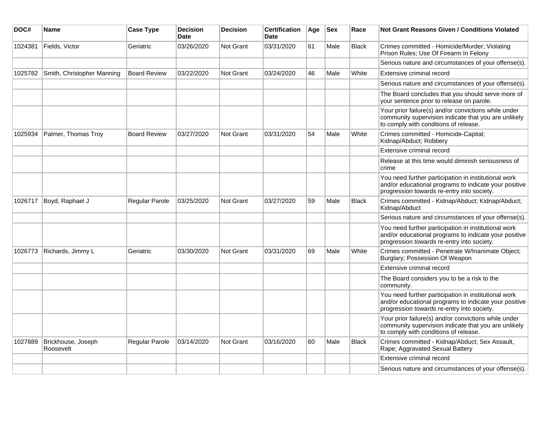| DOC#    | Name                            | <b>Case Type</b>    | <b>Decision</b><br><b>Date</b> | <b>Decision</b>  | <b>Certification</b><br><b>Date</b> | Age | <b>Sex</b> | Race         | <b>Not Grant Reasons Given / Conditions Violated</b>                                                                                                        |
|---------|---------------------------------|---------------------|--------------------------------|------------------|-------------------------------------|-----|------------|--------------|-------------------------------------------------------------------------------------------------------------------------------------------------------------|
| 1024381 | Fields, Victor                  | Geriatric           | 03/26/2020                     | Not Grant        | 03/31/2020                          | 61  | Male       | <b>Black</b> | Crimes committed - Homicide/Murder; Violating<br>Prison Rules; Use Of Firearm In Felony                                                                     |
|         |                                 |                     |                                |                  |                                     |     |            |              | Serious nature and circumstances of your offense(s).                                                                                                        |
| 1025782 | Smith, Christopher Manning      | <b>Board Review</b> | 03/22/2020                     | Not Grant        | 03/24/2020                          | 46  | Male       | White        | Extensive criminal record                                                                                                                                   |
|         |                                 |                     |                                |                  |                                     |     |            |              | Serious nature and circumstances of your offense(s).                                                                                                        |
|         |                                 |                     |                                |                  |                                     |     |            |              | The Board concludes that you should serve more of<br>your sentence prior to release on parole.                                                              |
|         |                                 |                     |                                |                  |                                     |     |            |              | Your prior failure(s) and/or convictions while under<br>community supervision indicate that you are unlikely<br>to comply with conditions of release.       |
| 1025934 | Palmer, Thomas Troy             | <b>Board Review</b> | 03/27/2020                     | Not Grant        | 03/31/2020                          | 54  | Male       | White        | Crimes committed - Homicide-Capital;<br>Kidnap/Abduct; Robbery                                                                                              |
|         |                                 |                     |                                |                  |                                     |     |            |              | Extensive criminal record                                                                                                                                   |
|         |                                 |                     |                                |                  |                                     |     |            |              | Release at this time would diminish seriousness of<br>crime                                                                                                 |
|         |                                 |                     |                                |                  |                                     |     |            |              | You need further participation in institutional work<br>and/or educational programs to indicate your positive<br>progression towards re-entry into society. |
| 1026717 | Boyd, Raphael J                 | Regular Parole      | 03/25/2020                     | Not Grant        | 03/27/2020                          | 59  | Male       | <b>Black</b> | Crimes committed - Kidnap/Abduct; Kidnap/Abduct;<br>Kidnap/Abduct                                                                                           |
|         |                                 |                     |                                |                  |                                     |     |            |              | Serious nature and circumstances of your offense(s).                                                                                                        |
|         |                                 |                     |                                |                  |                                     |     |            |              | You need further participation in institutional work<br>and/or educational programs to indicate your positive<br>progression towards re-entry into society. |
| 1026773 | Richards, Jimmy L               | Geriatric           | 03/30/2020                     | Not Grant        | 03/31/2020                          | 69  | Male       | White        | Crimes committed - Penetrate W/Inanimate Object;<br>Burglary; Possession Of Weapon                                                                          |
|         |                                 |                     |                                |                  |                                     |     |            |              | Extensive criminal record                                                                                                                                   |
|         |                                 |                     |                                |                  |                                     |     |            |              | The Board considers you to be a risk to the<br>community.                                                                                                   |
|         |                                 |                     |                                |                  |                                     |     |            |              | You need further participation in institutional work<br>and/or educational programs to indicate your positive<br>progression towards re-entry into society. |
|         |                                 |                     |                                |                  |                                     |     |            |              | Your prior failure(s) and/or convictions while under<br>community supervision indicate that you are unlikely<br>to comply with conditions of release.       |
| 1027889 | Brickhouse, Joseph<br>Roosevelt | Regular Parole      | 03/14/2020                     | <b>Not Grant</b> | 03/16/2020                          | 60  | Male       | <b>Black</b> | Crimes committed - Kidnap/Abduct; Sex Assault,<br>Rape; Aggravated Sexual Battery                                                                           |
|         |                                 |                     |                                |                  |                                     |     |            |              | Extensive criminal record                                                                                                                                   |
|         |                                 |                     |                                |                  |                                     |     |            |              | Serious nature and circumstances of your offense(s).                                                                                                        |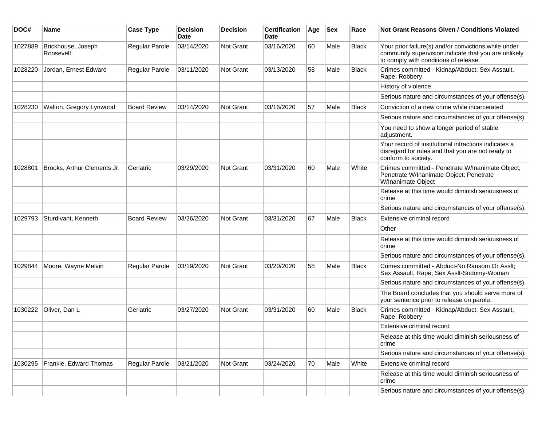| DOC#    | Name                            | <b>Case Type</b>    | <b>Decision</b><br><b>Date</b> | <b>Decision</b>  | <b>Certification</b><br>Date | Age | <b>Sex</b> | Race         | <b>Not Grant Reasons Given / Conditions Violated</b>                                                                                                  |
|---------|---------------------------------|---------------------|--------------------------------|------------------|------------------------------|-----|------------|--------------|-------------------------------------------------------------------------------------------------------------------------------------------------------|
| 1027889 | Brickhouse, Joseph<br>Roosevelt | Regular Parole      | 03/14/2020                     | Not Grant        | 03/16/2020                   | 60  | Male       | <b>Black</b> | Your prior failure(s) and/or convictions while under<br>community supervision indicate that you are unlikely<br>to comply with conditions of release. |
| 1028220 | Jordan, Ernest Edward           | Regular Parole      | 03/11/2020                     | Not Grant        | 03/13/2020                   | 58  | Male       | Black        | Crimes committed - Kidnap/Abduct; Sex Assault,<br>Rape; Robbery                                                                                       |
|         |                                 |                     |                                |                  |                              |     |            |              | History of violence.                                                                                                                                  |
|         |                                 |                     |                                |                  |                              |     |            |              | Serious nature and circumstances of your offense(s).                                                                                                  |
| 1028230 | Walton, Gregory Lynwood         | <b>Board Review</b> | 03/14/2020                     | <b>Not Grant</b> | 03/16/2020                   | 57  | Male       | <b>Black</b> | Conviction of a new crime while incarcerated                                                                                                          |
|         |                                 |                     |                                |                  |                              |     |            |              | Serious nature and circumstances of your offense(s).                                                                                                  |
|         |                                 |                     |                                |                  |                              |     |            |              | You need to show a longer period of stable<br>adjustment.                                                                                             |
|         |                                 |                     |                                |                  |                              |     |            |              | Your record of institutional infractions indicates a<br>disregard for rules and that you are not ready to<br>conform to society.                      |
| 1028801 | Brooks, Arthur Clements Jr.     | Geriatric           | 03/29/2020                     | <b>Not Grant</b> | 03/31/2020                   | 60  | Male       | White        | Crimes committed - Penetrate W/Inanimate Object;<br>Penetrate W/Inanimate Object; Penetrate<br>W/Inanimate Object                                     |
|         |                                 |                     |                                |                  |                              |     |            |              | Release at this time would diminish seriousness of<br>crime                                                                                           |
|         |                                 |                     |                                |                  |                              |     |            |              | Serious nature and circumstances of your offense(s).                                                                                                  |
| 1029793 | Sturdivant, Kenneth             | <b>Board Review</b> | 03/26/2020                     | Not Grant        | 03/31/2020                   | 67  | Male       | <b>Black</b> | Extensive criminal record                                                                                                                             |
|         |                                 |                     |                                |                  |                              |     |            |              | Other                                                                                                                                                 |
|         |                                 |                     |                                |                  |                              |     |            |              | Release at this time would diminish seriousness of<br>crime                                                                                           |
|         |                                 |                     |                                |                  |                              |     |            |              | Serious nature and circumstances of your offense(s).                                                                                                  |
| 1029844 | Moore, Wayne Melvin             | Regular Parole      | 03/19/2020                     | <b>Not Grant</b> | 03/20/2020                   | 58  | Male       | Black        | Crimes committed - Abduct-No Ransom Or Asslt;<br>Sex Assault, Rape; Sex Asslt-Sodomy-Woman                                                            |
|         |                                 |                     |                                |                  |                              |     |            |              | Serious nature and circumstances of your offense(s).                                                                                                  |
|         |                                 |                     |                                |                  |                              |     |            |              | The Board concludes that you should serve more of<br>your sentence prior to release on parole.                                                        |
| 1030222 | Oliver, Dan L                   | Geriatric           | 03/27/2020                     | <b>Not Grant</b> | 03/31/2020                   | 60  | Male       | Black        | Crimes committed - Kidnap/Abduct; Sex Assault,<br>Rape; Robbery                                                                                       |
|         |                                 |                     |                                |                  |                              |     |            |              | Extensive criminal record                                                                                                                             |
|         |                                 |                     |                                |                  |                              |     |            |              | Release at this time would diminish seriousness of<br>crime                                                                                           |
|         |                                 |                     |                                |                  |                              |     |            |              | Serious nature and circumstances of your offense(s).                                                                                                  |
| 1030295 | Frankie, Edward Thomas          | Regular Parole      | 03/21/2020                     | Not Grant        | 03/24/2020                   | 70  | Male       | White        | Extensive criminal record                                                                                                                             |
|         |                                 |                     |                                |                  |                              |     |            |              | Release at this time would diminish seriousness of<br>crime                                                                                           |
|         |                                 |                     |                                |                  |                              |     |            |              | Serious nature and circumstances of your offense(s).                                                                                                  |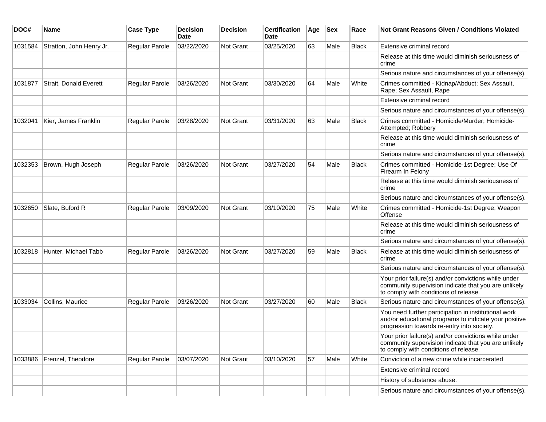| DOC#    | Name                     | <b>Case Type</b>      | <b>Decision</b><br>Date | <b>Decision</b>  | <b>Certification</b><br>Date | Age | Sex  | Race         | <b>Not Grant Reasons Given / Conditions Violated</b>                                                                                                        |
|---------|--------------------------|-----------------------|-------------------------|------------------|------------------------------|-----|------|--------------|-------------------------------------------------------------------------------------------------------------------------------------------------------------|
| 1031584 | Stratton, John Henry Jr. | Regular Parole        | 03/22/2020              | Not Grant        | 03/25/2020                   | 63  | Male | <b>Black</b> | Extensive criminal record                                                                                                                                   |
|         |                          |                       |                         |                  |                              |     |      |              | Release at this time would diminish seriousness of<br>crime                                                                                                 |
|         |                          |                       |                         |                  |                              |     |      |              | Serious nature and circumstances of your offense(s).                                                                                                        |
| 1031877 | Strait, Donald Everett   | Regular Parole        | 03/26/2020              | <b>Not Grant</b> | 03/30/2020                   | 64  | Male | White        | Crimes committed - Kidnap/Abduct; Sex Assault,<br>Rape; Sex Assault, Rape                                                                                   |
|         |                          |                       |                         |                  |                              |     |      |              | Extensive criminal record                                                                                                                                   |
|         |                          |                       |                         |                  |                              |     |      |              | Serious nature and circumstances of your offense(s).                                                                                                        |
| 1032041 | Kier, James Franklin     | <b>Regular Parole</b> | 03/28/2020              | Not Grant        | 03/31/2020                   | 63  | Male | <b>Black</b> | Crimes committed - Homicide/Murder; Homicide-<br>Attempted; Robbery                                                                                         |
|         |                          |                       |                         |                  |                              |     |      |              | Release at this time would diminish seriousness of<br>crime                                                                                                 |
|         |                          |                       |                         |                  |                              |     |      |              | Serious nature and circumstances of your offense(s).                                                                                                        |
| 1032353 | Brown, Hugh Joseph       | Regular Parole        | 03/26/2020              | <b>Not Grant</b> | 03/27/2020                   | 54  | Male | Black        | Crimes committed - Homicide-1st Degree; Use Of<br>Firearm In Felony                                                                                         |
|         |                          |                       |                         |                  |                              |     |      |              | Release at this time would diminish seriousness of<br>crime                                                                                                 |
|         |                          |                       |                         |                  |                              |     |      |              | Serious nature and circumstances of your offense(s).                                                                                                        |
| 1032650 | Slate, Buford R          | <b>Regular Parole</b> | 03/09/2020              | <b>Not Grant</b> | 03/10/2020                   | 75  | Male | White        | Crimes committed - Homicide-1st Degree; Weapon<br>Offense                                                                                                   |
|         |                          |                       |                         |                  |                              |     |      |              | Release at this time would diminish seriousness of<br>crime                                                                                                 |
|         |                          |                       |                         |                  |                              |     |      |              | Serious nature and circumstances of your offense(s).                                                                                                        |
| 1032818 | Hunter, Michael Tabb     | Regular Parole        | 03/26/2020              | <b>Not Grant</b> | 03/27/2020                   | 59  | Male | <b>Black</b> | Release at this time would diminish seriousness of<br>crime                                                                                                 |
|         |                          |                       |                         |                  |                              |     |      |              | Serious nature and circumstances of your offense(s).                                                                                                        |
|         |                          |                       |                         |                  |                              |     |      |              | Your prior failure(s) and/or convictions while under<br>community supervision indicate that you are unlikely<br>to comply with conditions of release.       |
| 1033034 | Collins, Maurice         | Regular Parole        | 03/26/2020              | Not Grant        | 03/27/2020                   | 60  | Male | <b>Black</b> | Serious nature and circumstances of your offense(s).                                                                                                        |
|         |                          |                       |                         |                  |                              |     |      |              | You need further participation in institutional work<br>and/or educational programs to indicate your positive<br>progression towards re-entry into society. |
|         |                          |                       |                         |                  |                              |     |      |              | Your prior failure(s) and/or convictions while under<br>community supervision indicate that you are unlikely<br>to comply with conditions of release.       |
| 1033886 | Frenzel, Theodore        | Regular Parole        | 03/07/2020              | Not Grant        | 03/10/2020                   | 57  | Male | White        | Conviction of a new crime while incarcerated                                                                                                                |
|         |                          |                       |                         |                  |                              |     |      |              | Extensive criminal record                                                                                                                                   |
|         |                          |                       |                         |                  |                              |     |      |              | History of substance abuse.                                                                                                                                 |
|         |                          |                       |                         |                  |                              |     |      |              | Serious nature and circumstances of your offense(s).                                                                                                        |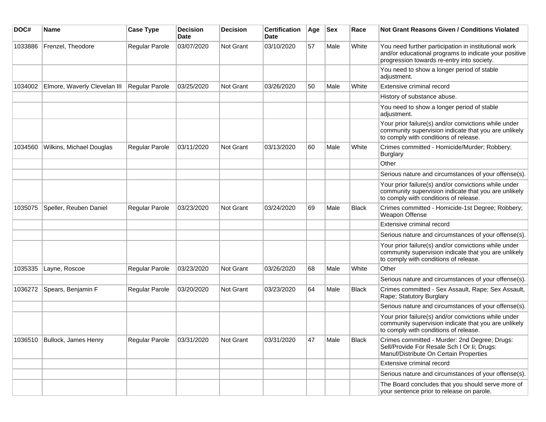| DOC#    | <b>Name</b>                  | <b>Case Type</b>      | <b>Decision</b><br><b>Date</b> | <b>Decision</b> | <b>Certification</b><br>Date | Age | <b>Sex</b> | Race         | <b>Not Grant Reasons Given / Conditions Violated</b>                                                                                                        |
|---------|------------------------------|-----------------------|--------------------------------|-----------------|------------------------------|-----|------------|--------------|-------------------------------------------------------------------------------------------------------------------------------------------------------------|
| 1033886 | Frenzel, Theodore            | Regular Parole        | 03/07/2020                     | Not Grant       | 03/10/2020                   | 57  | Male       | White        | You need further participation in institutional work<br>and/or educational programs to indicate your positive<br>progression towards re-entry into society. |
|         |                              |                       |                                |                 |                              |     |            |              | You need to show a longer period of stable<br>adjustment.                                                                                                   |
| 1034002 | Elmore, Waverly Clevelan III | Regular Parole        | 03/25/2020                     | Not Grant       | 03/26/2020                   | 50  | Male       | White        | Extensive criminal record                                                                                                                                   |
|         |                              |                       |                                |                 |                              |     |            |              | History of substance abuse.                                                                                                                                 |
|         |                              |                       |                                |                 |                              |     |            |              | You need to show a longer period of stable<br>adjustment.                                                                                                   |
|         |                              |                       |                                |                 |                              |     |            |              | Your prior failure(s) and/or convictions while under<br>community supervision indicate that you are unlikely<br>to comply with conditions of release.       |
| 1034560 | Wilkins, Michael Douglas     | <b>Regular Parole</b> | 03/11/2020                     | Not Grant       | 03/13/2020                   | 60  | Male       | White        | Crimes committed - Homicide/Murder; Robbery;<br><b>Burglary</b>                                                                                             |
|         |                              |                       |                                |                 |                              |     |            |              | Other                                                                                                                                                       |
|         |                              |                       |                                |                 |                              |     |            |              | Serious nature and circumstances of your offense(s).                                                                                                        |
|         |                              |                       |                                |                 |                              |     |            |              | Your prior failure(s) and/or convictions while under<br>community supervision indicate that you are unlikely<br>to comply with conditions of release.       |
| 1035075 | Speller, Reuben Daniel       | <b>Regular Parole</b> | 03/23/2020                     | Not Grant       | 03/24/2020                   | 69  | Male       | <b>Black</b> | Crimes committed - Homicide-1st Degree; Robbery;<br>Weapon Offense                                                                                          |
|         |                              |                       |                                |                 |                              |     |            |              | Extensive criminal record                                                                                                                                   |
|         |                              |                       |                                |                 |                              |     |            |              | Serious nature and circumstances of your offense(s).                                                                                                        |
|         |                              |                       |                                |                 |                              |     |            |              | Your prior failure(s) and/or convictions while under<br>community supervision indicate that you are unlikely<br>to comply with conditions of release.       |
| 1035335 | Layne, Roscoe                | Regular Parole        | 03/23/2020                     | Not Grant       | 03/26/2020                   | 68  | Male       | White        | Other                                                                                                                                                       |
|         |                              |                       |                                |                 |                              |     |            |              | Serious nature and circumstances of your offense(s).                                                                                                        |
| 1036272 | Spears, Benjamin F           | Regular Parole        | 03/20/2020                     | Not Grant       | 03/23/2020                   | 64  | Male       | <b>Black</b> | Crimes committed - Sex Assault, Rape; Sex Assault,<br>Rape; Statutory Burglary                                                                              |
|         |                              |                       |                                |                 |                              |     |            |              | Serious nature and circumstances of your offense(s).                                                                                                        |
|         |                              |                       |                                |                 |                              |     |            |              | Your prior failure(s) and/or convictions while under<br>community supervision indicate that you are unlikely<br>to comply with conditions of release.       |
| 1036510 | Bullock, James Henry         | Regular Parole        | 03/31/2020                     | Not Grant       | 03/31/2020                   | 47  | Male       | <b>Black</b> | Crimes committed - Murder: 2nd Degree; Drugs:<br>Sell/Provide For Resale Sch I Or Ii; Drugs:<br>Manuf/Distribute On Certain Properties                      |
|         |                              |                       |                                |                 |                              |     |            |              | Extensive criminal record                                                                                                                                   |
|         |                              |                       |                                |                 |                              |     |            |              | Serious nature and circumstances of your offense(s).                                                                                                        |
|         |                              |                       |                                |                 |                              |     |            |              | The Board concludes that you should serve more of<br>your sentence prior to release on parole.                                                              |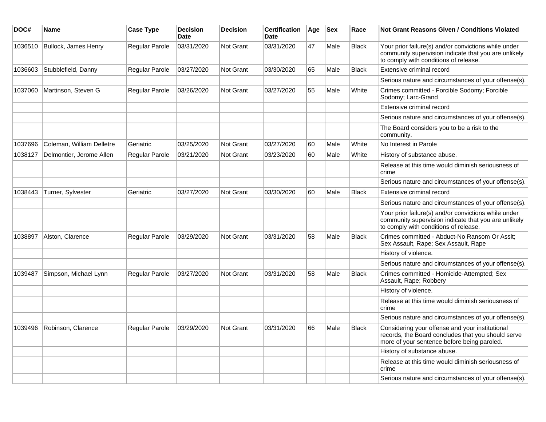| DOC#    | <b>Name</b>               | <b>Case Type</b>      | <b>Decision</b><br><b>Date</b> | <b>Decision</b> | <b>Certification</b><br><b>Date</b> | Age | <b>Sex</b> | Race         | Not Grant Reasons Given / Conditions Violated                                                                                                         |
|---------|---------------------------|-----------------------|--------------------------------|-----------------|-------------------------------------|-----|------------|--------------|-------------------------------------------------------------------------------------------------------------------------------------------------------|
| 1036510 | Bullock, James Henry      | Regular Parole        | 03/31/2020                     | Not Grant       | 03/31/2020                          | 47  | Male       | <b>Black</b> | Your prior failure(s) and/or convictions while under<br>community supervision indicate that you are unlikely<br>to comply with conditions of release. |
| 1036603 | Stubblefield, Danny       | <b>Regular Parole</b> | 03/27/2020                     | Not Grant       | 03/30/2020                          | 65  | Male       | <b>Black</b> | Extensive criminal record                                                                                                                             |
|         |                           |                       |                                |                 |                                     |     |            |              | Serious nature and circumstances of your offense(s).                                                                                                  |
| 1037060 | Martinson, Steven G       | Regular Parole        | 03/26/2020                     | Not Grant       | 03/27/2020                          | 55  | Male       | White        | Crimes committed - Forcible Sodomy; Forcible<br>Sodomy; Larc-Grand                                                                                    |
|         |                           |                       |                                |                 |                                     |     |            |              | Extensive criminal record                                                                                                                             |
|         |                           |                       |                                |                 |                                     |     |            |              | Serious nature and circumstances of your offense(s).                                                                                                  |
|         |                           |                       |                                |                 |                                     |     |            |              | The Board considers you to be a risk to the<br>community.                                                                                             |
| 1037696 | Coleman, William Delletre | Geriatric             | 03/25/2020                     | Not Grant       | 03/27/2020                          | 60  | Male       | White        | No Interest in Parole                                                                                                                                 |
| 1038127 | Delmontier, Jerome Allen  | Regular Parole        | 03/21/2020                     | Not Grant       | 03/23/2020                          | 60  | Male       | White        | History of substance abuse.                                                                                                                           |
|         |                           |                       |                                |                 |                                     |     |            |              | Release at this time would diminish seriousness of<br>crime                                                                                           |
|         |                           |                       |                                |                 |                                     |     |            |              | Serious nature and circumstances of your offense(s).                                                                                                  |
| 1038443 | Turner, Sylvester         | Geriatric             | 03/27/2020                     | Not Grant       | 03/30/2020                          | 60  | Male       | <b>Black</b> | Extensive criminal record                                                                                                                             |
|         |                           |                       |                                |                 |                                     |     |            |              | Serious nature and circumstances of your offense(s).                                                                                                  |
|         |                           |                       |                                |                 |                                     |     |            |              | Your prior failure(s) and/or convictions while under<br>community supervision indicate that you are unlikely<br>to comply with conditions of release. |
| 1038897 | Alston, Clarence          | <b>Regular Parole</b> | 03/29/2020                     | Not Grant       | 03/31/2020                          | 58  | Male       | <b>Black</b> | Crimes committed - Abduct-No Ransom Or Asslt;<br>Sex Assault, Rape; Sex Assault, Rape                                                                 |
|         |                           |                       |                                |                 |                                     |     |            |              | History of violence.                                                                                                                                  |
|         |                           |                       |                                |                 |                                     |     |            |              | Serious nature and circumstances of your offense(s).                                                                                                  |
| 1039487 | Simpson, Michael Lynn     | <b>Regular Parole</b> | 03/27/2020                     | Not Grant       | 03/31/2020                          | 58  | Male       | <b>Black</b> | Crimes committed - Homicide-Attempted; Sex<br>Assault, Rape; Robbery                                                                                  |
|         |                           |                       |                                |                 |                                     |     |            |              | History of violence.                                                                                                                                  |
|         |                           |                       |                                |                 |                                     |     |            |              | Release at this time would diminish seriousness of<br>crime                                                                                           |
|         |                           |                       |                                |                 |                                     |     |            |              | Serious nature and circumstances of your offense(s).                                                                                                  |
| 1039496 | Robinson, Clarence        | <b>Regular Parole</b> | 03/29/2020                     | Not Grant       | 03/31/2020                          | 66  | Male       | <b>Black</b> | Considering your offense and your institutional<br>records, the Board concludes that you should serve<br>more of your sentence before being paroled.  |
|         |                           |                       |                                |                 |                                     |     |            |              | History of substance abuse.                                                                                                                           |
|         |                           |                       |                                |                 |                                     |     |            |              | Release at this time would diminish seriousness of<br>crime                                                                                           |
|         |                           |                       |                                |                 |                                     |     |            |              | Serious nature and circumstances of your offense(s).                                                                                                  |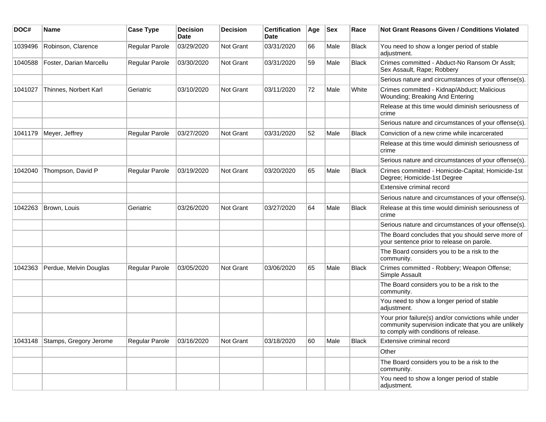| DOC#    | <b>Name</b>             | <b>Case Type</b>      | <b>Decision</b><br><b>Date</b> | <b>Decision</b>  | <b>Certification</b><br>Date | Age | <b>Sex</b> | Race         | <b>Not Grant Reasons Given / Conditions Violated</b>                                                                                                  |
|---------|-------------------------|-----------------------|--------------------------------|------------------|------------------------------|-----|------------|--------------|-------------------------------------------------------------------------------------------------------------------------------------------------------|
| 1039496 | Robinson, Clarence      | Regular Parole        | 03/29/2020                     | Not Grant        | 03/31/2020                   | 66  | Male       | <b>Black</b> | You need to show a longer period of stable<br>adjustment.                                                                                             |
| 1040588 | Foster, Darian Marcellu | Regular Parole        | 03/30/2020                     | Not Grant        | 03/31/2020                   | 59  | Male       | <b>Black</b> | Crimes committed - Abduct-No Ransom Or Asslt;<br>Sex Assault, Rape; Robbery                                                                           |
|         |                         |                       |                                |                  |                              |     |            |              | Serious nature and circumstances of your offense(s).                                                                                                  |
| 1041027 | Thinnes, Norbert Karl   | Geriatric             | 03/10/2020                     | <b>Not Grant</b> | 03/11/2020                   | 72  | Male       | White        | Crimes committed - Kidnap/Abduct; Malicious<br>Wounding; Breaking And Entering                                                                        |
|         |                         |                       |                                |                  |                              |     |            |              | Release at this time would diminish seriousness of<br>crime                                                                                           |
|         |                         |                       |                                |                  |                              |     |            |              | Serious nature and circumstances of your offense(s).                                                                                                  |
| 1041179 | Meyer, Jeffrey          | <b>Regular Parole</b> | 03/27/2020                     | <b>Not Grant</b> | 03/31/2020                   | 52  | Male       | Black        | Conviction of a new crime while incarcerated                                                                                                          |
|         |                         |                       |                                |                  |                              |     |            |              | Release at this time would diminish seriousness of<br>crime                                                                                           |
|         |                         |                       |                                |                  |                              |     |            |              | Serious nature and circumstances of your offense(s).                                                                                                  |
| 1042040 | Thompson, David P       | <b>Regular Parole</b> | 03/19/2020                     | <b>Not Grant</b> | 03/20/2020                   | 65  | Male       | <b>Black</b> | Crimes committed - Homicide-Capital; Homicide-1st<br>Degree; Homicide-1st Degree                                                                      |
|         |                         |                       |                                |                  |                              |     |            |              | Extensive criminal record                                                                                                                             |
|         |                         |                       |                                |                  |                              |     |            |              | Serious nature and circumstances of your offense(s).                                                                                                  |
| 1042263 | Brown, Louis            | Geriatric             | 03/26/2020                     | Not Grant        | 03/27/2020                   | 64  | Male       | Black        | Release at this time would diminish seriousness of<br>crime                                                                                           |
|         |                         |                       |                                |                  |                              |     |            |              | Serious nature and circumstances of your offense(s).                                                                                                  |
|         |                         |                       |                                |                  |                              |     |            |              | The Board concludes that you should serve more of<br>your sentence prior to release on parole.                                                        |
|         |                         |                       |                                |                  |                              |     |            |              | The Board considers you to be a risk to the<br>community.                                                                                             |
| 1042363 | Perdue, Melvin Douglas  | Regular Parole        | 03/05/2020                     | Not Grant        | 03/06/2020                   | 65  | Male       | Black        | Crimes committed - Robbery; Weapon Offense;<br>Simple Assault                                                                                         |
|         |                         |                       |                                |                  |                              |     |            |              | The Board considers you to be a risk to the<br>community.                                                                                             |
|         |                         |                       |                                |                  |                              |     |            |              | You need to show a longer period of stable<br>adjustment.                                                                                             |
|         |                         |                       |                                |                  |                              |     |            |              | Your prior failure(s) and/or convictions while under<br>community supervision indicate that you are unlikely<br>to comply with conditions of release. |
| 1043148 | Stamps, Gregory Jerome  | Regular Parole        | 03/16/2020                     | Not Grant        | 03/18/2020                   | 60  | Male       | <b>Black</b> | Extensive criminal record                                                                                                                             |
|         |                         |                       |                                |                  |                              |     |            |              | Other                                                                                                                                                 |
|         |                         |                       |                                |                  |                              |     |            |              | The Board considers you to be a risk to the<br>community.                                                                                             |
|         |                         |                       |                                |                  |                              |     |            |              | You need to show a longer period of stable<br>adjustment.                                                                                             |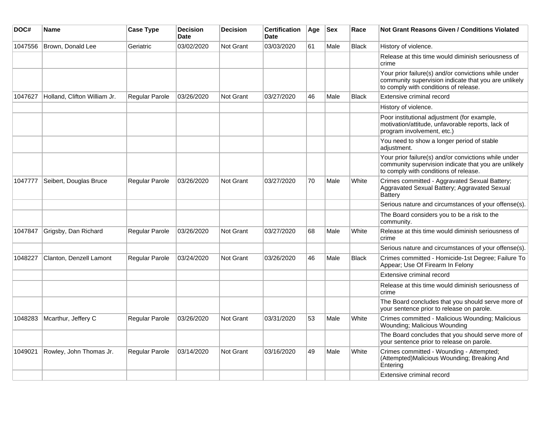| DOC#    | Name                         | <b>Case Type</b>      | <b>Decision</b><br><b>Date</b> | <b>Decision</b>  | <b>Certification</b><br>Date | Age | <b>Sex</b> | Race         | Not Grant Reasons Given / Conditions Violated                                                                                                         |
|---------|------------------------------|-----------------------|--------------------------------|------------------|------------------------------|-----|------------|--------------|-------------------------------------------------------------------------------------------------------------------------------------------------------|
| 1047556 | Brown, Donald Lee            | Geriatric             | 03/02/2020                     | Not Grant        | 03/03/2020                   | 61  | Male       | <b>Black</b> | History of violence.                                                                                                                                  |
|         |                              |                       |                                |                  |                              |     |            |              | Release at this time would diminish seriousness of<br>crime                                                                                           |
|         |                              |                       |                                |                  |                              |     |            |              | Your prior failure(s) and/or convictions while under<br>community supervision indicate that you are unlikely<br>to comply with conditions of release. |
| 1047627 | Holland, Clifton William Jr. | Regular Parole        | 03/26/2020                     | Not Grant        | 03/27/2020                   | 46  | Male       | <b>Black</b> | Extensive criminal record                                                                                                                             |
|         |                              |                       |                                |                  |                              |     |            |              | History of violence.                                                                                                                                  |
|         |                              |                       |                                |                  |                              |     |            |              | Poor institutional adjustment (for example,<br>motivation/attitude, unfavorable reports, lack of<br>program involvement, etc.)                        |
|         |                              |                       |                                |                  |                              |     |            |              | You need to show a longer period of stable<br>adjustment.                                                                                             |
|         |                              |                       |                                |                  |                              |     |            |              | Your prior failure(s) and/or convictions while under<br>community supervision indicate that you are unlikely<br>to comply with conditions of release. |
| 1047777 | Seibert, Douglas Bruce       | Regular Parole        | 03/26/2020                     | Not Grant        | 03/27/2020                   | 70  | Male       | White        | Crimes committed - Aggravated Sexual Battery;<br>Aggravated Sexual Battery; Aggravated Sexual<br><b>Battery</b>                                       |
|         |                              |                       |                                |                  |                              |     |            |              | Serious nature and circumstances of your offense(s).                                                                                                  |
|         |                              |                       |                                |                  |                              |     |            |              | The Board considers you to be a risk to the<br>community.                                                                                             |
| 1047847 | Grigsby, Dan Richard         | <b>Regular Parole</b> | 03/26/2020                     | Not Grant        | 03/27/2020                   | 68  | Male       | White        | Release at this time would diminish seriousness of<br>crime                                                                                           |
|         |                              |                       |                                |                  |                              |     |            |              | Serious nature and circumstances of your offense(s).                                                                                                  |
| 1048227 | Clanton, Denzell Lamont      | Regular Parole        | 03/24/2020                     | <b>Not Grant</b> | 03/26/2020                   | 46  | Male       | <b>Black</b> | Crimes committed - Homicide-1st Degree; Failure To<br>Appear; Use Of Firearm In Felony                                                                |
|         |                              |                       |                                |                  |                              |     |            |              | Extensive criminal record                                                                                                                             |
|         |                              |                       |                                |                  |                              |     |            |              | Release at this time would diminish seriousness of<br>crime                                                                                           |
|         |                              |                       |                                |                  |                              |     |            |              | The Board concludes that you should serve more of<br>your sentence prior to release on parole.                                                        |
| 1048283 | Mcarthur, Jeffery C          | <b>Regular Parole</b> | 03/26/2020                     | Not Grant        | 03/31/2020                   | 53  | Male       | White        | Crimes committed - Malicious Wounding; Malicious<br>Wounding; Malicious Wounding                                                                      |
|         |                              |                       |                                |                  |                              |     |            |              | The Board concludes that you should serve more of<br>your sentence prior to release on parole.                                                        |
| 1049021 | Rowley, John Thomas Jr.      | <b>Regular Parole</b> | 03/14/2020                     | Not Grant        | 03/16/2020                   | 49  | Male       | White        | Crimes committed - Wounding - Attempted;<br>(Attempted)Malicious Wounding; Breaking And<br>Entering                                                   |
|         |                              |                       |                                |                  |                              |     |            |              | Extensive criminal record                                                                                                                             |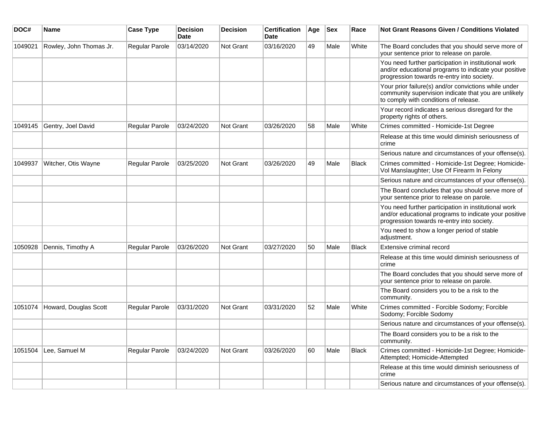| DOC#    | <b>Name</b>             | <b>Case Type</b>      | <b>Decision</b><br>Date | <b>Decision</b> | <b>Certification</b><br>Date | Age | <b>Sex</b> | Race         | Not Grant Reasons Given / Conditions Violated                                                                                                               |
|---------|-------------------------|-----------------------|-------------------------|-----------------|------------------------------|-----|------------|--------------|-------------------------------------------------------------------------------------------------------------------------------------------------------------|
| 1049021 | Rowley, John Thomas Jr. | Regular Parole        | 03/14/2020              | Not Grant       | 03/16/2020                   | 49  | Male       | White        | The Board concludes that you should serve more of<br>your sentence prior to release on parole.                                                              |
|         |                         |                       |                         |                 |                              |     |            |              | You need further participation in institutional work<br>and/or educational programs to indicate your positive<br>progression towards re-entry into society. |
|         |                         |                       |                         |                 |                              |     |            |              | Your prior failure(s) and/or convictions while under<br>community supervision indicate that you are unlikely<br>to comply with conditions of release.       |
|         |                         |                       |                         |                 |                              |     |            |              | Your record indicates a serious disregard for the<br>property rights of others.                                                                             |
| 1049145 | Gentry, Joel David      | Regular Parole        | 03/24/2020              | Not Grant       | 03/26/2020                   | 58  | Male       | White        | Crimes committed - Homicide-1st Degree                                                                                                                      |
|         |                         |                       |                         |                 |                              |     |            |              | Release at this time would diminish seriousness of<br>crime                                                                                                 |
|         |                         |                       |                         |                 |                              |     |            |              | Serious nature and circumstances of your offense(s).                                                                                                        |
| 1049937 | Witcher, Otis Wayne     | <b>Regular Parole</b> | 03/25/2020              | Not Grant       | 03/26/2020                   | 49  | Male       | <b>Black</b> | Crimes committed - Homicide-1st Degree; Homicide-<br>Vol Manslaughter; Use Of Firearm In Felony                                                             |
|         |                         |                       |                         |                 |                              |     |            |              | Serious nature and circumstances of your offense(s).                                                                                                        |
|         |                         |                       |                         |                 |                              |     |            |              | The Board concludes that you should serve more of<br>your sentence prior to release on parole.                                                              |
|         |                         |                       |                         |                 |                              |     |            |              | You need further participation in institutional work<br>and/or educational programs to indicate your positive<br>progression towards re-entry into society. |
|         |                         |                       |                         |                 |                              |     |            |              | You need to show a longer period of stable<br>adjustment.                                                                                                   |
| 1050928 | Dennis, Timothy A       | Regular Parole        | 03/26/2020              | Not Grant       | 03/27/2020                   | 50  | Male       | <b>Black</b> | Extensive criminal record                                                                                                                                   |
|         |                         |                       |                         |                 |                              |     |            |              | Release at this time would diminish seriousness of<br>crime                                                                                                 |
|         |                         |                       |                         |                 |                              |     |            |              | The Board concludes that you should serve more of<br>your sentence prior to release on parole.                                                              |
|         |                         |                       |                         |                 |                              |     |            |              | The Board considers you to be a risk to the<br>community.                                                                                                   |
| 1051074 | Howard, Douglas Scott   | <b>Regular Parole</b> | 03/31/2020              | Not Grant       | 03/31/2020                   | 52  | Male       | White        | Crimes committed - Forcible Sodomy; Forcible<br>Sodomy; Forcible Sodomy                                                                                     |
|         |                         |                       |                         |                 |                              |     |            |              | Serious nature and circumstances of your offense(s).                                                                                                        |
|         |                         |                       |                         |                 |                              |     |            |              | The Board considers you to be a risk to the<br>community.                                                                                                   |
| 1051504 | Lee, Samuel M           | <b>Regular Parole</b> | 03/24/2020              | Not Grant       | 03/26/2020                   | 60  | Male       | Black        | Crimes committed - Homicide-1st Degree; Homicide-<br>Attempted; Homicide-Attempted                                                                          |
|         |                         |                       |                         |                 |                              |     |            |              | Release at this time would diminish seriousness of<br>crime                                                                                                 |
|         |                         |                       |                         |                 |                              |     |            |              | Serious nature and circumstances of your offense(s).                                                                                                        |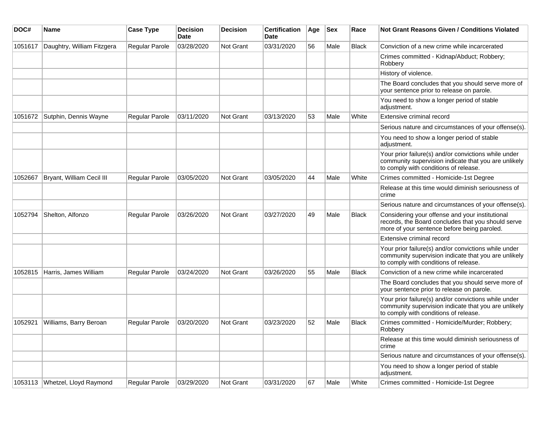| DOC#    | Name                           | <b>Case Type</b>      | <b>Decision</b><br>Date | <b>Decision</b>  | <b>Certification</b><br><b>Date</b> | Age | <b>Sex</b> | Race         | <b>Not Grant Reasons Given / Conditions Violated</b>                                                                                                  |
|---------|--------------------------------|-----------------------|-------------------------|------------------|-------------------------------------|-----|------------|--------------|-------------------------------------------------------------------------------------------------------------------------------------------------------|
| 1051617 | Daughtry, William Fitzgera     | <b>Regular Parole</b> | 03/28/2020              | Not Grant        | 03/31/2020                          | 56  | Male       | <b>Black</b> | Conviction of a new crime while incarcerated                                                                                                          |
|         |                                |                       |                         |                  |                                     |     |            |              | Crimes committed - Kidnap/Abduct; Robbery;<br>Robbery                                                                                                 |
|         |                                |                       |                         |                  |                                     |     |            |              | History of violence.                                                                                                                                  |
|         |                                |                       |                         |                  |                                     |     |            |              | The Board concludes that you should serve more of<br>your sentence prior to release on parole.                                                        |
|         |                                |                       |                         |                  |                                     |     |            |              | You need to show a longer period of stable<br>adjustment.                                                                                             |
| 1051672 | Sutphin, Dennis Wayne          | <b>Regular Parole</b> | 03/11/2020              | <b>Not Grant</b> | 03/13/2020                          | 53  | Male       | White        | Extensive criminal record                                                                                                                             |
|         |                                |                       |                         |                  |                                     |     |            |              | Serious nature and circumstances of your offense(s).                                                                                                  |
|         |                                |                       |                         |                  |                                     |     |            |              | You need to show a longer period of stable<br>adjustment.                                                                                             |
|         |                                |                       |                         |                  |                                     |     |            |              | Your prior failure(s) and/or convictions while under<br>community supervision indicate that you are unlikely<br>to comply with conditions of release. |
| 1052667 | Bryant, William Cecil III      | Regular Parole        | 03/05/2020              | Not Grant        | 03/05/2020                          | 44  | Male       | White        | Crimes committed - Homicide-1st Degree                                                                                                                |
|         |                                |                       |                         |                  |                                     |     |            |              | Release at this time would diminish seriousness of<br>crime                                                                                           |
|         |                                |                       |                         |                  |                                     |     |            |              | Serious nature and circumstances of your offense(s).                                                                                                  |
| 1052794 | Shelton, Alfonzo               | Regular Parole        | 03/26/2020              | Not Grant        | 03/27/2020                          | 49  | Male       | Black        | Considering your offense and your institutional<br>records, the Board concludes that you should serve<br>more of your sentence before being paroled.  |
|         |                                |                       |                         |                  |                                     |     |            |              | Extensive criminal record                                                                                                                             |
|         |                                |                       |                         |                  |                                     |     |            |              | Your prior failure(s) and/or convictions while under<br>community supervision indicate that you are unlikely<br>to comply with conditions of release. |
| 1052815 | Harris, James William          | <b>Regular Parole</b> | 03/24/2020              | <b>Not Grant</b> | 03/26/2020                          | 55  | Male       | Black        | Conviction of a new crime while incarcerated                                                                                                          |
|         |                                |                       |                         |                  |                                     |     |            |              | The Board concludes that you should serve more of<br>your sentence prior to release on parole.                                                        |
|         |                                |                       |                         |                  |                                     |     |            |              | Your prior failure(s) and/or convictions while under<br>community supervision indicate that you are unlikely<br>to comply with conditions of release. |
| 1052921 | Williams, Barry Beroan         | <b>Regular Parole</b> | 03/20/2020              | Not Grant        | 03/23/2020                          | 52  | Male       | <b>Black</b> | Crimes committed - Homicide/Murder; Robbery;<br>Robbery                                                                                               |
|         |                                |                       |                         |                  |                                     |     |            |              | Release at this time would diminish seriousness of<br>crime                                                                                           |
|         |                                |                       |                         |                  |                                     |     |            |              | Serious nature and circumstances of your offense(s).                                                                                                  |
|         |                                |                       |                         |                  |                                     |     |            |              | You need to show a longer period of stable<br>adjustment.                                                                                             |
|         | 1053113 Whetzel, Lloyd Raymond | Regular Parole        | 03/29/2020              | Not Grant        | 03/31/2020                          | 67  | Male       | White        | Crimes committed - Homicide-1st Degree                                                                                                                |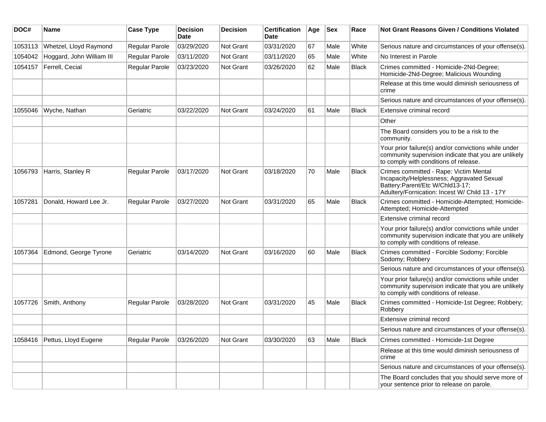| DOC#    | <b>Name</b>               | <b>Case Type</b> | <b>Decision</b><br>Date | <b>Decision</b>  | <b>Certification</b><br>Date | Age | Sex  | Race         | Not Grant Reasons Given / Conditions Violated                                                                                                                             |
|---------|---------------------------|------------------|-------------------------|------------------|------------------------------|-----|------|--------------|---------------------------------------------------------------------------------------------------------------------------------------------------------------------------|
| 1053113 | Whetzel, Lloyd Raymond    | Regular Parole   | 03/29/2020              | Not Grant        | 03/31/2020                   | 67  | Male | White        | Serious nature and circumstances of your offense(s).                                                                                                                      |
| 1054042 | Hoggard, John William III | Regular Parole   | 03/11/2020              | <b>Not Grant</b> | 03/11/2020                   | 65  | Male | White        | No Interest in Parole                                                                                                                                                     |
| 1054157 | Ferrell, Cecial           | Regular Parole   | 03/23/2020              | <b>Not Grant</b> | 03/26/2020                   | 62  | Male | <b>Black</b> | Crimes committed - Homicide-2Nd-Degree;<br>Homicide-2Nd-Degree; Malicious Wounding                                                                                        |
|         |                           |                  |                         |                  |                              |     |      |              | Release at this time would diminish seriousness of<br>crime                                                                                                               |
|         |                           |                  |                         |                  |                              |     |      |              | Serious nature and circumstances of your offense(s).                                                                                                                      |
| 1055046 | Wyche, Nathan             | Geriatric        | 03/22/2020              | <b>Not Grant</b> | 03/24/2020                   | 61  | Male | Black        | Extensive criminal record                                                                                                                                                 |
|         |                           |                  |                         |                  |                              |     |      |              | Other                                                                                                                                                                     |
|         |                           |                  |                         |                  |                              |     |      |              | The Board considers you to be a risk to the<br>community.                                                                                                                 |
|         |                           |                  |                         |                  |                              |     |      |              | Your prior failure(s) and/or convictions while under<br>community supervision indicate that you are unlikely<br>to comply with conditions of release.                     |
| 1056793 | Harris, Stanley R         | Regular Parole   | 03/17/2020              | <b>Not Grant</b> | 03/18/2020                   | 70  | Male | Black        | Crimes committed - Rape: Victim Mental<br>Incapacity/Helplessness; Aggravated Sexual<br>Battery:Parent/Etc W/Chld13-17;<br>Adultery/Fornication: Incest W/ Child 13 - 17Y |
| 1057281 | Donald, Howard Lee Jr.    | Regular Parole   | 03/27/2020              | <b>Not Grant</b> | 03/31/2020                   | 65  | Male | Black        | Crimes committed - Homicide-Attempted; Homicide-<br>Attempted; Homicide-Attempted                                                                                         |
|         |                           |                  |                         |                  |                              |     |      |              | Extensive criminal record                                                                                                                                                 |
|         |                           |                  |                         |                  |                              |     |      |              | Your prior failure(s) and/or convictions while under<br>community supervision indicate that you are unlikely<br>to comply with conditions of release.                     |
| 1057364 | Edmond, George Tyrone     | Geriatric        | 03/14/2020              | <b>Not Grant</b> | 03/16/2020                   | 60  | Male | Black        | Crimes committed - Forcible Sodomy; Forcible<br>Sodomy; Robbery                                                                                                           |
|         |                           |                  |                         |                  |                              |     |      |              | Serious nature and circumstances of your offense(s).                                                                                                                      |
|         |                           |                  |                         |                  |                              |     |      |              | Your prior failure(s) and/or convictions while under<br>community supervision indicate that you are unlikely<br>to comply with conditions of release.                     |
| 1057726 | Smith, Anthony            | Regular Parole   | 03/28/2020              | <b>Not Grant</b> | 03/31/2020                   | 45  | Male | <b>Black</b> | Crimes committed - Homicide-1st Degree; Robbery;<br>Robbery                                                                                                               |
|         |                           |                  |                         |                  |                              |     |      |              | Extensive criminal record                                                                                                                                                 |
|         |                           |                  |                         |                  |                              |     |      |              | Serious nature and circumstances of your offense(s).                                                                                                                      |
| 1058416 | Pettus, Lloyd Eugene      | Regular Parole   | 03/26/2020              | Not Grant        | 03/30/2020                   | 63  | Male | Black        | Crimes committed - Homicide-1st Degree                                                                                                                                    |
|         |                           |                  |                         |                  |                              |     |      |              | Release at this time would diminish seriousness of<br>crime                                                                                                               |
|         |                           |                  |                         |                  |                              |     |      |              | Serious nature and circumstances of your offense(s).                                                                                                                      |
|         |                           |                  |                         |                  |                              |     |      |              | The Board concludes that you should serve more of<br>your sentence prior to release on parole.                                                                            |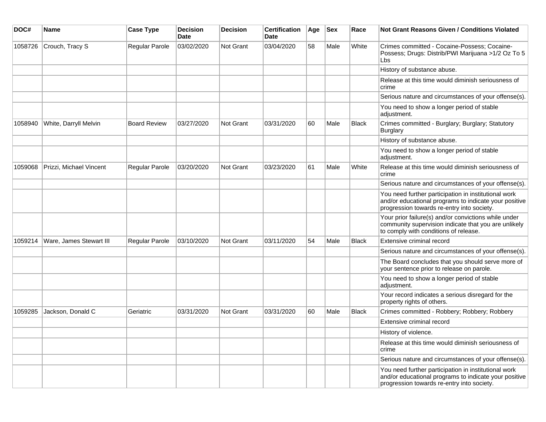| DOC#    | Name                    | <b>Case Type</b>    | <b>Decision</b><br>Date | <b>Decision</b> | <b>Certification</b><br>Date | Age | <b>Sex</b> | Race         | <b>Not Grant Reasons Given / Conditions Violated</b>                                                                                                        |
|---------|-------------------------|---------------------|-------------------------|-----------------|------------------------------|-----|------------|--------------|-------------------------------------------------------------------------------------------------------------------------------------------------------------|
| 1058726 | Crouch, Tracy S         | Regular Parole      | 03/02/2020              | Not Grant       | 03/04/2020                   | 58  | Male       | White        | Crimes committed - Cocaine-Possess; Cocaine-<br>Possess; Drugs: Distrib/PWI Marijuana >1/2 Oz To 5<br>Lbs                                                   |
|         |                         |                     |                         |                 |                              |     |            |              | History of substance abuse.                                                                                                                                 |
|         |                         |                     |                         |                 |                              |     |            |              | Release at this time would diminish seriousness of<br>crime                                                                                                 |
|         |                         |                     |                         |                 |                              |     |            |              | Serious nature and circumstances of your offense(s).                                                                                                        |
|         |                         |                     |                         |                 |                              |     |            |              | You need to show a longer period of stable<br>adjustment.                                                                                                   |
| 1058940 | White, Darryll Melvin   | <b>Board Review</b> | 03/27/2020              | Not Grant       | 03/31/2020                   | 60  | Male       | Black        | Crimes committed - Burglary; Burglary; Statutory<br>Burglary                                                                                                |
|         |                         |                     |                         |                 |                              |     |            |              | History of substance abuse.                                                                                                                                 |
|         |                         |                     |                         |                 |                              |     |            |              | You need to show a longer period of stable<br>adjustment.                                                                                                   |
| 1059068 | Prizzi, Michael Vincent | Regular Parole      | 03/20/2020              | Not Grant       | 03/23/2020                   | 61  | Male       | White        | Release at this time would diminish seriousness of<br>crime                                                                                                 |
|         |                         |                     |                         |                 |                              |     |            |              | Serious nature and circumstances of your offense(s).                                                                                                        |
|         |                         |                     |                         |                 |                              |     |            |              | You need further participation in institutional work<br>and/or educational programs to indicate your positive<br>progression towards re-entry into society. |
|         |                         |                     |                         |                 |                              |     |            |              | Your prior failure(s) and/or convictions while under<br>community supervision indicate that you are unlikely<br>to comply with conditions of release.       |
| 1059214 | Ware, James Stewart III | Regular Parole      | 03/10/2020              | Not Grant       | 03/11/2020                   | 54  | Male       | <b>Black</b> | Extensive criminal record                                                                                                                                   |
|         |                         |                     |                         |                 |                              |     |            |              | Serious nature and circumstances of your offense(s).                                                                                                        |
|         |                         |                     |                         |                 |                              |     |            |              | The Board concludes that you should serve more of<br>your sentence prior to release on parole.                                                              |
|         |                         |                     |                         |                 |                              |     |            |              | You need to show a longer period of stable<br>adjustment.                                                                                                   |
|         |                         |                     |                         |                 |                              |     |            |              | Your record indicates a serious disregard for the<br>property rights of others.                                                                             |
| 1059285 | Jackson, Donald C       | Geriatric           | 03/31/2020              | Not Grant       | 03/31/2020                   | 60  | Male       | <b>Black</b> | Crimes committed - Robbery; Robbery; Robbery                                                                                                                |
|         |                         |                     |                         |                 |                              |     |            |              | Extensive criminal record                                                                                                                                   |
|         |                         |                     |                         |                 |                              |     |            |              | History of violence.                                                                                                                                        |
|         |                         |                     |                         |                 |                              |     |            |              | Release at this time would diminish seriousness of<br>crime                                                                                                 |
|         |                         |                     |                         |                 |                              |     |            |              | Serious nature and circumstances of your offense(s).                                                                                                        |
|         |                         |                     |                         |                 |                              |     |            |              | You need further participation in institutional work<br>and/or educational programs to indicate your positive<br>progression towards re-entry into society. |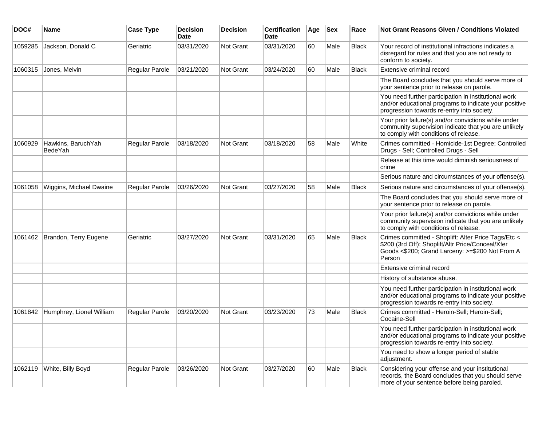| DOC#    | <b>Name</b>                   | <b>Case Type</b> | <b>Decision</b><br><b>Date</b> | <b>Decision</b> | <b>Certification</b><br>Date | Age | <b>Sex</b> | Race         | Not Grant Reasons Given / Conditions Violated                                                                                                                         |
|---------|-------------------------------|------------------|--------------------------------|-----------------|------------------------------|-----|------------|--------------|-----------------------------------------------------------------------------------------------------------------------------------------------------------------------|
| 1059285 | Jackson, Donald C             | Geriatric        | 03/31/2020                     | Not Grant       | 03/31/2020                   | 60  | Male       | <b>Black</b> | Your record of institutional infractions indicates a<br>disregard for rules and that you are not ready to<br>conform to society.                                      |
| 1060315 | Jones, Melvin                 | Regular Parole   | 03/21/2020                     | Not Grant       | 03/24/2020                   | 60  | Male       | <b>Black</b> | Extensive criminal record                                                                                                                                             |
|         |                               |                  |                                |                 |                              |     |            |              | The Board concludes that you should serve more of<br>your sentence prior to release on parole.                                                                        |
|         |                               |                  |                                |                 |                              |     |            |              | You need further participation in institutional work<br>and/or educational programs to indicate your positive<br>progression towards re-entry into society.           |
|         |                               |                  |                                |                 |                              |     |            |              | Your prior failure(s) and/or convictions while under<br>community supervision indicate that you are unlikely<br>to comply with conditions of release.                 |
| 1060929 | Hawkins, BaruchYah<br>BedeYah | Regular Parole   | 03/18/2020                     | Not Grant       | 03/18/2020                   | 58  | Male       | White        | Crimes committed - Homicide-1st Degree; Controlled<br>Drugs - Sell; Controlled Drugs - Sell                                                                           |
|         |                               |                  |                                |                 |                              |     |            |              | Release at this time would diminish seriousness of<br>crime                                                                                                           |
|         |                               |                  |                                |                 |                              |     |            |              | Serious nature and circumstances of your offense(s).                                                                                                                  |
| 1061058 | Wiggins, Michael Dwaine       | Regular Parole   | 03/26/2020                     | Not Grant       | 03/27/2020                   | 58  | Male       | Black        | Serious nature and circumstances of your offense(s).                                                                                                                  |
|         |                               |                  |                                |                 |                              |     |            |              | The Board concludes that you should serve more of<br>your sentence prior to release on parole.                                                                        |
|         |                               |                  |                                |                 |                              |     |            |              | Your prior failure(s) and/or convictions while under<br>community supervision indicate that you are unlikely<br>to comply with conditions of release.                 |
| 1061462 | Brandon, Terry Eugene         | Geriatric        | 03/27/2020                     | Not Grant       | 03/31/2020                   | 65  | Male       | <b>Black</b> | Crimes committed - Shoplift: Alter Price Tags/Etc <<br>\$200 (3rd Off); Shoplift/Altr Price/Conceal/Xfer<br>Goods <\$200; Grand Larceny: >=\$200 Not From A<br>Person |
|         |                               |                  |                                |                 |                              |     |            |              | Extensive criminal record                                                                                                                                             |
|         |                               |                  |                                |                 |                              |     |            |              | History of substance abuse.                                                                                                                                           |
|         |                               |                  |                                |                 |                              |     |            |              | You need further participation in institutional work<br>and/or educational programs to indicate your positive<br>progression towards re-entry into society.           |
| 1061842 | Humphrey, Lionel William      | Regular Parole   | 03/20/2020                     | Not Grant       | 03/23/2020                   | 73  | Male       | <b>Black</b> | Crimes committed - Heroin-Sell; Heroin-Sell;<br>Cocaine-Sell                                                                                                          |
|         |                               |                  |                                |                 |                              |     |            |              | You need further participation in institutional work<br>and/or educational programs to indicate your positive<br>progression towards re-entry into society.           |
|         |                               |                  |                                |                 |                              |     |            |              | You need to show a longer period of stable<br>adjustment.                                                                                                             |
| 1062119 | White, Billy Boyd             | Regular Parole   | 03/26/2020                     | Not Grant       | 03/27/2020                   | 60  | Male       | Black        | Considering your offense and your institutional<br>records, the Board concludes that you should serve<br>more of your sentence before being paroled.                  |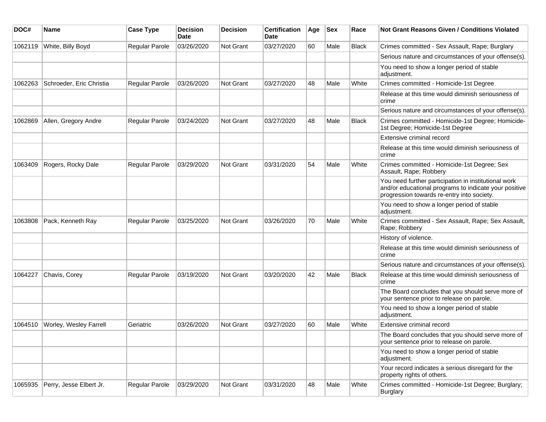| DOC#    | Name                          | <b>Case Type</b>      | <b>Decision</b><br>Date | <b>Decision</b>  | <b>Certification</b><br>Date | Age | <b>Sex</b> | Race         | Not Grant Reasons Given / Conditions Violated                                                                                                               |
|---------|-------------------------------|-----------------------|-------------------------|------------------|------------------------------|-----|------------|--------------|-------------------------------------------------------------------------------------------------------------------------------------------------------------|
| 1062119 | White, Billy Boyd             | Regular Parole        | 03/26/2020              | <b>Not Grant</b> | 03/27/2020                   | 60  | Male       | <b>Black</b> | Crimes committed - Sex Assault, Rape; Burglary                                                                                                              |
|         |                               |                       |                         |                  |                              |     |            |              | Serious nature and circumstances of your offense(s).                                                                                                        |
|         |                               |                       |                         |                  |                              |     |            |              | You need to show a longer period of stable<br>adjustment.                                                                                                   |
| 1062263 | Schroeder, Eric Christia      | <b>Regular Parole</b> | 03/26/2020              | <b>Not Grant</b> | 03/27/2020                   | 48  | Male       | White        | Crimes committed - Homicide-1st Degree                                                                                                                      |
|         |                               |                       |                         |                  |                              |     |            |              | Release at this time would diminish seriousness of<br>crime                                                                                                 |
|         |                               |                       |                         |                  |                              |     |            |              | Serious nature and circumstances of your offense(s).                                                                                                        |
| 1062869 | Allen, Gregory Andre          | <b>Regular Parole</b> | 03/24/2020              | <b>Not Grant</b> | 03/27/2020                   | 48  | Male       | <b>Black</b> | Crimes committed - Homicide-1st Degree; Homicide-<br>1st Degree; Homicide-1st Degree                                                                        |
|         |                               |                       |                         |                  |                              |     |            |              | Extensive criminal record                                                                                                                                   |
|         |                               |                       |                         |                  |                              |     |            |              | Release at this time would diminish seriousness of<br>crime                                                                                                 |
| 1063409 | Rogers, Rocky Dale            | Regular Parole        | 03/29/2020              | <b>Not Grant</b> | 03/31/2020                   | 54  | Male       | White        | Crimes committed - Homicide-1st Degree; Sex<br>Assault, Rape; Robbery                                                                                       |
|         |                               |                       |                         |                  |                              |     |            |              | You need further participation in institutional work<br>and/or educational programs to indicate your positive<br>progression towards re-entry into society. |
|         |                               |                       |                         |                  |                              |     |            |              | You need to show a longer period of stable<br>adjustment.                                                                                                   |
| 1063808 | Pack, Kenneth Ray             | Regular Parole        | 03/25/2020              | <b>Not Grant</b> | 03/26/2020                   | 70  | Male       | White        | Crimes committed - Sex Assault, Rape; Sex Assault,<br>Rape; Robbery                                                                                         |
|         |                               |                       |                         |                  |                              |     |            |              | History of violence.                                                                                                                                        |
|         |                               |                       |                         |                  |                              |     |            |              | Release at this time would diminish seriousness of<br>crime                                                                                                 |
|         |                               |                       |                         |                  |                              |     |            |              | Serious nature and circumstances of your offense(s).                                                                                                        |
| 1064227 | Chavis, Corey                 | <b>Regular Parole</b> | 03/19/2020              | <b>Not Grant</b> | 03/20/2020                   | 42  | Male       | <b>Black</b> | Release at this time would diminish seriousness of<br>crime                                                                                                 |
|         |                               |                       |                         |                  |                              |     |            |              | The Board concludes that you should serve more of<br>your sentence prior to release on parole.                                                              |
|         |                               |                       |                         |                  |                              |     |            |              | You need to show a longer period of stable<br>adjustment.                                                                                                   |
| 1064510 | <b>Worley, Wesley Farrell</b> | Geriatric             | 03/26/2020              | <b>Not Grant</b> | 03/27/2020                   | 60  | Male       | White        | Extensive criminal record                                                                                                                                   |
|         |                               |                       |                         |                  |                              |     |            |              | The Board concludes that you should serve more of<br>your sentence prior to release on parole.                                                              |
|         |                               |                       |                         |                  |                              |     |            |              | You need to show a longer period of stable<br>adjustment.                                                                                                   |
|         |                               |                       |                         |                  |                              |     |            |              | Your record indicates a serious disregard for the<br>property rights of others.                                                                             |
| 1065935 | Perry, Jesse Elbert Jr.       | Regular Parole        | 03/29/2020              | Not Grant        | 03/31/2020                   | 48  | Male       | White        | Crimes committed - Homicide-1st Degree; Burglary;<br>Burglary                                                                                               |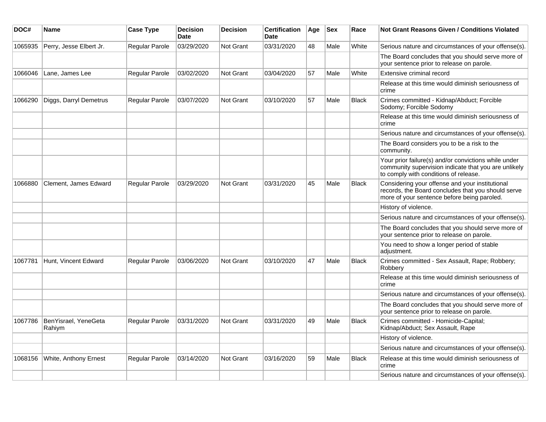| DOC#    | <b>Name</b>                    | <b>Case Type</b>      | <b>Decision</b><br><b>Date</b> | <b>Decision</b>  | <b>Certification</b><br>Date | Age | <b>Sex</b> | Race         | Not Grant Reasons Given / Conditions Violated                                                                                                         |
|---------|--------------------------------|-----------------------|--------------------------------|------------------|------------------------------|-----|------------|--------------|-------------------------------------------------------------------------------------------------------------------------------------------------------|
| 1065935 | Perry, Jesse Elbert Jr.        | Regular Parole        | 03/29/2020                     | Not Grant        | 03/31/2020                   | 48  | Male       | White        | Serious nature and circumstances of your offense(s).                                                                                                  |
|         |                                |                       |                                |                  |                              |     |            |              | The Board concludes that you should serve more of<br>your sentence prior to release on parole.                                                        |
| 1066046 | Lane, James Lee                | Regular Parole        | 03/02/2020                     | Not Grant        | 03/04/2020                   | 57  | Male       | White        | Extensive criminal record                                                                                                                             |
|         |                                |                       |                                |                  |                              |     |            |              | Release at this time would diminish seriousness of<br>crime                                                                                           |
| 1066290 | Diggs, Darryl Demetrus         | <b>Regular Parole</b> | 03/07/2020                     | Not Grant        | 03/10/2020                   | 57  | Male       | <b>Black</b> | Crimes committed - Kidnap/Abduct; Forcible<br>Sodomy; Forcible Sodomy                                                                                 |
|         |                                |                       |                                |                  |                              |     |            |              | Release at this time would diminish seriousness of<br>crime                                                                                           |
|         |                                |                       |                                |                  |                              |     |            |              | Serious nature and circumstances of your offense(s).                                                                                                  |
|         |                                |                       |                                |                  |                              |     |            |              | The Board considers you to be a risk to the<br>community.                                                                                             |
|         |                                |                       |                                |                  |                              |     |            |              | Your prior failure(s) and/or convictions while under<br>community supervision indicate that you are unlikely<br>to comply with conditions of release. |
| 1066880 | Clement, James Edward          | Regular Parole        | 03/29/2020                     | Not Grant        | 03/31/2020                   | 45  | Male       | <b>Black</b> | Considering your offense and your institutional<br>records, the Board concludes that you should serve<br>more of your sentence before being paroled.  |
|         |                                |                       |                                |                  |                              |     |            |              | History of violence.                                                                                                                                  |
|         |                                |                       |                                |                  |                              |     |            |              | Serious nature and circumstances of your offense(s).                                                                                                  |
|         |                                |                       |                                |                  |                              |     |            |              | The Board concludes that you should serve more of<br>your sentence prior to release on parole.                                                        |
|         |                                |                       |                                |                  |                              |     |            |              | You need to show a longer period of stable<br>adjustment.                                                                                             |
| 1067781 | Hunt, Vincent Edward           | Regular Parole        | 03/06/2020                     | Not Grant        | 03/10/2020                   | 47  | Male       | <b>Black</b> | Crimes committed - Sex Assault, Rape; Robbery;<br>Robberv                                                                                             |
|         |                                |                       |                                |                  |                              |     |            |              | Release at this time would diminish seriousness of<br>crime                                                                                           |
|         |                                |                       |                                |                  |                              |     |            |              | Serious nature and circumstances of your offense(s).                                                                                                  |
|         |                                |                       |                                |                  |                              |     |            |              | The Board concludes that you should serve more of<br>your sentence prior to release on parole.                                                        |
| 1067786 | BenYisrael, YeneGeta<br>Rahiym | Regular Parole        | 03/31/2020                     | <b>Not Grant</b> | 03/31/2020                   | 49  | Male       | <b>Black</b> | Crimes committed - Homicide-Capital;<br>Kidnap/Abduct; Sex Assault, Rape                                                                              |
|         |                                |                       |                                |                  |                              |     |            |              | History of violence.                                                                                                                                  |
|         |                                |                       |                                |                  |                              |     |            |              | Serious nature and circumstances of your offense(s).                                                                                                  |
| 1068156 | White, Anthony Ernest          | <b>Regular Parole</b> | 03/14/2020                     | <b>Not Grant</b> | 03/16/2020                   | 59  | Male       | <b>Black</b> | Release at this time would diminish seriousness of<br>crime                                                                                           |
|         |                                |                       |                                |                  |                              |     |            |              | Serious nature and circumstances of your offense(s).                                                                                                  |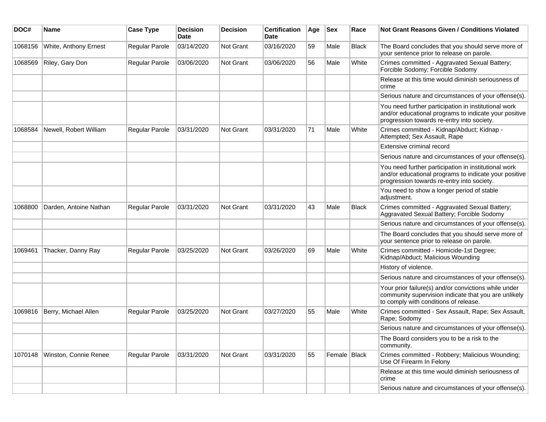| DOC#    | <b>Name</b>            | <b>Case Type</b> | <b>Decision</b><br><b>Date</b> | <b>Decision</b> | <b>Certification</b><br>Date | Age | <b>Sex</b>   | Race         | Not Grant Reasons Given / Conditions Violated                                                                                                               |
|---------|------------------------|------------------|--------------------------------|-----------------|------------------------------|-----|--------------|--------------|-------------------------------------------------------------------------------------------------------------------------------------------------------------|
| 1068156 | White, Anthony Ernest  | Regular Parole   | 03/14/2020                     | Not Grant       | 03/16/2020                   | 59  | Male         | <b>Black</b> | The Board concludes that you should serve more of<br>your sentence prior to release on parole.                                                              |
| 1068569 | Riley, Gary Don        | Regular Parole   | 03/06/2020                     | Not Grant       | 03/06/2020                   | 56  | Male         | White        | Crimes committed - Aggravated Sexual Battery;<br>Forcible Sodomy; Forcible Sodomy                                                                           |
|         |                        |                  |                                |                 |                              |     |              |              | Release at this time would diminish seriousness of<br>crime                                                                                                 |
|         |                        |                  |                                |                 |                              |     |              |              | Serious nature and circumstances of your offense(s).                                                                                                        |
|         |                        |                  |                                |                 |                              |     |              |              | You need further participation in institutional work<br>and/or educational programs to indicate your positive<br>progression towards re-entry into society. |
| 1068584 | Newell, Robert William | Regular Parole   | 03/31/2020                     | Not Grant       | 03/31/2020                   | 71  | Male         | White        | Crimes committed - Kidnap/Abduct; Kidnap -<br>Attempted; Sex Assault, Rape                                                                                  |
|         |                        |                  |                                |                 |                              |     |              |              | Extensive criminal record                                                                                                                                   |
|         |                        |                  |                                |                 |                              |     |              |              | Serious nature and circumstances of your offense(s).                                                                                                        |
|         |                        |                  |                                |                 |                              |     |              |              | You need further participation in institutional work<br>and/or educational programs to indicate your positive<br>progression towards re-entry into society. |
|         |                        |                  |                                |                 |                              |     |              |              | You need to show a longer period of stable<br>adjustment.                                                                                                   |
| 1068800 | Darden, Antoine Nathan | Regular Parole   | 03/31/2020                     | Not Grant       | 03/31/2020                   | 43  | Male         | <b>Black</b> | Crimes committed - Aggravated Sexual Battery;<br>Aggravated Sexual Battery; Forcible Sodomy                                                                 |
|         |                        |                  |                                |                 |                              |     |              |              | Serious nature and circumstances of your offense(s).                                                                                                        |
|         |                        |                  |                                |                 |                              |     |              |              | The Board concludes that you should serve more of<br>your sentence prior to release on parole.                                                              |
| 1069461 | Thacker, Danny Ray     | Regular Parole   | 03/25/2020                     | Not Grant       | 03/26/2020                   | 69  | Male         | White        | Crimes committed - Homicide-1st Degree;<br>Kidnap/Abduct; Malicious Wounding                                                                                |
|         |                        |                  |                                |                 |                              |     |              |              | History of violence.                                                                                                                                        |
|         |                        |                  |                                |                 |                              |     |              |              | Serious nature and circumstances of your offense(s).                                                                                                        |
|         |                        |                  |                                |                 |                              |     |              |              | Your prior failure(s) and/or convictions while under<br>community supervision indicate that you are unlikely<br>to comply with conditions of release.       |
| 1069816 | Berry, Michael Allen   | Regular Parole   | 03/25/2020                     | Not Grant       | 03/27/2020                   | 55  | Male         | White        | Crimes committed - Sex Assault, Rape; Sex Assault,<br>Rape; Sodomy                                                                                          |
|         |                        |                  |                                |                 |                              |     |              |              | Serious nature and circumstances of your offense(s).                                                                                                        |
|         |                        |                  |                                |                 |                              |     |              |              | The Board considers you to be a risk to the<br>community.                                                                                                   |
| 1070148 | Winston, Connie Renee  | Regular Parole   | 03/31/2020                     | Not Grant       | 03/31/2020                   | 55  | Female Black |              | Crimes committed - Robbery; Malicious Wounding;<br>Use Of Firearm In Felony                                                                                 |
|         |                        |                  |                                |                 |                              |     |              |              | Release at this time would diminish seriousness of<br>crime                                                                                                 |
|         |                        |                  |                                |                 |                              |     |              |              | Serious nature and circumstances of your offense(s).                                                                                                        |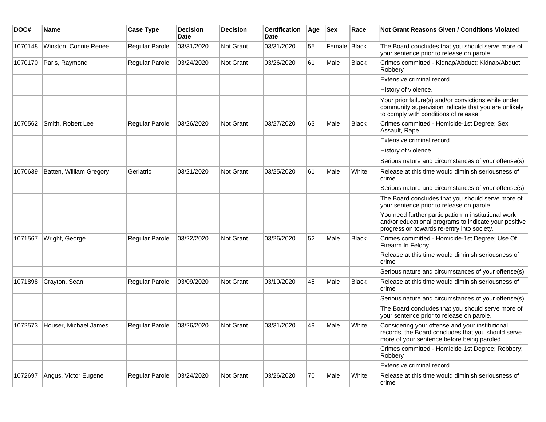| DOC#    | <b>Name</b>             | <b>Case Type</b>      | <b>Decision</b><br>Date | <b>Decision</b>  | <b>Certification</b><br>Date | Age | <b>Sex</b>   | Race         | Not Grant Reasons Given / Conditions Violated                                                                                                               |
|---------|-------------------------|-----------------------|-------------------------|------------------|------------------------------|-----|--------------|--------------|-------------------------------------------------------------------------------------------------------------------------------------------------------------|
| 1070148 | Winston, Connie Renee   | <b>Regular Parole</b> | 03/31/2020              | Not Grant        | 03/31/2020                   | 55  | Female Black |              | The Board concludes that you should serve more of<br>your sentence prior to release on parole.                                                              |
| 1070170 | Paris, Raymond          | Regular Parole        | 03/24/2020              | <b>Not Grant</b> | 03/26/2020                   | 61  | Male         | <b>Black</b> | Crimes committed - Kidnap/Abduct; Kidnap/Abduct;<br>Robbery                                                                                                 |
|         |                         |                       |                         |                  |                              |     |              |              | Extensive criminal record                                                                                                                                   |
|         |                         |                       |                         |                  |                              |     |              |              | History of violence.                                                                                                                                        |
|         |                         |                       |                         |                  |                              |     |              |              | Your prior failure(s) and/or convictions while under<br>community supervision indicate that you are unlikely<br>to comply with conditions of release.       |
| 1070562 | Smith, Robert Lee       | Regular Parole        | 03/26/2020              | Not Grant        | 03/27/2020                   | 63  | Male         | <b>Black</b> | Crimes committed - Homicide-1st Degree; Sex<br>Assault, Rape                                                                                                |
|         |                         |                       |                         |                  |                              |     |              |              | Extensive criminal record                                                                                                                                   |
|         |                         |                       |                         |                  |                              |     |              |              | History of violence.                                                                                                                                        |
|         |                         |                       |                         |                  |                              |     |              |              | Serious nature and circumstances of your offense(s).                                                                                                        |
| 1070639 | Batten, William Gregory | Geriatric             | 03/21/2020              | <b>Not Grant</b> | 03/25/2020                   | 61  | Male         | White        | Release at this time would diminish seriousness of<br>crime                                                                                                 |
|         |                         |                       |                         |                  |                              |     |              |              | Serious nature and circumstances of your offense(s).                                                                                                        |
|         |                         |                       |                         |                  |                              |     |              |              | The Board concludes that you should serve more of<br>your sentence prior to release on parole.                                                              |
|         |                         |                       |                         |                  |                              |     |              |              | You need further participation in institutional work<br>and/or educational programs to indicate your positive<br>progression towards re-entry into society. |
| 1071567 | Wright, George L        | Regular Parole        | 03/22/2020              | Not Grant        | 03/26/2020                   | 52  | Male         | <b>Black</b> | Crimes committed - Homicide-1st Degree; Use Of<br>Firearm In Felony                                                                                         |
|         |                         |                       |                         |                  |                              |     |              |              | Release at this time would diminish seriousness of<br>crime                                                                                                 |
|         |                         |                       |                         |                  |                              |     |              |              | Serious nature and circumstances of your offense(s).                                                                                                        |
| 1071898 | Crayton, Sean           | Regular Parole        | 03/09/2020              | <b>Not Grant</b> | 03/10/2020                   | 45  | Male         | <b>Black</b> | Release at this time would diminish seriousness of<br>crime                                                                                                 |
|         |                         |                       |                         |                  |                              |     |              |              | Serious nature and circumstances of your offense(s).                                                                                                        |
|         |                         |                       |                         |                  |                              |     |              |              | The Board concludes that you should serve more of<br>your sentence prior to release on parole.                                                              |
| 1072573 | Houser, Michael James   | <b>Regular Parole</b> | 03/26/2020              | Not Grant        | 03/31/2020                   | 49  | Male         | White        | Considering your offense and your institutional<br>records, the Board concludes that you should serve<br>more of your sentence before being paroled.        |
|         |                         |                       |                         |                  |                              |     |              |              | Crimes committed - Homicide-1st Degree; Robbery;<br>Robbery                                                                                                 |
|         |                         |                       |                         |                  |                              |     |              |              | Extensive criminal record                                                                                                                                   |
| 1072697 | Angus, Victor Eugene    | Regular Parole        | 03/24/2020              | Not Grant        | 03/26/2020                   | 70  | Male         | White        | Release at this time would diminish seriousness of<br>crime                                                                                                 |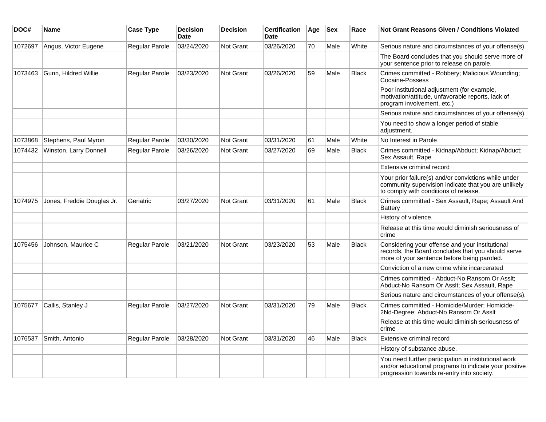| DOC#    | <b>Name</b>                | <b>Case Type</b>      | <b>Decision</b><br><b>Date</b> | <b>Decision</b> | <b>Certification</b><br>Date | Age | <b>Sex</b> | Race         | Not Grant Reasons Given / Conditions Violated                                                                                                               |
|---------|----------------------------|-----------------------|--------------------------------|-----------------|------------------------------|-----|------------|--------------|-------------------------------------------------------------------------------------------------------------------------------------------------------------|
| 1072697 | Angus, Victor Eugene       | Regular Parole        | 03/24/2020                     | Not Grant       | 03/26/2020                   | 70  | Male       | White        | Serious nature and circumstances of your offense(s).                                                                                                        |
|         |                            |                       |                                |                 |                              |     |            |              | The Board concludes that you should serve more of<br>your sentence prior to release on parole.                                                              |
| 1073463 | Gunn, Hildred Willie       | Regular Parole        | 03/23/2020                     | Not Grant       | 03/26/2020                   | 59  | Male       | <b>Black</b> | Crimes committed - Robbery; Malicious Wounding;<br>Cocaine-Possess                                                                                          |
|         |                            |                       |                                |                 |                              |     |            |              | Poor institutional adjustment (for example,<br>motivation/attitude, unfavorable reports, lack of<br>program involvement, etc.)                              |
|         |                            |                       |                                |                 |                              |     |            |              | Serious nature and circumstances of your offense(s).                                                                                                        |
|         |                            |                       |                                |                 |                              |     |            |              | You need to show a longer period of stable<br>adjustment.                                                                                                   |
| 1073868 | Stephens, Paul Myron       | Regular Parole        | 03/30/2020                     | Not Grant       | 03/31/2020                   | 61  | Male       | White        | No Interest in Parole                                                                                                                                       |
| 1074432 | Winston, Larry Donnell     | Regular Parole        | 03/26/2020                     | Not Grant       | 03/27/2020                   | 69  | Male       | <b>Black</b> | Crimes committed - Kidnap/Abduct; Kidnap/Abduct;<br>Sex Assault, Rape                                                                                       |
|         |                            |                       |                                |                 |                              |     |            |              | Extensive criminal record                                                                                                                                   |
|         |                            |                       |                                |                 |                              |     |            |              | Your prior failure(s) and/or convictions while under<br>community supervision indicate that you are unlikely<br>to comply with conditions of release.       |
| 1074975 | Jones, Freddie Douglas Jr. | Geriatric             | 03/27/2020                     | Not Grant       | 03/31/2020                   | 61  | Male       | <b>Black</b> | Crimes committed - Sex Assault, Rape; Assault And<br><b>Battery</b>                                                                                         |
|         |                            |                       |                                |                 |                              |     |            |              | History of violence.                                                                                                                                        |
|         |                            |                       |                                |                 |                              |     |            |              | Release at this time would diminish seriousness of<br>crime                                                                                                 |
| 1075456 | Johnson, Maurice C         | <b>Regular Parole</b> | 03/21/2020                     | Not Grant       | 03/23/2020                   | 53  | Male       | <b>Black</b> | Considering your offense and your institutional<br>records, the Board concludes that you should serve<br>more of your sentence before being paroled.        |
|         |                            |                       |                                |                 |                              |     |            |              | Conviction of a new crime while incarcerated                                                                                                                |
|         |                            |                       |                                |                 |                              |     |            |              | Crimes committed - Abduct-No Ransom Or Asslt;<br>Abduct-No Ransom Or Asslt; Sex Assault, Rape                                                               |
|         |                            |                       |                                |                 |                              |     |            |              | Serious nature and circumstances of your offense(s).                                                                                                        |
| 1075677 | Callis, Stanley J          | Regular Parole        | 03/27/2020                     | Not Grant       | 03/31/2020                   | 79  | Male       | <b>Black</b> | Crimes committed - Homicide/Murder; Homicide-<br>2Nd-Degree; Abduct-No Ransom Or Asslt                                                                      |
|         |                            |                       |                                |                 |                              |     |            |              | Release at this time would diminish seriousness of<br>crime                                                                                                 |
| 1076537 | Smith, Antonio             | Regular Parole        | 03/28/2020                     | Not Grant       | 03/31/2020                   | 46  | Male       | <b>Black</b> | Extensive criminal record                                                                                                                                   |
|         |                            |                       |                                |                 |                              |     |            |              | History of substance abuse.                                                                                                                                 |
|         |                            |                       |                                |                 |                              |     |            |              | You need further participation in institutional work<br>and/or educational programs to indicate your positive<br>progression towards re-entry into society. |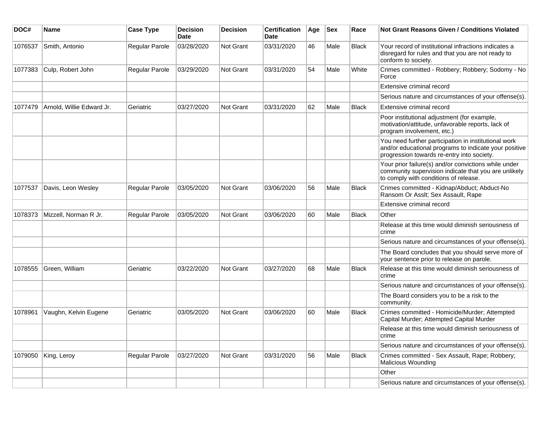| DOC#    | <b>Name</b>               | <b>Case Type</b> | <b>Decision</b><br>Date | <b>Decision</b> | <b>Certification</b><br>Date | Age | <b>Sex</b> | Race         | Not Grant Reasons Given / Conditions Violated                                                                                                               |
|---------|---------------------------|------------------|-------------------------|-----------------|------------------------------|-----|------------|--------------|-------------------------------------------------------------------------------------------------------------------------------------------------------------|
| 1076537 | Smith, Antonio            | Regular Parole   | 03/28/2020              | Not Grant       | 03/31/2020                   | 46  | Male       | <b>Black</b> | Your record of institutional infractions indicates a<br>disregard for rules and that you are not ready to<br>conform to society.                            |
| 1077383 | Culp, Robert John         | Regular Parole   | 03/29/2020              | Not Grant       | 03/31/2020                   | 54  | Male       | White        | Crimes committed - Robbery; Robbery; Sodomy - No<br>Force                                                                                                   |
|         |                           |                  |                         |                 |                              |     |            |              | Extensive criminal record                                                                                                                                   |
|         |                           |                  |                         |                 |                              |     |            |              | Serious nature and circumstances of your offense(s).                                                                                                        |
| 1077479 | Arnold, Willie Edward Jr. | Geriatric        | 03/27/2020              | Not Grant       | 03/31/2020                   | 62  | Male       | <b>Black</b> | Extensive criminal record                                                                                                                                   |
|         |                           |                  |                         |                 |                              |     |            |              | Poor institutional adjustment (for example,<br>motivation/attitude, unfavorable reports, lack of<br>program involvement, etc.)                              |
|         |                           |                  |                         |                 |                              |     |            |              | You need further participation in institutional work<br>and/or educational programs to indicate your positive<br>progression towards re-entry into society. |
|         |                           |                  |                         |                 |                              |     |            |              | Your prior failure(s) and/or convictions while under<br>community supervision indicate that you are unlikely<br>to comply with conditions of release.       |
| 1077537 | Davis, Leon Wesley        | Regular Parole   | 03/05/2020              | Not Grant       | 03/06/2020                   | 56  | Male       | <b>Black</b> | Crimes committed - Kidnap/Abduct; Abduct-No<br>Ransom Or Asslt; Sex Assault, Rape                                                                           |
|         |                           |                  |                         |                 |                              |     |            |              | Extensive criminal record                                                                                                                                   |
| 1078373 | Mizzell, Norman R Jr.     | Regular Parole   | 03/05/2020              | Not Grant       | 03/06/2020                   | 60  | Male       | <b>Black</b> | Other                                                                                                                                                       |
|         |                           |                  |                         |                 |                              |     |            |              | Release at this time would diminish seriousness of<br>crime                                                                                                 |
|         |                           |                  |                         |                 |                              |     |            |              | Serious nature and circumstances of your offense(s).                                                                                                        |
|         |                           |                  |                         |                 |                              |     |            |              | The Board concludes that you should serve more of<br>your sentence prior to release on parole.                                                              |
| 1078555 | Green, William            | Geriatric        | 03/22/2020              | Not Grant       | 03/27/2020                   | 68  | Male       | <b>Black</b> | Release at this time would diminish seriousness of<br>crime                                                                                                 |
|         |                           |                  |                         |                 |                              |     |            |              | Serious nature and circumstances of your offense(s).                                                                                                        |
|         |                           |                  |                         |                 |                              |     |            |              | The Board considers you to be a risk to the<br>community.                                                                                                   |
| 1078961 | Vaughn, Kelvin Eugene     | Geriatric        | 03/05/2020              | Not Grant       | 03/06/2020                   | 60  | Male       | <b>Black</b> | Crimes committed - Homicide/Murder; Attempted<br>Capital Murder; Attempted Capital Murder                                                                   |
|         |                           |                  |                         |                 |                              |     |            |              | Release at this time would diminish seriousness of<br>crime                                                                                                 |
|         |                           |                  |                         |                 |                              |     |            |              | Serious nature and circumstances of your offense(s).                                                                                                        |
| 1079050 | King, Leroy               | Regular Parole   | 03/27/2020              | Not Grant       | 03/31/2020                   | 56  | Male       | Black        | Crimes committed - Sex Assault, Rape; Robbery;<br>Malicious Wounding                                                                                        |
|         |                           |                  |                         |                 |                              |     |            |              | Other                                                                                                                                                       |
|         |                           |                  |                         |                 |                              |     |            |              | Serious nature and circumstances of your offense(s).                                                                                                        |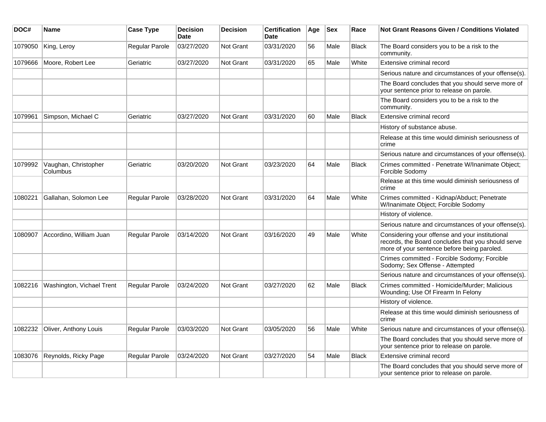| DOC#    | Name                             | <b>Case Type</b>      | <b>Decision</b><br><b>Date</b> | <b>Decision</b>  | <b>Certification</b><br>Date | Age | <b>Sex</b> | Race         | Not Grant Reasons Given / Conditions Violated                                                                                                        |
|---------|----------------------------------|-----------------------|--------------------------------|------------------|------------------------------|-----|------------|--------------|------------------------------------------------------------------------------------------------------------------------------------------------------|
| 1079050 | King, Leroy                      | <b>Regular Parole</b> | 03/27/2020                     | Not Grant        | 03/31/2020                   | 56  | Male       | <b>Black</b> | The Board considers you to be a risk to the<br>community.                                                                                            |
| 1079666 | Moore, Robert Lee                | Geriatric             | 03/27/2020                     | <b>Not Grant</b> | 03/31/2020                   | 65  | Male       | White        | Extensive criminal record                                                                                                                            |
|         |                                  |                       |                                |                  |                              |     |            |              | Serious nature and circumstances of your offense(s).                                                                                                 |
|         |                                  |                       |                                |                  |                              |     |            |              | The Board concludes that you should serve more of<br>your sentence prior to release on parole.                                                       |
|         |                                  |                       |                                |                  |                              |     |            |              | The Board considers you to be a risk to the<br>community.                                                                                            |
| 1079961 | Simpson, Michael C               | Geriatric             | 03/27/2020                     | <b>Not Grant</b> | 03/31/2020                   | 60  | Male       | <b>Black</b> | Extensive criminal record                                                                                                                            |
|         |                                  |                       |                                |                  |                              |     |            |              | History of substance abuse.                                                                                                                          |
|         |                                  |                       |                                |                  |                              |     |            |              | Release at this time would diminish seriousness of<br>crime                                                                                          |
|         |                                  |                       |                                |                  |                              |     |            |              | Serious nature and circumstances of your offense(s).                                                                                                 |
| 1079992 | Vaughan, Christopher<br>Columbus | Geriatric             | 03/20/2020                     | Not Grant        | 03/23/2020                   | 64  | Male       | <b>Black</b> | Crimes committed - Penetrate W/Inanimate Object;<br>Forcible Sodomy                                                                                  |
|         |                                  |                       |                                |                  |                              |     |            |              | Release at this time would diminish seriousness of<br>crime                                                                                          |
| 1080221 | Gallahan, Solomon Lee            | Regular Parole        | 03/28/2020                     | <b>Not Grant</b> | 03/31/2020                   | 64  | Male       | White        | Crimes committed - Kidnap/Abduct; Penetrate<br>W/Inanimate Object; Forcible Sodomy                                                                   |
|         |                                  |                       |                                |                  |                              |     |            |              | History of violence.                                                                                                                                 |
|         |                                  |                       |                                |                  |                              |     |            |              | Serious nature and circumstances of your offense(s).                                                                                                 |
| 1080907 | Accordino, William Juan          | <b>Regular Parole</b> | 03/14/2020                     | Not Grant        | 03/16/2020                   | 49  | Male       | White        | Considering your offense and your institutional<br>records, the Board concludes that you should serve<br>more of your sentence before being paroled. |
|         |                                  |                       |                                |                  |                              |     |            |              | Crimes committed - Forcible Sodomy; Forcible<br>Sodomy; Sex Offense - Attempted                                                                      |
|         |                                  |                       |                                |                  |                              |     |            |              | Serious nature and circumstances of your offense(s).                                                                                                 |
| 1082216 | Washington, Vichael Trent        | Regular Parole        | 03/24/2020                     | <b>Not Grant</b> | 03/27/2020                   | 62  | Male       | Black        | Crimes committed - Homicide/Murder; Malicious<br>Wounding; Use Of Firearm In Felony                                                                  |
|         |                                  |                       |                                |                  |                              |     |            |              | History of violence.                                                                                                                                 |
|         |                                  |                       |                                |                  |                              |     |            |              | Release at this time would diminish seriousness of<br>crime                                                                                          |
| 1082232 | Oliver, Anthony Louis            | Regular Parole        | 03/03/2020                     | <b>Not Grant</b> | 03/05/2020                   | 56  | Male       | White        | Serious nature and circumstances of your offense(s).                                                                                                 |
|         |                                  |                       |                                |                  |                              |     |            |              | The Board concludes that you should serve more of<br>your sentence prior to release on parole.                                                       |
| 1083076 | Reynolds, Ricky Page             | Regular Parole        | 03/24/2020                     | <b>Not Grant</b> | 03/27/2020                   | 54  | Male       | Black        | Extensive criminal record                                                                                                                            |
|         |                                  |                       |                                |                  |                              |     |            |              | The Board concludes that you should serve more of<br>your sentence prior to release on parole.                                                       |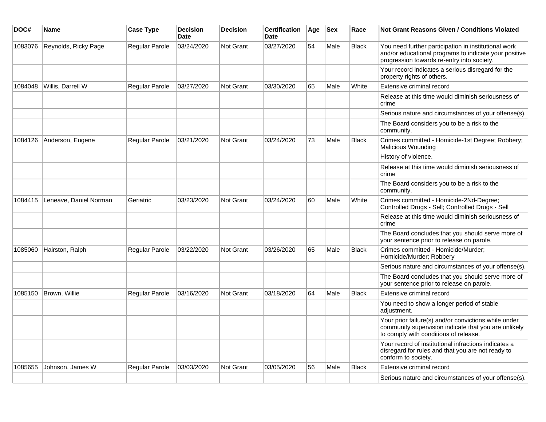| DOC#    | Name                   | <b>Case Type</b>      | <b>Decision</b><br><b>Date</b> | <b>Decision</b>  | <b>Certification</b><br><b>Date</b> | Age | <b>Sex</b> | Race         | <b>Not Grant Reasons Given / Conditions Violated</b>                                                                                                        |
|---------|------------------------|-----------------------|--------------------------------|------------------|-------------------------------------|-----|------------|--------------|-------------------------------------------------------------------------------------------------------------------------------------------------------------|
| 1083076 | Reynolds, Ricky Page   | <b>Regular Parole</b> | 03/24/2020                     | Not Grant        | 03/27/2020                          | 54  | Male       | <b>Black</b> | You need further participation in institutional work<br>and/or educational programs to indicate your positive<br>progression towards re-entry into society. |
|         |                        |                       |                                |                  |                                     |     |            |              | Your record indicates a serious disregard for the<br>property rights of others.                                                                             |
| 1084048 | Willis, Darrell W      | Regular Parole        | 03/27/2020                     | <b>Not Grant</b> | 03/30/2020                          | 65  | Male       | White        | Extensive criminal record                                                                                                                                   |
|         |                        |                       |                                |                  |                                     |     |            |              | Release at this time would diminish seriousness of<br>crime                                                                                                 |
|         |                        |                       |                                |                  |                                     |     |            |              | Serious nature and circumstances of your offense(s).                                                                                                        |
|         |                        |                       |                                |                  |                                     |     |            |              | The Board considers you to be a risk to the<br>community.                                                                                                   |
| 1084126 | Anderson, Eugene       | Regular Parole        | 03/21/2020                     | <b>Not Grant</b> | 03/24/2020                          | 73  | Male       | <b>Black</b> | Crimes committed - Homicide-1st Degree; Robbery;<br>Malicious Wounding                                                                                      |
|         |                        |                       |                                |                  |                                     |     |            |              | History of violence.                                                                                                                                        |
|         |                        |                       |                                |                  |                                     |     |            |              | Release at this time would diminish seriousness of<br>crime                                                                                                 |
|         |                        |                       |                                |                  |                                     |     |            |              | The Board considers you to be a risk to the<br>community.                                                                                                   |
| 1084415 | Leneave, Daniel Norman | Geriatric             | 03/23/2020                     | Not Grant        | 03/24/2020                          | 60  | Male       | White        | Crimes committed - Homicide-2Nd-Degree;<br>Controlled Drugs - Sell; Controlled Drugs - Sell                                                                 |
|         |                        |                       |                                |                  |                                     |     |            |              | Release at this time would diminish seriousness of<br>crime                                                                                                 |
|         |                        |                       |                                |                  |                                     |     |            |              | The Board concludes that you should serve more of<br>your sentence prior to release on parole.                                                              |
| 1085060 | Hairston, Ralph        | <b>Regular Parole</b> | 03/22/2020                     | Not Grant        | 03/26/2020                          | 65  | Male       | <b>Black</b> | Crimes committed - Homicide/Murder;<br>Homicide/Murder; Robbery                                                                                             |
|         |                        |                       |                                |                  |                                     |     |            |              | Serious nature and circumstances of your offense(s).                                                                                                        |
|         |                        |                       |                                |                  |                                     |     |            |              | The Board concludes that you should serve more of<br>your sentence prior to release on parole.                                                              |
| 1085150 | Brown, Willie          | Regular Parole        | 03/16/2020                     | Not Grant        | 03/18/2020                          | 64  | Male       | <b>Black</b> | Extensive criminal record                                                                                                                                   |
|         |                        |                       |                                |                  |                                     |     |            |              | You need to show a longer period of stable<br>adjustment.                                                                                                   |
|         |                        |                       |                                |                  |                                     |     |            |              | Your prior failure(s) and/or convictions while under<br>community supervision indicate that you are unlikely<br>to comply with conditions of release.       |
|         |                        |                       |                                |                  |                                     |     |            |              | Your record of institutional infractions indicates a<br>disregard for rules and that you are not ready to<br>conform to society.                            |
| 1085655 | Johnson, James W       | Regular Parole        | 03/03/2020                     | <b>Not Grant</b> | 03/05/2020                          | 56  | Male       | <b>Black</b> | Extensive criminal record                                                                                                                                   |
|         |                        |                       |                                |                  |                                     |     |            |              | Serious nature and circumstances of your offense(s).                                                                                                        |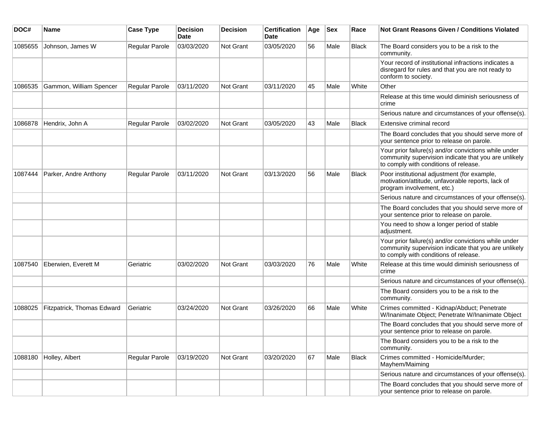| DOC#    | <b>Name</b>                | <b>Case Type</b>      | <b>Decision</b><br>Date | <b>Decision</b> | <b>Certification</b><br>Date | Age | <b>Sex</b> | Race  | <b>Not Grant Reasons Given / Conditions Violated</b>                                                                                                  |
|---------|----------------------------|-----------------------|-------------------------|-----------------|------------------------------|-----|------------|-------|-------------------------------------------------------------------------------------------------------------------------------------------------------|
| 1085655 | Johnson, James W           | <b>Regular Parole</b> | 03/03/2020              | Not Grant       | 03/05/2020                   | 56  | Male       | Black | The Board considers you to be a risk to the<br>community.                                                                                             |
|         |                            |                       |                         |                 |                              |     |            |       | Your record of institutional infractions indicates a<br>disregard for rules and that you are not ready to<br>conform to society.                      |
| 1086535 | Gammon, William Spencer    | Regular Parole        | 03/11/2020              | Not Grant       | 03/11/2020                   | 45  | Male       | White | Other                                                                                                                                                 |
|         |                            |                       |                         |                 |                              |     |            |       | Release at this time would diminish seriousness of<br>crime                                                                                           |
|         |                            |                       |                         |                 |                              |     |            |       | Serious nature and circumstances of your offense(s).                                                                                                  |
| 1086878 | Hendrix, John A            | Regular Parole        | 03/02/2020              | Not Grant       | 03/05/2020                   | 43  | Male       | Black | Extensive criminal record                                                                                                                             |
|         |                            |                       |                         |                 |                              |     |            |       | The Board concludes that you should serve more of<br>your sentence prior to release on parole.                                                        |
|         |                            |                       |                         |                 |                              |     |            |       | Your prior failure(s) and/or convictions while under<br>community supervision indicate that you are unlikely<br>to comply with conditions of release. |
| 1087444 | Parker, Andre Anthony      | Regular Parole        | 03/11/2020              | Not Grant       | 03/13/2020                   | 56  | Male       | Black | Poor institutional adjustment (for example,<br>motivation/attitude, unfavorable reports, lack of<br>program involvement, etc.)                        |
|         |                            |                       |                         |                 |                              |     |            |       | Serious nature and circumstances of your offense(s).                                                                                                  |
|         |                            |                       |                         |                 |                              |     |            |       | The Board concludes that you should serve more of<br>your sentence prior to release on parole.                                                        |
|         |                            |                       |                         |                 |                              |     |            |       | You need to show a longer period of stable<br>adjustment.                                                                                             |
|         |                            |                       |                         |                 |                              |     |            |       | Your prior failure(s) and/or convictions while under<br>community supervision indicate that you are unlikely<br>to comply with conditions of release. |
| 1087540 | Eberwien, Everett M        | Geriatric             | 03/02/2020              | Not Grant       | 03/03/2020                   | 76  | Male       | White | Release at this time would diminish seriousness of<br>crime                                                                                           |
|         |                            |                       |                         |                 |                              |     |            |       | Serious nature and circumstances of your offense(s).                                                                                                  |
|         |                            |                       |                         |                 |                              |     |            |       | The Board considers you to be a risk to the<br>community.                                                                                             |
| 1088025 | Fitzpatrick, Thomas Edward | Geriatric             | 03/24/2020              | Not Grant       | 03/26/2020                   | 66  | Male       | White | Crimes committed - Kidnap/Abduct; Penetrate<br>W/Inanimate Object; Penetrate W/Inanimate Object                                                       |
|         |                            |                       |                         |                 |                              |     |            |       | The Board concludes that you should serve more of<br>your sentence prior to release on parole.                                                        |
|         |                            |                       |                         |                 |                              |     |            |       | The Board considers you to be a risk to the<br>community.                                                                                             |
| 1088180 | Holley, Albert             | Regular Parole        | 03/19/2020              | Not Grant       | 03/20/2020                   | 67  | Male       | Black | Crimes committed - Homicide/Murder;<br>Mayhem/Maiming                                                                                                 |
|         |                            |                       |                         |                 |                              |     |            |       | Serious nature and circumstances of your offense(s).                                                                                                  |
|         |                            |                       |                         |                 |                              |     |            |       | The Board concludes that you should serve more of<br>your sentence prior to release on parole.                                                        |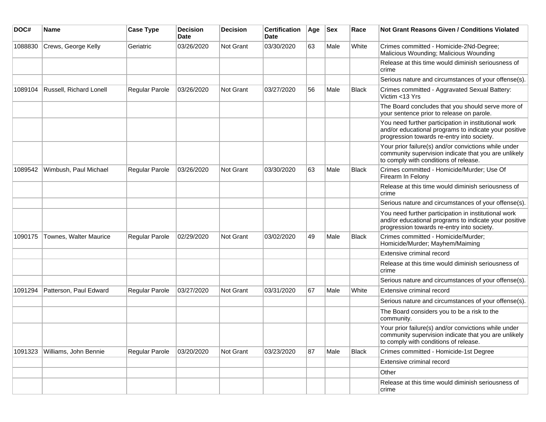| DOC#    | <b>Name</b>                    | <b>Case Type</b>      | <b>Decision</b><br><b>Date</b> | <b>Decision</b> | <b>Certification</b><br>Date | Age | <b>Sex</b> | Race         | <b>Not Grant Reasons Given / Conditions Violated</b>                                                                                                        |
|---------|--------------------------------|-----------------------|--------------------------------|-----------------|------------------------------|-----|------------|--------------|-------------------------------------------------------------------------------------------------------------------------------------------------------------|
| 1088830 | Crews, George Kelly            | Geriatric             | 03/26/2020                     | Not Grant       | 03/30/2020                   | 63  | Male       | White        | Crimes committed - Homicide-2Nd-Degree;<br>Malicious Wounding; Malicious Wounding                                                                           |
|         |                                |                       |                                |                 |                              |     |            |              | Release at this time would diminish seriousness of<br>crime                                                                                                 |
|         |                                |                       |                                |                 |                              |     |            |              | Serious nature and circumstances of your offense(s).                                                                                                        |
| 1089104 | <b>Russell, Richard Lonell</b> | Regular Parole        | 03/26/2020                     | Not Grant       | 03/27/2020                   | 56  | Male       | <b>Black</b> | Crimes committed - Aggravated Sexual Battery:<br>Victim <13 Yrs                                                                                             |
|         |                                |                       |                                |                 |                              |     |            |              | The Board concludes that you should serve more of<br>your sentence prior to release on parole.                                                              |
|         |                                |                       |                                |                 |                              |     |            |              | You need further participation in institutional work<br>and/or educational programs to indicate your positive<br>progression towards re-entry into society. |
|         |                                |                       |                                |                 |                              |     |            |              | Your prior failure(s) and/or convictions while under<br>community supervision indicate that you are unlikely<br>to comply with conditions of release.       |
| 1089542 | Wimbush, Paul Michael          | Regular Parole        | 03/26/2020                     | Not Grant       | 03/30/2020                   | 63  | Male       | <b>Black</b> | Crimes committed - Homicide/Murder; Use Of<br>Firearm In Felony                                                                                             |
|         |                                |                       |                                |                 |                              |     |            |              | Release at this time would diminish seriousness of<br>crime                                                                                                 |
|         |                                |                       |                                |                 |                              |     |            |              | Serious nature and circumstances of your offense(s).                                                                                                        |
|         |                                |                       |                                |                 |                              |     |            |              | You need further participation in institutional work<br>and/or educational programs to indicate your positive<br>progression towards re-entry into society. |
| 1090175 | Townes, Walter Maurice         | Regular Parole        | 02/29/2020                     | Not Grant       | 03/02/2020                   | 49  | Male       | <b>Black</b> | Crimes committed - Homicide/Murder;<br>Homicide/Murder; Mayhem/Maiming                                                                                      |
|         |                                |                       |                                |                 |                              |     |            |              | Extensive criminal record                                                                                                                                   |
|         |                                |                       |                                |                 |                              |     |            |              | Release at this time would diminish seriousness of<br>crime                                                                                                 |
|         |                                |                       |                                |                 |                              |     |            |              | Serious nature and circumstances of your offense(s).                                                                                                        |
| 1091294 | Patterson, Paul Edward         | <b>Regular Parole</b> | 03/27/2020                     | Not Grant       | 03/31/2020                   | 67  | Male       | White        | Extensive criminal record                                                                                                                                   |
|         |                                |                       |                                |                 |                              |     |            |              | Serious nature and circumstances of your offense(s).                                                                                                        |
|         |                                |                       |                                |                 |                              |     |            |              | The Board considers you to be a risk to the<br>community.                                                                                                   |
|         |                                |                       |                                |                 |                              |     |            |              | Your prior failure(s) and/or convictions while under<br>community supervision indicate that you are unlikely<br>to comply with conditions of release.       |
| 1091323 | Williams, John Bennie          | Regular Parole        | 03/20/2020                     | Not Grant       | 03/23/2020                   | 87  | Male       | Black        | Crimes committed - Homicide-1st Degree                                                                                                                      |
|         |                                |                       |                                |                 |                              |     |            |              | Extensive criminal record                                                                                                                                   |
|         |                                |                       |                                |                 |                              |     |            |              | Other                                                                                                                                                       |
|         |                                |                       |                                |                 |                              |     |            |              | Release at this time would diminish seriousness of<br>crime                                                                                                 |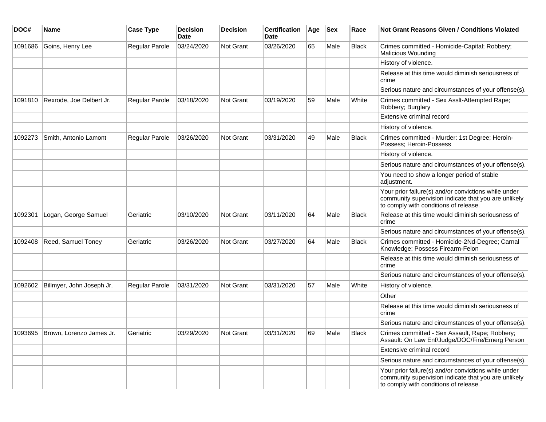| DOC#    | <b>Name</b>                        | <b>Case Type</b>      | <b>Decision</b><br>Date | <b>Decision</b> | <b>Certification</b><br><b>Date</b> | Age | <b>Sex</b> | Race         | Not Grant Reasons Given / Conditions Violated                                                                                                         |
|---------|------------------------------------|-----------------------|-------------------------|-----------------|-------------------------------------|-----|------------|--------------|-------------------------------------------------------------------------------------------------------------------------------------------------------|
| 1091686 | Goins, Henry Lee                   | Regular Parole        | 03/24/2020              | Not Grant       | 03/26/2020                          | 65  | Male       | Black        | Crimes committed - Homicide-Capital; Robbery;<br><b>Malicious Wounding</b>                                                                            |
|         |                                    |                       |                         |                 |                                     |     |            |              | History of violence.                                                                                                                                  |
|         |                                    |                       |                         |                 |                                     |     |            |              | Release at this time would diminish seriousness of<br>crime                                                                                           |
|         |                                    |                       |                         |                 |                                     |     |            |              | Serious nature and circumstances of your offense(s).                                                                                                  |
| 1091810 | Rexrode, Joe Delbert Jr.           | <b>Regular Parole</b> | 03/18/2020              | Not Grant       | 03/19/2020                          | 59  | Male       | White        | Crimes committed - Sex Asslt-Attempted Rape;<br>Robbery; Burglary                                                                                     |
|         |                                    |                       |                         |                 |                                     |     |            |              | Extensive criminal record                                                                                                                             |
|         |                                    |                       |                         |                 |                                     |     |            |              | History of violence.                                                                                                                                  |
| 1092273 | Smith, Antonio Lamont              | <b>Regular Parole</b> | 03/26/2020              | Not Grant       | 03/31/2020                          | 49  | Male       | <b>Black</b> | Crimes committed - Murder: 1st Degree; Heroin-<br>Possess; Heroin-Possess                                                                             |
|         |                                    |                       |                         |                 |                                     |     |            |              | History of violence.                                                                                                                                  |
|         |                                    |                       |                         |                 |                                     |     |            |              | Serious nature and circumstances of your offense(s).                                                                                                  |
|         |                                    |                       |                         |                 |                                     |     |            |              | You need to show a longer period of stable<br>adjustment.                                                                                             |
|         |                                    |                       |                         |                 |                                     |     |            |              | Your prior failure(s) and/or convictions while under<br>community supervision indicate that you are unlikely<br>to comply with conditions of release. |
| 1092301 | Logan, George Samuel               | Geriatric             | 03/10/2020              | Not Grant       | 03/11/2020                          | 64  | Male       | <b>Black</b> | Release at this time would diminish seriousness of<br>crime                                                                                           |
|         |                                    |                       |                         |                 |                                     |     |            |              | Serious nature and circumstances of your offense(s).                                                                                                  |
| 1092408 | Reed, Samuel Toney                 | Geriatric             | 03/26/2020              | Not Grant       | 03/27/2020                          | 64  | Male       | <b>Black</b> | Crimes committed - Homicide-2Nd-Degree; Carnal<br>Knowledge; Possess Firearm-Felon                                                                    |
|         |                                    |                       |                         |                 |                                     |     |            |              | Release at this time would diminish seriousness of<br>crime                                                                                           |
|         |                                    |                       |                         |                 |                                     |     |            |              | Serious nature and circumstances of your offense(s).                                                                                                  |
| 1092602 | Billmyer, John Joseph Jr.          | <b>Regular Parole</b> | 03/31/2020              | Not Grant       | 03/31/2020                          | 57  | Male       | White        | History of violence.                                                                                                                                  |
|         |                                    |                       |                         |                 |                                     |     |            |              | Other                                                                                                                                                 |
|         |                                    |                       |                         |                 |                                     |     |            |              | Release at this time would diminish seriousness of<br>crime                                                                                           |
|         |                                    |                       |                         |                 |                                     |     |            |              | Serious nature and circumstances of your offense(s).                                                                                                  |
|         | 1093695   Brown, Lorenzo James Jr. | Geriatric             | 03/29/2020              | Not Grant       | 03/31/2020                          | 69  | Male       | Black        | Crimes committed - Sex Assault, Rape; Robbery;<br>Assault: On Law Enf/Judge/DOC/Fire/Emerg Person                                                     |
|         |                                    |                       |                         |                 |                                     |     |            |              | Extensive criminal record                                                                                                                             |
|         |                                    |                       |                         |                 |                                     |     |            |              | Serious nature and circumstances of your offense(s).                                                                                                  |
|         |                                    |                       |                         |                 |                                     |     |            |              | Your prior failure(s) and/or convictions while under<br>community supervision indicate that you are unlikely<br>to comply with conditions of release. |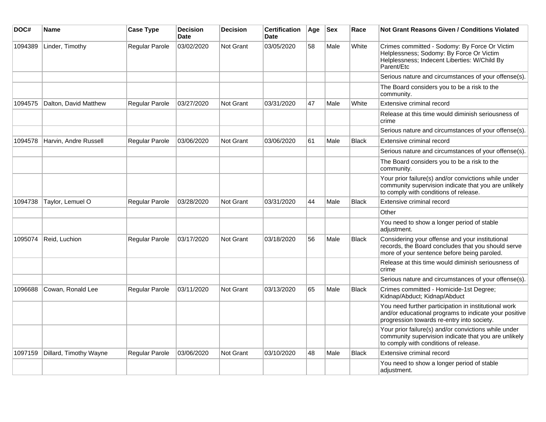| DOC#    | <b>Name</b>            | <b>Case Type</b> | <b>Decision</b><br><b>Date</b> | <b>Decision</b>  | <b>Certification</b><br>Date | Age | <b>Sex</b> | Race         | <b>Not Grant Reasons Given / Conditions Violated</b>                                                                                                        |
|---------|------------------------|------------------|--------------------------------|------------------|------------------------------|-----|------------|--------------|-------------------------------------------------------------------------------------------------------------------------------------------------------------|
| 1094389 | Linder, Timothy        | Regular Parole   | 03/02/2020                     | Not Grant        | 03/05/2020                   | 58  | Male       | White        | Crimes committed - Sodomy: By Force Or Victim<br>Helplessness; Sodomy: By Force Or Victim<br>Helplessness; Indecent Liberties: W/Child By<br>Parent/Etc     |
|         |                        |                  |                                |                  |                              |     |            |              | Serious nature and circumstances of your offense(s).                                                                                                        |
|         |                        |                  |                                |                  |                              |     |            |              | The Board considers you to be a risk to the<br>community.                                                                                                   |
| 1094575 | Dalton, David Matthew  | Regular Parole   | 03/27/2020                     | Not Grant        | 03/31/2020                   | 47  | Male       | White        | Extensive criminal record                                                                                                                                   |
|         |                        |                  |                                |                  |                              |     |            |              | Release at this time would diminish seriousness of<br>crime                                                                                                 |
|         |                        |                  |                                |                  |                              |     |            |              | Serious nature and circumstances of your offense(s).                                                                                                        |
| 1094578 | Harvin, Andre Russell  | Regular Parole   | 03/06/2020                     | Not Grant        | 03/06/2020                   | 61  | Male       | <b>Black</b> | Extensive criminal record                                                                                                                                   |
|         |                        |                  |                                |                  |                              |     |            |              | Serious nature and circumstances of your offense(s).                                                                                                        |
|         |                        |                  |                                |                  |                              |     |            |              | The Board considers you to be a risk to the<br>community.                                                                                                   |
|         |                        |                  |                                |                  |                              |     |            |              | Your prior failure(s) and/or convictions while under<br>community supervision indicate that you are unlikely<br>to comply with conditions of release.       |
| 1094738 | Taylor, Lemuel O       | Regular Parole   | 03/28/2020                     | Not Grant        | 03/31/2020                   | 44  | Male       | <b>Black</b> | Extensive criminal record                                                                                                                                   |
|         |                        |                  |                                |                  |                              |     |            |              | Other                                                                                                                                                       |
|         |                        |                  |                                |                  |                              |     |            |              | You need to show a longer period of stable<br>adjustment.                                                                                                   |
| 1095074 | Reid, Luchion          | Regular Parole   | 03/17/2020                     | Not Grant        | 03/18/2020                   | 56  | Male       | <b>Black</b> | Considering your offense and your institutional<br>records, the Board concludes that you should serve<br>more of your sentence before being paroled.        |
|         |                        |                  |                                |                  |                              |     |            |              | Release at this time would diminish seriousness of<br>crime                                                                                                 |
|         |                        |                  |                                |                  |                              |     |            |              | Serious nature and circumstances of your offense(s).                                                                                                        |
| 1096688 | Cowan, Ronald Lee      | Regular Parole   | 03/11/2020                     | Not Grant        | 03/13/2020                   | 65  | Male       | Black        | Crimes committed - Homicide-1st Degree;<br>Kidnap/Abduct; Kidnap/Abduct                                                                                     |
|         |                        |                  |                                |                  |                              |     |            |              | You need further participation in institutional work<br>and/or educational programs to indicate your positive<br>progression towards re-entry into society. |
|         |                        |                  |                                |                  |                              |     |            |              | Your prior failure(s) and/or convictions while under<br>community supervision indicate that you are unlikely<br>to comply with conditions of release.       |
| 1097159 | Dillard, Timothy Wayne | Regular Parole   | 03/06/2020                     | <b>Not Grant</b> | 03/10/2020                   | 48  | Male       | <b>Black</b> | Extensive criminal record                                                                                                                                   |
|         |                        |                  |                                |                  |                              |     |            |              | You need to show a longer period of stable<br>adjustment.                                                                                                   |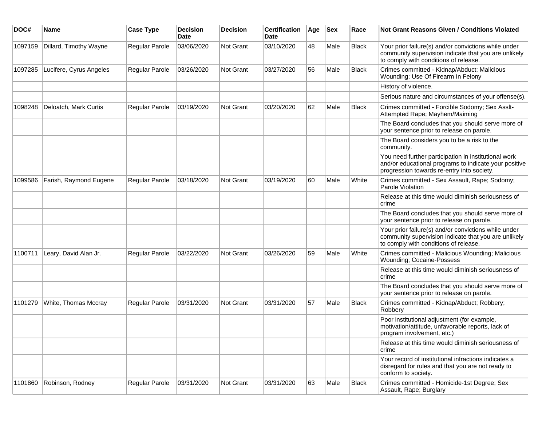| DOC#    | Name                    | <b>Case Type</b>      | <b>Decision</b><br>Date | <b>Decision</b> | <b>Certification</b><br>Date | Age | <b>Sex</b> | Race         | <b>Not Grant Reasons Given / Conditions Violated</b>                                                                                                        |
|---------|-------------------------|-----------------------|-------------------------|-----------------|------------------------------|-----|------------|--------------|-------------------------------------------------------------------------------------------------------------------------------------------------------------|
| 1097159 | Dillard, Timothy Wayne  | Regular Parole        | 03/06/2020              | Not Grant       | 03/10/2020                   | 48  | Male       | <b>Black</b> | Your prior failure(s) and/or convictions while under<br>community supervision indicate that you are unlikely<br>to comply with conditions of release.       |
| 1097285 | Lucifere, Cyrus Angeles | Regular Parole        | 03/26/2020              | Not Grant       | 03/27/2020                   | 56  | Male       | Black        | Crimes committed - Kidnap/Abduct; Malicious<br>Wounding; Use Of Firearm In Felony                                                                           |
|         |                         |                       |                         |                 |                              |     |            |              | History of violence.                                                                                                                                        |
|         |                         |                       |                         |                 |                              |     |            |              | Serious nature and circumstances of your offense(s).                                                                                                        |
| 1098248 | Deloatch, Mark Curtis   | Regular Parole        | 03/19/2020              | Not Grant       | 03/20/2020                   | 62  | Male       | <b>Black</b> | Crimes committed - Forcible Sodomy; Sex Asslt-<br>Attempted Rape; Mayhem/Maiming                                                                            |
|         |                         |                       |                         |                 |                              |     |            |              | The Board concludes that you should serve more of<br>your sentence prior to release on parole.                                                              |
|         |                         |                       |                         |                 |                              |     |            |              | The Board considers you to be a risk to the<br>community.                                                                                                   |
|         |                         |                       |                         |                 |                              |     |            |              | You need further participation in institutional work<br>and/or educational programs to indicate your positive<br>progression towards re-entry into society. |
| 1099586 | Farish, Raymond Eugene  | <b>Regular Parole</b> | 03/18/2020              | Not Grant       | 03/19/2020                   | 60  | Male       | White        | Crimes committed - Sex Assault, Rape; Sodomy;<br>Parole Violation                                                                                           |
|         |                         |                       |                         |                 |                              |     |            |              | Release at this time would diminish seriousness of<br>crime                                                                                                 |
|         |                         |                       |                         |                 |                              |     |            |              | The Board concludes that you should serve more of<br>your sentence prior to release on parole.                                                              |
|         |                         |                       |                         |                 |                              |     |            |              | Your prior failure(s) and/or convictions while under<br>community supervision indicate that you are unlikely<br>to comply with conditions of release.       |
| 1100711 | Leary, David Alan Jr.   | <b>Regular Parole</b> | 03/22/2020              | Not Grant       | 03/26/2020                   | 59  | Male       | White        | Crimes committed - Malicious Wounding; Malicious<br><b>Wounding; Cocaine-Possess</b>                                                                        |
|         |                         |                       |                         |                 |                              |     |            |              | Release at this time would diminish seriousness of<br>crime                                                                                                 |
|         |                         |                       |                         |                 |                              |     |            |              | The Board concludes that you should serve more of<br>your sentence prior to release on parole.                                                              |
| 1101279 | White, Thomas Mccray    | <b>Regular Parole</b> | 03/31/2020              | Not Grant       | 03/31/2020                   | 57  | Male       | <b>Black</b> | Crimes committed - Kidnap/Abduct; Robbery;<br>Robbery                                                                                                       |
|         |                         |                       |                         |                 |                              |     |            |              | Poor institutional adjustment (for example,<br>motivation/attitude, unfavorable reports, lack of<br>program involvement, etc.)                              |
|         |                         |                       |                         |                 |                              |     |            |              | Release at this time would diminish seriousness of<br>crime                                                                                                 |
|         |                         |                       |                         |                 |                              |     |            |              | Your record of institutional infractions indicates a<br>disregard for rules and that you are not ready to<br>conform to society.                            |
| 1101860 | Robinson, Rodney        | Regular Parole        | 03/31/2020              | Not Grant       | 03/31/2020                   | 63  | Male       | Black        | Crimes committed - Homicide-1st Degree; Sex<br>Assault, Rape; Burglary                                                                                      |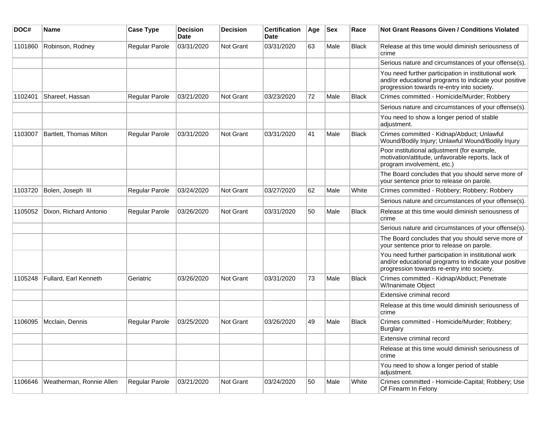| DOC#    | Name                     | <b>Case Type</b>      | <b>Decision</b><br>Date | <b>Decision</b>  | <b>Certification</b><br>Date | Age | <b>Sex</b> | Race         | Not Grant Reasons Given / Conditions Violated                                                                                                               |
|---------|--------------------------|-----------------------|-------------------------|------------------|------------------------------|-----|------------|--------------|-------------------------------------------------------------------------------------------------------------------------------------------------------------|
| 1101860 | Robinson, Rodney         | Regular Parole        | 03/31/2020              | Not Grant        | 03/31/2020                   | 63  | Male       | Black        | Release at this time would diminish seriousness of<br>crime                                                                                                 |
|         |                          |                       |                         |                  |                              |     |            |              | Serious nature and circumstances of your offense(s).                                                                                                        |
|         |                          |                       |                         |                  |                              |     |            |              | You need further participation in institutional work<br>and/or educational programs to indicate your positive<br>progression towards re-entry into society. |
| 1102401 | Shareef, Hassan          | <b>Regular Parole</b> | 03/21/2020              | Not Grant        | 03/23/2020                   | 72  | Male       | <b>Black</b> | Crimes committed - Homicide/Murder; Robbery                                                                                                                 |
|         |                          |                       |                         |                  |                              |     |            |              | Serious nature and circumstances of your offense(s).                                                                                                        |
|         |                          |                       |                         |                  |                              |     |            |              | You need to show a longer period of stable<br>adjustment.                                                                                                   |
| 1103007 | Bartlett, Thomas Milton  | <b>Regular Parole</b> | 03/31/2020              | <b>Not Grant</b> | 03/31/2020                   | 41  | Male       | <b>Black</b> | Crimes committed - Kidnap/Abduct; Unlawful<br>Wound/Bodily Injury; Unlawful Wound/Bodily Injury                                                             |
|         |                          |                       |                         |                  |                              |     |            |              | Poor institutional adjustment (for example,<br>motivation/attitude, unfavorable reports, lack of<br>program involvement, etc.)                              |
|         |                          |                       |                         |                  |                              |     |            |              | The Board concludes that you should serve more of<br>your sentence prior to release on parole.                                                              |
| 1103720 | Bolen, Joseph III        | <b>Regular Parole</b> | 03/24/2020              | Not Grant        | 03/27/2020                   | 62  | Male       | White        | Crimes committed - Robbery; Robbery; Robbery                                                                                                                |
|         |                          |                       |                         |                  |                              |     |            |              | Serious nature and circumstances of your offense(s).                                                                                                        |
| 1105052 | Dixon, Richard Antonio   | Regular Parole        | 03/26/2020              | Not Grant        | 03/31/2020                   | 50  | Male       | <b>Black</b> | Release at this time would diminish seriousness of<br>crime                                                                                                 |
|         |                          |                       |                         |                  |                              |     |            |              | Serious nature and circumstances of your offense(s).                                                                                                        |
|         |                          |                       |                         |                  |                              |     |            |              | The Board concludes that you should serve more of<br>your sentence prior to release on parole.                                                              |
|         |                          |                       |                         |                  |                              |     |            |              | You need further participation in institutional work<br>and/or educational programs to indicate your positive<br>progression towards re-entry into society. |
| 1105248 | Fullard, Earl Kenneth    | Geriatric             | 03/26/2020              | Not Grant        | 03/31/2020                   | 73  | Male       | Black        | Crimes committed - Kidnap/Abduct; Penetrate<br>W/Inanimate Object                                                                                           |
|         |                          |                       |                         |                  |                              |     |            |              | Extensive criminal record                                                                                                                                   |
|         |                          |                       |                         |                  |                              |     |            |              | Release at this time would diminish seriousness of<br>crime                                                                                                 |
| 1106095 | Mcclain, Dennis          | <b>Regular Parole</b> | 03/25/2020              | Not Grant        | 03/26/2020                   | 49  | Male       | <b>Black</b> | Crimes committed - Homicide/Murder; Robbery;<br><b>Burglary</b>                                                                                             |
|         |                          |                       |                         |                  |                              |     |            |              | Extensive criminal record                                                                                                                                   |
|         |                          |                       |                         |                  |                              |     |            |              | Release at this time would diminish seriousness of<br>crime                                                                                                 |
|         |                          |                       |                         |                  |                              |     |            |              | You need to show a longer period of stable<br>adjustment.                                                                                                   |
| 1106646 | Weatherman, Ronnie Allen | Regular Parole        | 03/21/2020              | Not Grant        | 03/24/2020                   | 50  | Male       | White        | Crimes committed - Homicide-Capital; Robbery; Use<br>Of Firearm In Felony                                                                                   |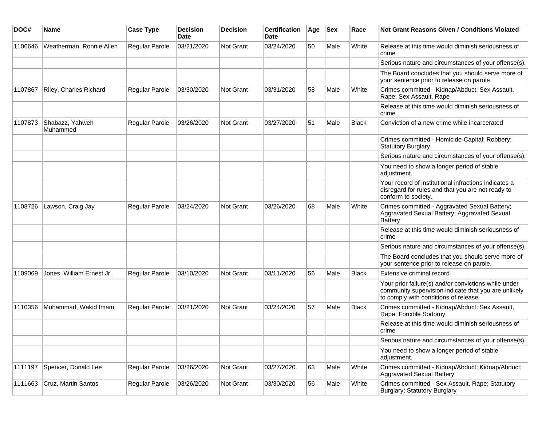| DOC#    | Name                        | <b>Case Type</b>      | <b>Decision</b><br>Date | <b>Decision</b>  | <b>Certification</b><br>Date | Age | <b>Sex</b> | Race         | <b>Not Grant Reasons Given / Conditions Violated</b>                                                                                                  |
|---------|-----------------------------|-----------------------|-------------------------|------------------|------------------------------|-----|------------|--------------|-------------------------------------------------------------------------------------------------------------------------------------------------------|
| 1106646 | Weatherman, Ronnie Allen    | <b>Regular Parole</b> | 03/21/2020              | Not Grant        | 03/24/2020                   | 50  | Male       | White        | Release at this time would diminish seriousness of<br>crime                                                                                           |
|         |                             |                       |                         |                  |                              |     |            |              | Serious nature and circumstances of your offense(s).                                                                                                  |
|         |                             |                       |                         |                  |                              |     |            |              | The Board concludes that you should serve more of<br>your sentence prior to release on parole.                                                        |
| 1107867 | Riley, Charles Richard      | <b>Regular Parole</b> | 03/30/2020              | Not Grant        | 03/31/2020                   | 58  | Male       | White        | Crimes committed - Kidnap/Abduct; Sex Assault,<br>Rape; Sex Assault, Rape                                                                             |
|         |                             |                       |                         |                  |                              |     |            |              | Release at this time would diminish seriousness of<br>crime                                                                                           |
| 1107873 | Shabazz, Yahweh<br>Muhammed | <b>Regular Parole</b> | 03/26/2020              | Not Grant        | 03/27/2020                   | 51  | Male       | <b>Black</b> | Conviction of a new crime while incarcerated                                                                                                          |
|         |                             |                       |                         |                  |                              |     |            |              | Crimes committed - Homicide-Capital; Robbery;<br><b>Statutory Burglary</b>                                                                            |
|         |                             |                       |                         |                  |                              |     |            |              | Serious nature and circumstances of your offense(s).                                                                                                  |
|         |                             |                       |                         |                  |                              |     |            |              | You need to show a longer period of stable<br>adjustment.                                                                                             |
|         |                             |                       |                         |                  |                              |     |            |              | Your record of institutional infractions indicates a<br>disregard for rules and that you are not ready to<br>conform to society.                      |
| 1108726 | Lawson, Craig Jay           | Regular Parole        | 03/24/2020              | Not Grant        | 03/26/2020                   | 68  | Male       | White        | Crimes committed - Aggravated Sexual Battery;<br>Aggravated Sexual Battery; Aggravated Sexual<br>Battery                                              |
|         |                             |                       |                         |                  |                              |     |            |              | Release at this time would diminish seriousness of<br>crime                                                                                           |
|         |                             |                       |                         |                  |                              |     |            |              | Serious nature and circumstances of your offense(s).                                                                                                  |
|         |                             |                       |                         |                  |                              |     |            |              | The Board concludes that you should serve more of<br>your sentence prior to release on parole.                                                        |
| 1109069 | Jones, William Ernest Jr.   | <b>Regular Parole</b> | 03/10/2020              | <b>Not Grant</b> | 03/11/2020                   | 56  | Male       | Black        | Extensive criminal record                                                                                                                             |
|         |                             |                       |                         |                  |                              |     |            |              | Your prior failure(s) and/or convictions while under<br>community supervision indicate that you are unlikely<br>to comply with conditions of release. |
| 1110356 | Muhammad, Wakid Imam        | <b>Regular Parole</b> | 03/21/2020              | <b>Not Grant</b> | 03/24/2020                   | 57  | Male       | <b>Black</b> | Crimes committed - Kidnap/Abduct; Sex Assault,<br>Rape; Forcible Sodomy                                                                               |
|         |                             |                       |                         |                  |                              |     |            |              | Release at this time would diminish seriousness of<br>crime                                                                                           |
|         |                             |                       |                         |                  |                              |     |            |              | Serious nature and circumstances of your offense(s).                                                                                                  |
|         |                             |                       |                         |                  |                              |     |            |              | You need to show a longer period of stable<br>adjustment.                                                                                             |
| 1111197 | Spencer, Donald Lee         | Regular Parole        | 03/26/2020              | Not Grant        | 03/27/2020                   | 63  | Male       | White        | Crimes committed - Kidnap/Abduct; Kidnap/Abduct;<br><b>Aggravated Sexual Battery</b>                                                                  |
| 1111663 | Cruz, Martin Santos         | Regular Parole        | 03/26/2020              | Not Grant        | 03/30/2020                   | 56  | Male       | White        | Crimes committed - Sex Assault, Rape; Statutory<br>Burglary; Statutory Burglary                                                                       |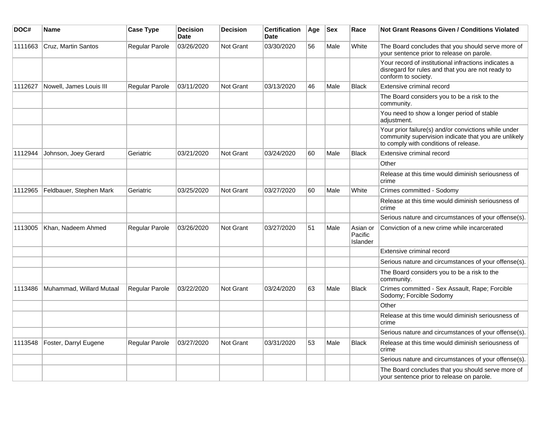| DOC#    | Name                     | <b>Case Type</b>      | <b>Decision</b><br><b>Date</b> | <b>Decision</b>  | <b>Certification</b><br><b>Date</b> | Age | <b>Sex</b> | Race                            | Not Grant Reasons Given / Conditions Violated                                                                                                         |
|---------|--------------------------|-----------------------|--------------------------------|------------------|-------------------------------------|-----|------------|---------------------------------|-------------------------------------------------------------------------------------------------------------------------------------------------------|
| 1111663 | Cruz, Martin Santos      | Regular Parole        | 03/26/2020                     | Not Grant        | 03/30/2020                          | 56  | Male       | White                           | The Board concludes that you should serve more of<br>your sentence prior to release on parole.                                                        |
|         |                          |                       |                                |                  |                                     |     |            |                                 | Your record of institutional infractions indicates a<br>disregard for rules and that you are not ready to<br>conform to society.                      |
| 1112627 | Nowell, James Louis III  | Regular Parole        | 03/11/2020                     | Not Grant        | 03/13/2020                          | 46  | Male       | <b>Black</b>                    | Extensive criminal record                                                                                                                             |
|         |                          |                       |                                |                  |                                     |     |            |                                 | The Board considers you to be a risk to the<br>community.                                                                                             |
|         |                          |                       |                                |                  |                                     |     |            |                                 | You need to show a longer period of stable<br>adjustment.                                                                                             |
|         |                          |                       |                                |                  |                                     |     |            |                                 | Your prior failure(s) and/or convictions while under<br>community supervision indicate that you are unlikely<br>to comply with conditions of release. |
| 1112944 | Johnson, Joey Gerard     | Geriatric             | 03/21/2020                     | Not Grant        | 03/24/2020                          | 60  | Male       | <b>Black</b>                    | Extensive criminal record                                                                                                                             |
|         |                          |                       |                                |                  |                                     |     |            |                                 | Other                                                                                                                                                 |
|         |                          |                       |                                |                  |                                     |     |            |                                 | Release at this time would diminish seriousness of<br>crime                                                                                           |
| 1112965 | Feldbauer, Stephen Mark  | Geriatric             | 03/25/2020                     | Not Grant        | 03/27/2020                          | 60  | Male       | White                           | Crimes committed - Sodomy                                                                                                                             |
|         |                          |                       |                                |                  |                                     |     |            |                                 | Release at this time would diminish seriousness of<br>crime                                                                                           |
|         |                          |                       |                                |                  |                                     |     |            |                                 | Serious nature and circumstances of your offense(s).                                                                                                  |
| 1113005 | Khan, Nadeem Ahmed       | Regular Parole        | 03/26/2020                     | <b>Not Grant</b> | 03/27/2020                          | 51  | Male       | Asian or<br>Pacific<br>Islander | Conviction of a new crime while incarcerated                                                                                                          |
|         |                          |                       |                                |                  |                                     |     |            |                                 | Extensive criminal record                                                                                                                             |
|         |                          |                       |                                |                  |                                     |     |            |                                 | Serious nature and circumstances of your offense(s).                                                                                                  |
|         |                          |                       |                                |                  |                                     |     |            |                                 | The Board considers you to be a risk to the<br>community.                                                                                             |
| 1113486 | Muhammad, Willard Mutaal | Regular Parole        | 03/22/2020                     | <b>Not Grant</b> | 03/24/2020                          | 63  | Male       | <b>Black</b>                    | Crimes committed - Sex Assault, Rape; Forcible<br>Sodomy; Forcible Sodomy                                                                             |
|         |                          |                       |                                |                  |                                     |     |            |                                 | Other                                                                                                                                                 |
|         |                          |                       |                                |                  |                                     |     |            |                                 | Release at this time would diminish seriousness of<br>crime                                                                                           |
|         |                          |                       |                                |                  |                                     |     |            |                                 | Serious nature and circumstances of your offense(s).                                                                                                  |
| 1113548 | Foster, Darryl Eugene    | <b>Regular Parole</b> | 03/27/2020                     | Not Grant        | 03/31/2020                          | 53  | Male       | <b>Black</b>                    | Release at this time would diminish seriousness of<br>crime                                                                                           |
|         |                          |                       |                                |                  |                                     |     |            |                                 | Serious nature and circumstances of your offense(s).                                                                                                  |
|         |                          |                       |                                |                  |                                     |     |            |                                 | The Board concludes that you should serve more of<br>your sentence prior to release on parole.                                                        |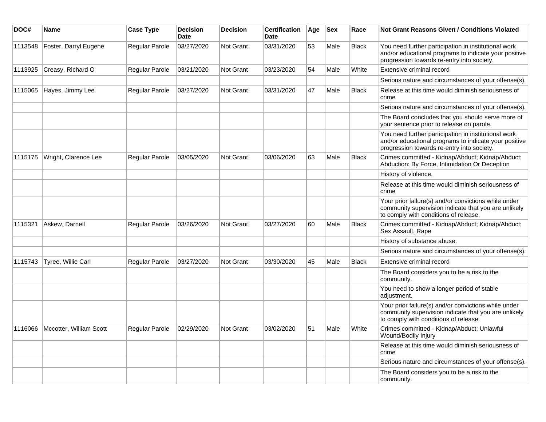| DOC#    | <b>Name</b>               | <b>Case Type</b> | <b>Decision</b><br><b>Date</b> | <b>Decision</b>  | <b>Certification</b><br><b>Date</b> | Age | <b>Sex</b> | Race         | <b>Not Grant Reasons Given / Conditions Violated</b>                                                                                                        |
|---------|---------------------------|------------------|--------------------------------|------------------|-------------------------------------|-----|------------|--------------|-------------------------------------------------------------------------------------------------------------------------------------------------------------|
| 1113548 | Foster, Darryl Eugene     | Regular Parole   | 03/27/2020                     | Not Grant        | 03/31/2020                          | 53  | Male       | <b>Black</b> | You need further participation in institutional work<br>and/or educational programs to indicate your positive<br>progression towards re-entry into society. |
| 1113925 | Creasy, Richard O         | Regular Parole   | 03/21/2020                     | Not Grant        | 03/23/2020                          | 54  | Male       | White        | Extensive criminal record                                                                                                                                   |
|         |                           |                  |                                |                  |                                     |     |            |              | Serious nature and circumstances of your offense(s).                                                                                                        |
| 1115065 | Hayes, Jimmy Lee          | Regular Parole   | 03/27/2020                     | <b>Not Grant</b> | 03/31/2020                          | 47  | Male       | <b>Black</b> | Release at this time would diminish seriousness of<br>crime                                                                                                 |
|         |                           |                  |                                |                  |                                     |     |            |              | Serious nature and circumstances of your offense(s).                                                                                                        |
|         |                           |                  |                                |                  |                                     |     |            |              | The Board concludes that you should serve more of<br>your sentence prior to release on parole.                                                              |
|         |                           |                  |                                |                  |                                     |     |            |              | You need further participation in institutional work<br>and/or educational programs to indicate your positive<br>progression towards re-entry into society. |
| 1115175 | Wright, Clarence Lee      | Regular Parole   | 03/05/2020                     | <b>Not Grant</b> | 03/06/2020                          | 63  | Male       | <b>Black</b> | Crimes committed - Kidnap/Abduct; Kidnap/Abduct;<br>Abduction: By Force, Intimidation Or Deception                                                          |
|         |                           |                  |                                |                  |                                     |     |            |              | History of violence.                                                                                                                                        |
|         |                           |                  |                                |                  |                                     |     |            |              | Release at this time would diminish seriousness of<br>crime                                                                                                 |
|         |                           |                  |                                |                  |                                     |     |            |              | Your prior failure(s) and/or convictions while under<br>community supervision indicate that you are unlikely<br>to comply with conditions of release.       |
| 1115321 | Askew, Darnell            | Regular Parole   | 03/26/2020                     | Not Grant        | 03/27/2020                          | 60  | Male       | <b>Black</b> | Crimes committed - Kidnap/Abduct; Kidnap/Abduct;<br>Sex Assault, Rape                                                                                       |
|         |                           |                  |                                |                  |                                     |     |            |              | History of substance abuse.                                                                                                                                 |
|         |                           |                  |                                |                  |                                     |     |            |              | Serious nature and circumstances of your offense(s).                                                                                                        |
| 1115743 | <b>Tyree, Willie Carl</b> | Regular Parole   | 03/27/2020                     | <b>Not Grant</b> | 03/30/2020                          | 45  | Male       | <b>Black</b> | Extensive criminal record                                                                                                                                   |
|         |                           |                  |                                |                  |                                     |     |            |              | The Board considers you to be a risk to the<br>community.                                                                                                   |
|         |                           |                  |                                |                  |                                     |     |            |              | You need to show a longer period of stable<br>adjustment.                                                                                                   |
|         |                           |                  |                                |                  |                                     |     |            |              | Your prior failure(s) and/or convictions while under<br>community supervision indicate that you are unlikely<br>to comply with conditions of release.       |
| 1116066 | Mccotter, William Scott   | Regular Parole   | 02/29/2020                     | <b>Not Grant</b> | 03/02/2020                          | 51  | Male       | White        | Crimes committed - Kidnap/Abduct; Unlawful<br>Wound/Bodily Injury                                                                                           |
|         |                           |                  |                                |                  |                                     |     |            |              | Release at this time would diminish seriousness of<br>crime                                                                                                 |
|         |                           |                  |                                |                  |                                     |     |            |              | Serious nature and circumstances of your offense(s).                                                                                                        |
|         |                           |                  |                                |                  |                                     |     |            |              | The Board considers you to be a risk to the<br>community.                                                                                                   |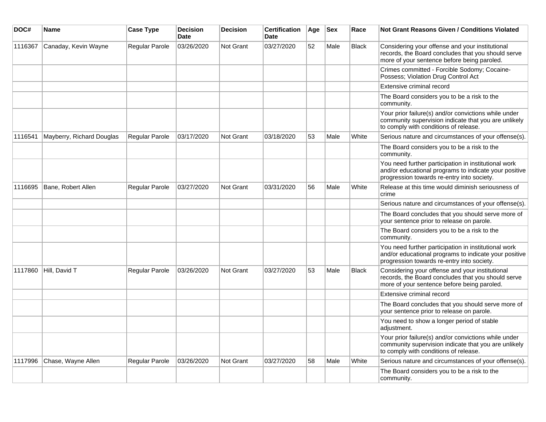| DOC#    | <b>Name</b>               | <b>Case Type</b> | <b>Decision</b><br><b>Date</b> | <b>Decision</b>  | <b>Certification</b><br><b>Date</b> | Age | <b>Sex</b> | Race         | <b>Not Grant Reasons Given / Conditions Violated</b>                                                                                                        |
|---------|---------------------------|------------------|--------------------------------|------------------|-------------------------------------|-----|------------|--------------|-------------------------------------------------------------------------------------------------------------------------------------------------------------|
| 1116367 | Canaday, Kevin Wayne      | Regular Parole   | 03/26/2020                     | Not Grant        | 03/27/2020                          | 52  | Male       | <b>Black</b> | Considering your offense and your institutional<br>records, the Board concludes that you should serve<br>more of your sentence before being paroled.        |
|         |                           |                  |                                |                  |                                     |     |            |              | Crimes committed - Forcible Sodomy; Cocaine-<br>Possess; Violation Drug Control Act                                                                         |
|         |                           |                  |                                |                  |                                     |     |            |              | Extensive criminal record                                                                                                                                   |
|         |                           |                  |                                |                  |                                     |     |            |              | The Board considers you to be a risk to the<br>community.                                                                                                   |
|         |                           |                  |                                |                  |                                     |     |            |              | Your prior failure(s) and/or convictions while under<br>community supervision indicate that you are unlikely<br>to comply with conditions of release.       |
| 1116541 | Mayberry, Richard Douglas | Regular Parole   | 03/17/2020                     | Not Grant        | 03/18/2020                          | 53  | Male       | White        | Serious nature and circumstances of your offense(s).                                                                                                        |
|         |                           |                  |                                |                  |                                     |     |            |              | The Board considers you to be a risk to the<br>community.                                                                                                   |
|         |                           |                  |                                |                  |                                     |     |            |              | You need further participation in institutional work<br>and/or educational programs to indicate your positive<br>progression towards re-entry into society. |
| 1116695 | Bane, Robert Allen        | Regular Parole   | 03/27/2020                     | Not Grant        | 03/31/2020                          | 56  | Male       | White        | Release at this time would diminish seriousness of<br>crime                                                                                                 |
|         |                           |                  |                                |                  |                                     |     |            |              | Serious nature and circumstances of your offense(s).                                                                                                        |
|         |                           |                  |                                |                  |                                     |     |            |              | The Board concludes that you should serve more of<br>your sentence prior to release on parole.                                                              |
|         |                           |                  |                                |                  |                                     |     |            |              | The Board considers you to be a risk to the<br>community.                                                                                                   |
|         |                           |                  |                                |                  |                                     |     |            |              | You need further participation in institutional work<br>and/or educational programs to indicate your positive<br>progression towards re-entry into society. |
| 1117860 | Hill, David T             | Regular Parole   | 03/26/2020                     | <b>Not Grant</b> | 03/27/2020                          | 53  | Male       | <b>Black</b> | Considering your offense and your institutional<br>records, the Board concludes that you should serve<br>more of your sentence before being paroled.        |
|         |                           |                  |                                |                  |                                     |     |            |              | Extensive criminal record                                                                                                                                   |
|         |                           |                  |                                |                  |                                     |     |            |              | The Board concludes that you should serve more of<br>your sentence prior to release on parole.                                                              |
|         |                           |                  |                                |                  |                                     |     |            |              | You need to show a longer period of stable<br>adjustment.                                                                                                   |
|         |                           |                  |                                |                  |                                     |     |            |              | Your prior failure(s) and/or convictions while under<br>community supervision indicate that you are unlikely<br>to comply with conditions of release.       |
| 1117996 | Chase, Wayne Allen        | Regular Parole   | 03/26/2020                     | <b>Not Grant</b> | 03/27/2020                          | 58  | Male       | White        | Serious nature and circumstances of your offense(s).                                                                                                        |
|         |                           |                  |                                |                  |                                     |     |            |              | The Board considers you to be a risk to the<br>community.                                                                                                   |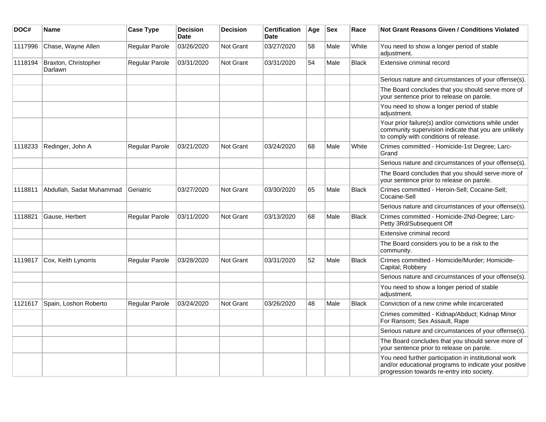| DOC#    | Name                            | <b>Case Type</b> | <b>Decision</b><br><b>Date</b> | <b>Decision</b>  | <b>Certification</b><br><b>Date</b> | Age | <b>Sex</b> | Race         | <b>Not Grant Reasons Given / Conditions Violated</b>                                                                                                        |
|---------|---------------------------------|------------------|--------------------------------|------------------|-------------------------------------|-----|------------|--------------|-------------------------------------------------------------------------------------------------------------------------------------------------------------|
| 1117996 | Chase, Wayne Allen              | Regular Parole   | 03/26/2020                     | Not Grant        | 03/27/2020                          | 58  | Male       | White        | You need to show a longer period of stable<br>adjustment.                                                                                                   |
| 1118194 | Braxton, Christopher<br>Darlawn | Regular Parole   | 03/31/2020                     | <b>Not Grant</b> | 03/31/2020                          | 54  | Male       | <b>Black</b> | Extensive criminal record                                                                                                                                   |
|         |                                 |                  |                                |                  |                                     |     |            |              | Serious nature and circumstances of your offense(s).                                                                                                        |
|         |                                 |                  |                                |                  |                                     |     |            |              | The Board concludes that you should serve more of<br>your sentence prior to release on parole.                                                              |
|         |                                 |                  |                                |                  |                                     |     |            |              | You need to show a longer period of stable<br>adjustment.                                                                                                   |
|         |                                 |                  |                                |                  |                                     |     |            |              | Your prior failure(s) and/or convictions while under<br>community supervision indicate that you are unlikely<br>to comply with conditions of release.       |
| 1118233 | Redinger, John A                | Regular Parole   | 03/21/2020                     | Not Grant        | 03/24/2020                          | 68  | Male       | White        | Crimes committed - Homicide-1st Degree; Larc-<br>Grand                                                                                                      |
|         |                                 |                  |                                |                  |                                     |     |            |              | Serious nature and circumstances of your offense(s).                                                                                                        |
|         |                                 |                  |                                |                  |                                     |     |            |              | The Board concludes that you should serve more of<br>your sentence prior to release on parole.                                                              |
| 1118811 | Abdullah, Sadat Muhammad        | Geriatric        | 03/27/2020                     | Not Grant        | 03/30/2020                          | 65  | Male       | <b>Black</b> | Crimes committed - Heroin-Sell; Cocaine-Sell;<br>Cocaine-Sell                                                                                               |
|         |                                 |                  |                                |                  |                                     |     |            |              | Serious nature and circumstances of your offense(s).                                                                                                        |
| 1118821 | Gause, Herbert                  | Regular Parole   | 03/11/2020                     | Not Grant        | 03/13/2020                          | 68  | Male       | <b>Black</b> | Crimes committed - Homicide-2Nd-Degree; Larc-<br>Petty 3Rd/Subsequent Off                                                                                   |
|         |                                 |                  |                                |                  |                                     |     |            |              | Extensive criminal record                                                                                                                                   |
|         |                                 |                  |                                |                  |                                     |     |            |              | The Board considers you to be a risk to the<br>community.                                                                                                   |
| 1119817 | Cox, Keith Lynorris             | Regular Parole   | 03/28/2020                     | <b>Not Grant</b> | 03/31/2020                          | 52  | Male       | <b>Black</b> | Crimes committed - Homicide/Murder; Homicide-<br>Capital; Robbery                                                                                           |
|         |                                 |                  |                                |                  |                                     |     |            |              | Serious nature and circumstances of your offense(s).                                                                                                        |
|         |                                 |                  |                                |                  |                                     |     |            |              | You need to show a longer period of stable<br>adjustment.                                                                                                   |
| 1121617 | Spain, Loshon Roberto           | Regular Parole   | 03/24/2020                     | Not Grant        | 03/26/2020                          | 48  | Male       | <b>Black</b> | Conviction of a new crime while incarcerated                                                                                                                |
|         |                                 |                  |                                |                  |                                     |     |            |              | Crimes committed - Kidnap/Abduct; Kidnap Minor<br>For Ransom; Sex Assault, Rape                                                                             |
|         |                                 |                  |                                |                  |                                     |     |            |              | Serious nature and circumstances of your offense(s).                                                                                                        |
|         |                                 |                  |                                |                  |                                     |     |            |              | The Board concludes that you should serve more of<br>your sentence prior to release on parole.                                                              |
|         |                                 |                  |                                |                  |                                     |     |            |              | You need further participation in institutional work<br>and/or educational programs to indicate your positive<br>progression towards re-entry into society. |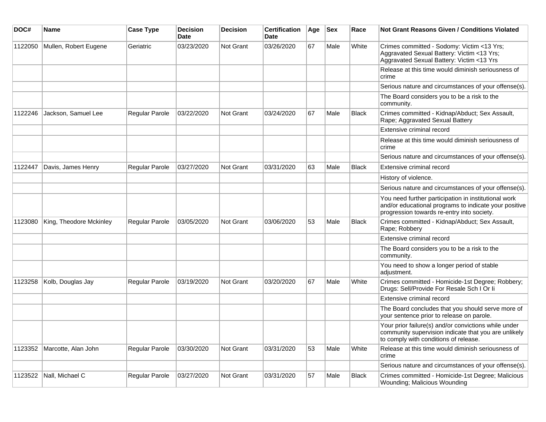| DOC#    | <b>Name</b>                 | <b>Case Type</b>      | <b>Decision</b><br><b>Date</b> | <b>Decision</b>  | <b>Certification</b><br>Date | Age | <b>Sex</b> | Race         | <b>Not Grant Reasons Given / Conditions Violated</b>                                                                                                        |
|---------|-----------------------------|-----------------------|--------------------------------|------------------|------------------------------|-----|------------|--------------|-------------------------------------------------------------------------------------------------------------------------------------------------------------|
| 1122050 | Mullen, Robert Eugene       | Geriatric             | 03/23/2020                     | <b>Not Grant</b> | 03/26/2020                   | 67  | Male       | White        | Crimes committed - Sodomy: Victim <13 Yrs;<br>Aggravated Sexual Battery: Victim <13 Yrs;<br>Aggravated Sexual Battery: Victim <13 Yrs                       |
|         |                             |                       |                                |                  |                              |     |            |              | Release at this time would diminish seriousness of<br>crime                                                                                                 |
|         |                             |                       |                                |                  |                              |     |            |              | Serious nature and circumstances of your offense(s).                                                                                                        |
|         |                             |                       |                                |                  |                              |     |            |              | The Board considers you to be a risk to the<br>community.                                                                                                   |
| 1122246 | Jackson, Samuel Lee         | Regular Parole        | 03/22/2020                     | <b>Not Grant</b> | 03/24/2020                   | 67  | Male       | Black        | Crimes committed - Kidnap/Abduct; Sex Assault,<br>Rape; Aggravated Sexual Battery                                                                           |
|         |                             |                       |                                |                  |                              |     |            |              | Extensive criminal record                                                                                                                                   |
|         |                             |                       |                                |                  |                              |     |            |              | Release at this time would diminish seriousness of<br>crime                                                                                                 |
|         |                             |                       |                                |                  |                              |     |            |              | Serious nature and circumstances of your offense(s).                                                                                                        |
| 1122447 | Davis, James Henry          | <b>Regular Parole</b> | 03/27/2020                     | <b>Not Grant</b> | 03/31/2020                   | 63  | Male       | <b>Black</b> | Extensive criminal record                                                                                                                                   |
|         |                             |                       |                                |                  |                              |     |            |              | History of violence.                                                                                                                                        |
|         |                             |                       |                                |                  |                              |     |            |              | Serious nature and circumstances of your offense(s).                                                                                                        |
|         |                             |                       |                                |                  |                              |     |            |              | You need further participation in institutional work<br>and/or educational programs to indicate your positive<br>progression towards re-entry into society. |
| 1123080 | King, Theodore Mckinley     | <b>Regular Parole</b> | 03/05/2020                     | <b>Not Grant</b> | 03/06/2020                   | 53  | Male       | <b>Black</b> | Crimes committed - Kidnap/Abduct; Sex Assault,<br>Rape; Robbery                                                                                             |
|         |                             |                       |                                |                  |                              |     |            |              | Extensive criminal record                                                                                                                                   |
|         |                             |                       |                                |                  |                              |     |            |              | The Board considers you to be a risk to the<br>community.                                                                                                   |
|         |                             |                       |                                |                  |                              |     |            |              | You need to show a longer period of stable<br>adjustment.                                                                                                   |
| 1123258 | Kolb, Douglas Jay           | Regular Parole        | 03/19/2020                     | <b>Not Grant</b> | 03/20/2020                   | 67  | Male       | White        | Crimes committed - Homicide-1st Degree; Robbery;<br>Drugs: Sell/Provide For Resale Sch I Or Ii                                                              |
|         |                             |                       |                                |                  |                              |     |            |              | Extensive criminal record                                                                                                                                   |
|         |                             |                       |                                |                  |                              |     |            |              | The Board concludes that you should serve more of<br>your sentence prior to release on parole.                                                              |
|         |                             |                       |                                |                  |                              |     |            |              | Your prior failure(s) and/or convictions while under<br>community supervision indicate that you are unlikely<br>to comply with conditions of release.       |
|         | 1123352 Marcotte, Alan John | Regular Parole        | 03/30/2020                     | Not Grant        | 03/31/2020                   | 53  | Male       | White        | Release at this time would diminish seriousness of<br>crime                                                                                                 |
|         |                             |                       |                                |                  |                              |     |            |              | Serious nature and circumstances of your offense(s).                                                                                                        |
| 1123522 | Nall, Michael C             | Regular Parole        | 03/27/2020                     | Not Grant        | 03/31/2020                   | 57  | Male       | Black        | Crimes committed - Homicide-1st Degree; Malicious<br>Wounding; Malicious Wounding                                                                           |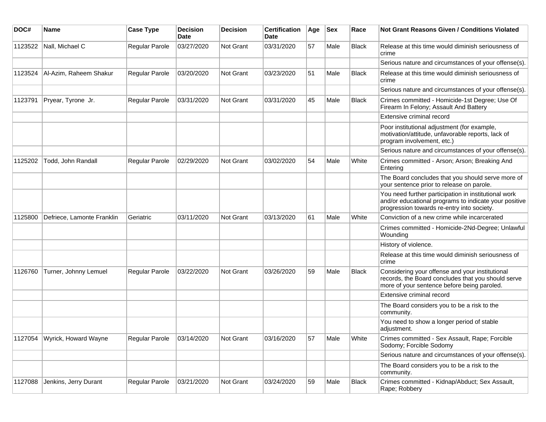| DOC#    | <b>Name</b>                | <b>Case Type</b>      | <b>Decision</b><br><b>Date</b> | <b>Decision</b> | <b>Certification</b><br>Date | Age | <b>Sex</b> | Race         | Not Grant Reasons Given / Conditions Violated                                                                                                               |
|---------|----------------------------|-----------------------|--------------------------------|-----------------|------------------------------|-----|------------|--------------|-------------------------------------------------------------------------------------------------------------------------------------------------------------|
| 1123522 | Nall, Michael C            | Regular Parole        | 03/27/2020                     | Not Grant       | 03/31/2020                   | 57  | Male       | Black        | Release at this time would diminish seriousness of<br>crime                                                                                                 |
|         |                            |                       |                                |                 |                              |     |            |              | Serious nature and circumstances of your offense(s).                                                                                                        |
| 1123524 | Al-Azim, Raheem Shakur     | Regular Parole        | 03/20/2020                     | Not Grant       | 03/23/2020                   | 51  | Male       | <b>Black</b> | Release at this time would diminish seriousness of<br>crime                                                                                                 |
|         |                            |                       |                                |                 |                              |     |            |              | Serious nature and circumstances of your offense(s).                                                                                                        |
| 1123791 | Pryear, Tyrone Jr.         | Regular Parole        | 03/31/2020                     | Not Grant       | 03/31/2020                   | 45  | Male       | <b>Black</b> | Crimes committed - Homicide-1st Degree; Use Of<br>Firearm In Felony; Assault And Battery                                                                    |
|         |                            |                       |                                |                 |                              |     |            |              | Extensive criminal record                                                                                                                                   |
|         |                            |                       |                                |                 |                              |     |            |              | Poor institutional adjustment (for example,<br>motivation/attitude, unfavorable reports, lack of<br>program involvement, etc.)                              |
|         |                            |                       |                                |                 |                              |     |            |              | Serious nature and circumstances of your offense(s).                                                                                                        |
| 1125202 | Todd, John Randall         | Regular Parole        | 02/29/2020                     | Not Grant       | 03/02/2020                   | 54  | Male       | White        | Crimes committed - Arson; Arson; Breaking And<br>Entering                                                                                                   |
|         |                            |                       |                                |                 |                              |     |            |              | The Board concludes that you should serve more of<br>your sentence prior to release on parole.                                                              |
|         |                            |                       |                                |                 |                              |     |            |              | You need further participation in institutional work<br>and/or educational programs to indicate your positive<br>progression towards re-entry into society. |
| 1125800 | Defriece, Lamonte Franklin | Geriatric             | 03/11/2020                     | Not Grant       | 03/13/2020                   | 61  | Male       | White        | Conviction of a new crime while incarcerated                                                                                                                |
|         |                            |                       |                                |                 |                              |     |            |              | Crimes committed - Homicide-2Nd-Degree; Unlawful<br>Wounding                                                                                                |
|         |                            |                       |                                |                 |                              |     |            |              | History of violence.                                                                                                                                        |
|         |                            |                       |                                |                 |                              |     |            |              | Release at this time would diminish seriousness of<br>crime                                                                                                 |
| 1126760 | Turner, Johnny Lemuel      | <b>Regular Parole</b> | 03/22/2020                     | Not Grant       | 03/26/2020                   | 59  | Male       | <b>Black</b> | Considering your offense and your institutional<br>records, the Board concludes that you should serve<br>more of your sentence before being paroled.        |
|         |                            |                       |                                |                 |                              |     |            |              | Extensive criminal record                                                                                                                                   |
|         |                            |                       |                                |                 |                              |     |            |              | The Board considers you to be a risk to the<br>community.                                                                                                   |
|         |                            |                       |                                |                 |                              |     |            |              | You need to show a longer period of stable<br>adjustment.                                                                                                   |
| 1127054 | Wyrick, Howard Wayne       | Regular Parole        | 03/14/2020                     | Not Grant       | 03/16/2020                   | 57  | Male       | White        | Crimes committed - Sex Assault, Rape; Forcible<br>Sodomy; Forcible Sodomy                                                                                   |
|         |                            |                       |                                |                 |                              |     |            |              | Serious nature and circumstances of your offense(s).                                                                                                        |
|         |                            |                       |                                |                 |                              |     |            |              | The Board considers you to be a risk to the<br>community.                                                                                                   |
| 1127088 | Jenkins, Jerry Durant      | Regular Parole        | 03/21/2020                     | Not Grant       | 03/24/2020                   | 59  | Male       | Black        | Crimes committed - Kidnap/Abduct; Sex Assault,<br>Rape; Robbery                                                                                             |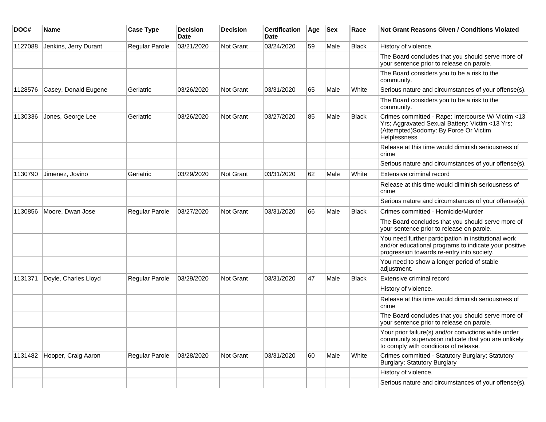| DOC#    | Name                  | <b>Case Type</b>      | <b>Decision</b><br>Date | <b>Decision</b> | <b>Certification</b><br>Date | Age | <b>Sex</b> | Race         | Not Grant Reasons Given / Conditions Violated                                                                                                                         |
|---------|-----------------------|-----------------------|-------------------------|-----------------|------------------------------|-----|------------|--------------|-----------------------------------------------------------------------------------------------------------------------------------------------------------------------|
| 1127088 | Jenkins, Jerry Durant | Regular Parole        | 03/21/2020              | Not Grant       | 03/24/2020                   | 59  | Male       | <b>Black</b> | History of violence.                                                                                                                                                  |
|         |                       |                       |                         |                 |                              |     |            |              | The Board concludes that you should serve more of<br>your sentence prior to release on parole.                                                                        |
|         |                       |                       |                         |                 |                              |     |            |              | The Board considers you to be a risk to the<br>community.                                                                                                             |
| 1128576 | Casey, Donald Eugene  | Geriatric             | 03/26/2020              | Not Grant       | 03/31/2020                   | 65  | Male       | White        | Serious nature and circumstances of your offense(s).                                                                                                                  |
|         |                       |                       |                         |                 |                              |     |            |              | The Board considers you to be a risk to the<br>community.                                                                                                             |
| 1130336 | Jones, George Lee     | Geriatric             | 03/26/2020              | Not Grant       | 03/27/2020                   | 85  | Male       | <b>Black</b> | Crimes committed - Rape: Intercourse W/ Victim <13<br>Yrs; Aggravated Sexual Battery: Victim <13 Yrs;<br>(Attempted)Sodomy: By Force Or Victim<br><b>Helplessness</b> |
|         |                       |                       |                         |                 |                              |     |            |              | Release at this time would diminish seriousness of<br>crime                                                                                                           |
|         |                       |                       |                         |                 |                              |     |            |              | Serious nature and circumstances of your offense(s).                                                                                                                  |
| 1130790 | Jimenez, Jovino       | Geriatric             | 03/29/2020              | Not Grant       | 03/31/2020                   | 62  | Male       | White        | Extensive criminal record                                                                                                                                             |
|         |                       |                       |                         |                 |                              |     |            |              | Release at this time would diminish seriousness of<br>crime                                                                                                           |
|         |                       |                       |                         |                 |                              |     |            |              | Serious nature and circumstances of your offense(s).                                                                                                                  |
| 1130856 | Moore, Dwan Jose      | Regular Parole        | 03/27/2020              | Not Grant       | 03/31/2020                   | 66  | Male       | <b>Black</b> | Crimes committed - Homicide/Murder                                                                                                                                    |
|         |                       |                       |                         |                 |                              |     |            |              | The Board concludes that you should serve more of<br>your sentence prior to release on parole.                                                                        |
|         |                       |                       |                         |                 |                              |     |            |              | You need further participation in institutional work<br>and/or educational programs to indicate your positive<br>progression towards re-entry into society.           |
|         |                       |                       |                         |                 |                              |     |            |              | You need to show a longer period of stable<br>adjustment.                                                                                                             |
| 1131371 | Doyle, Charles Lloyd  | <b>Regular Parole</b> | 03/29/2020              | Not Grant       | 03/31/2020                   | 47  | Male       | <b>Black</b> | Extensive criminal record                                                                                                                                             |
|         |                       |                       |                         |                 |                              |     |            |              | History of violence.                                                                                                                                                  |
|         |                       |                       |                         |                 |                              |     |            |              | Release at this time would diminish seriousness of<br>crime                                                                                                           |
|         |                       |                       |                         |                 |                              |     |            |              | The Board concludes that you should serve more of<br>your sentence prior to release on parole.                                                                        |
|         |                       |                       |                         |                 |                              |     |            |              | Your prior failure(s) and/or convictions while under<br>community supervision indicate that you are unlikely<br>to comply with conditions of release.                 |
| 1131482 | Hooper, Craig Aaron   | <b>Regular Parole</b> | 03/28/2020              | Not Grant       | 03/31/2020                   | 60  | Male       | White        | Crimes committed - Statutory Burglary; Statutory<br>Burglary; Statutory Burglary                                                                                      |
|         |                       |                       |                         |                 |                              |     |            |              | History of violence.                                                                                                                                                  |
|         |                       |                       |                         |                 |                              |     |            |              | Serious nature and circumstances of your offense(s).                                                                                                                  |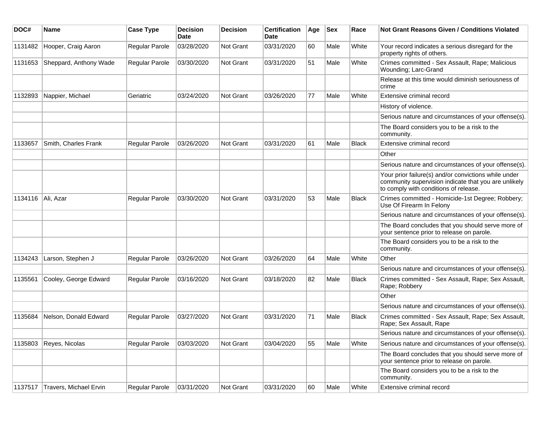| DOC#    | <b>Name</b>            | <b>Case Type</b>      | <b>Decision</b><br><b>Date</b> | <b>Decision</b> | <b>Certification</b><br>Date | Age | <b>Sex</b> | Race         | Not Grant Reasons Given / Conditions Violated                                                                                                         |
|---------|------------------------|-----------------------|--------------------------------|-----------------|------------------------------|-----|------------|--------------|-------------------------------------------------------------------------------------------------------------------------------------------------------|
| 1131482 | Hooper, Craig Aaron    | Regular Parole        | 03/28/2020                     | Not Grant       | 03/31/2020                   | 60  | Male       | White        | Your record indicates a serious disregard for the<br>property rights of others.                                                                       |
| 1131653 | Sheppard, Anthony Wade | Regular Parole        | 03/30/2020                     | Not Grant       | 03/31/2020                   | 51  | Male       | White        | Crimes committed - Sex Assault, Rape; Malicious<br>Wounding; Larc-Grand                                                                               |
|         |                        |                       |                                |                 |                              |     |            |              | Release at this time would diminish seriousness of<br>crime                                                                                           |
| 1132893 | Nappier, Michael       | Geriatric             | 03/24/2020                     | Not Grant       | 03/26/2020                   | 77  | Male       | White        | Extensive criminal record                                                                                                                             |
|         |                        |                       |                                |                 |                              |     |            |              | History of violence.                                                                                                                                  |
|         |                        |                       |                                |                 |                              |     |            |              | Serious nature and circumstances of your offense(s).                                                                                                  |
|         |                        |                       |                                |                 |                              |     |            |              | The Board considers you to be a risk to the<br>community.                                                                                             |
| 1133657 | Smith, Charles Frank   | Regular Parole        | 03/26/2020                     | Not Grant       | 03/31/2020                   | 61  | Male       | <b>Black</b> | Extensive criminal record                                                                                                                             |
|         |                        |                       |                                |                 |                              |     |            |              | Other                                                                                                                                                 |
|         |                        |                       |                                |                 |                              |     |            |              | Serious nature and circumstances of your offense(s).                                                                                                  |
|         |                        |                       |                                |                 |                              |     |            |              | Your prior failure(s) and/or convictions while under<br>community supervision indicate that you are unlikely<br>to comply with conditions of release. |
| 1134116 | Ali, Azar              | Regular Parole        | 03/30/2020                     | Not Grant       | 03/31/2020                   | 53  | Male       | Black        | Crimes committed - Homicide-1st Degree; Robbery;<br>Use Of Firearm In Felony                                                                          |
|         |                        |                       |                                |                 |                              |     |            |              | Serious nature and circumstances of your offense(s).                                                                                                  |
|         |                        |                       |                                |                 |                              |     |            |              | The Board concludes that you should serve more of<br>your sentence prior to release on parole.                                                        |
|         |                        |                       |                                |                 |                              |     |            |              | The Board considers you to be a risk to the<br>community.                                                                                             |
| 1134243 | Larson, Stephen J      | Regular Parole        | 03/26/2020                     | Not Grant       | 03/26/2020                   | 64  | Male       | White        | Other                                                                                                                                                 |
|         |                        |                       |                                |                 |                              |     |            |              | Serious nature and circumstances of your offense(s).                                                                                                  |
| 1135561 | Cooley, George Edward  | <b>Regular Parole</b> | 03/16/2020                     | Not Grant       | 03/18/2020                   | 82  | Male       | <b>Black</b> | Crimes committed - Sex Assault, Rape; Sex Assault,<br>Rape; Robbery                                                                                   |
|         |                        |                       |                                |                 |                              |     |            |              | Other                                                                                                                                                 |
|         |                        |                       |                                |                 |                              |     |            |              | Serious nature and circumstances of your offense(s).                                                                                                  |
| 1135684 | Nelson, Donald Edward  | <b>Regular Parole</b> | 03/27/2020                     | Not Grant       | 03/31/2020                   | 71  | Male       | <b>Black</b> | Crimes committed - Sex Assault, Rape; Sex Assault,<br>Rape; Sex Assault, Rape                                                                         |
|         |                        |                       |                                |                 |                              |     |            |              | Serious nature and circumstances of your offense(s).                                                                                                  |
| 1135803 | Reyes, Nicolas         | <b>Regular Parole</b> | 03/03/2020                     | Not Grant       | 03/04/2020                   | 55  | Male       | White        | Serious nature and circumstances of your offense(s).                                                                                                  |
|         |                        |                       |                                |                 |                              |     |            |              | The Board concludes that you should serve more of<br>your sentence prior to release on parole.                                                        |
|         |                        |                       |                                |                 |                              |     |            |              | The Board considers you to be a risk to the<br>community.                                                                                             |
| 1137517 | Travers, Michael Ervin | Regular Parole        | 03/31/2020                     | Not Grant       | 03/31/2020                   | 60  | Male       | White        | Extensive criminal record                                                                                                                             |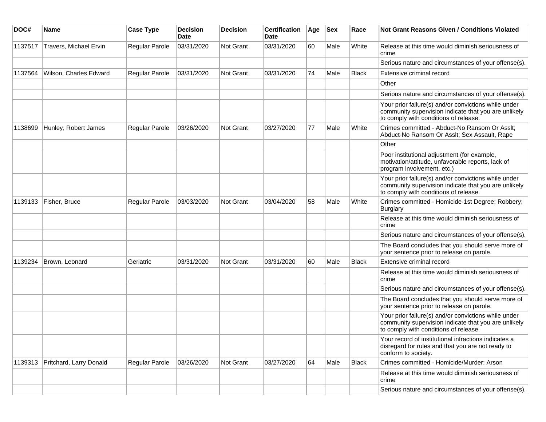| DOC#    | <b>Name</b>             | <b>Case Type</b>      | <b>Decision</b><br>Date | <b>Decision</b>  | <b>Certification</b><br>Date | Age | <b>Sex</b> | Race         | <b>Not Grant Reasons Given / Conditions Violated</b>                                                                                                  |
|---------|-------------------------|-----------------------|-------------------------|------------------|------------------------------|-----|------------|--------------|-------------------------------------------------------------------------------------------------------------------------------------------------------|
| 1137517 | Travers, Michael Ervin  | <b>Regular Parole</b> | 03/31/2020              | Not Grant        | 03/31/2020                   | 60  | Male       | White        | Release at this time would diminish seriousness of<br>crime                                                                                           |
|         |                         |                       |                         |                  |                              |     |            |              | Serious nature and circumstances of your offense(s).                                                                                                  |
| 1137564 | Wilson, Charles Edward  | Regular Parole        | 03/31/2020              | <b>Not Grant</b> | 03/31/2020                   | 74  | Male       | Black        | Extensive criminal record                                                                                                                             |
|         |                         |                       |                         |                  |                              |     |            |              | Other                                                                                                                                                 |
|         |                         |                       |                         |                  |                              |     |            |              | Serious nature and circumstances of your offense(s).                                                                                                  |
|         |                         |                       |                         |                  |                              |     |            |              | Your prior failure(s) and/or convictions while under<br>community supervision indicate that you are unlikely<br>to comply with conditions of release. |
| 1138699 | Hunley, Robert James    | Regular Parole        | 03/26/2020              | Not Grant        | 03/27/2020                   | 77  | Male       | White        | Crimes committed - Abduct-No Ransom Or Asslt;<br>Abduct-No Ransom Or Asslt; Sex Assault, Rape                                                         |
|         |                         |                       |                         |                  |                              |     |            |              | Other                                                                                                                                                 |
|         |                         |                       |                         |                  |                              |     |            |              | Poor institutional adjustment (for example,<br>motivation/attitude, unfavorable reports, lack of<br>program involvement, etc.)                        |
|         |                         |                       |                         |                  |                              |     |            |              | Your prior failure(s) and/or convictions while under<br>community supervision indicate that you are unlikely<br>to comply with conditions of release. |
| 1139133 | Fisher, Bruce           | Regular Parole        | 03/03/2020              | <b>Not Grant</b> | 03/04/2020                   | 58  | Male       | White        | Crimes committed - Homicide-1st Degree; Robbery;<br><b>Burglary</b>                                                                                   |
|         |                         |                       |                         |                  |                              |     |            |              | Release at this time would diminish seriousness of<br>crime                                                                                           |
|         |                         |                       |                         |                  |                              |     |            |              | Serious nature and circumstances of your offense(s).                                                                                                  |
|         |                         |                       |                         |                  |                              |     |            |              | The Board concludes that you should serve more of<br>your sentence prior to release on parole.                                                        |
| 1139234 | Brown, Leonard          | Geriatric             | 03/31/2020              | Not Grant        | 03/31/2020                   | 60  | Male       | <b>Black</b> | Extensive criminal record                                                                                                                             |
|         |                         |                       |                         |                  |                              |     |            |              | Release at this time would diminish seriousness of<br>crime                                                                                           |
|         |                         |                       |                         |                  |                              |     |            |              | Serious nature and circumstances of your offense(s).                                                                                                  |
|         |                         |                       |                         |                  |                              |     |            |              | The Board concludes that you should serve more of<br>your sentence prior to release on parole.                                                        |
|         |                         |                       |                         |                  |                              |     |            |              | Your prior failure(s) and/or convictions while under<br>community supervision indicate that you are unlikely<br>to comply with conditions of release. |
|         |                         |                       |                         |                  |                              |     |            |              | Your record of institutional infractions indicates a<br>disregard for rules and that you are not ready to<br>conform to society.                      |
| 1139313 | Pritchard, Larry Donald | Regular Parole        | 03/26/2020              | <b>Not Grant</b> | 03/27/2020                   | 64  | Male       | Black        | Crimes committed - Homicide/Murder; Arson                                                                                                             |
|         |                         |                       |                         |                  |                              |     |            |              | Release at this time would diminish seriousness of<br>crime                                                                                           |
|         |                         |                       |                         |                  |                              |     |            |              | Serious nature and circumstances of your offense(s).                                                                                                  |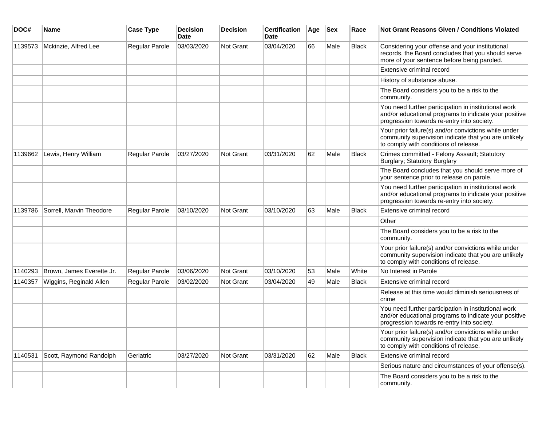| DOC#    | Name                      | <b>Case Type</b> | Decision<br><b>Date</b> | Decision         | <b>Certification</b><br><b>Date</b> | Age | <b>Sex</b> | Race         | Not Grant Reasons Given / Conditions Violated                                                                                                               |
|---------|---------------------------|------------------|-------------------------|------------------|-------------------------------------|-----|------------|--------------|-------------------------------------------------------------------------------------------------------------------------------------------------------------|
| 1139573 | Mckinzie, Alfred Lee      | Regular Parole   | 03/03/2020              | Not Grant        | 03/04/2020                          | 66  | Male       | <b>Black</b> | Considering your offense and your institutional<br>records, the Board concludes that you should serve<br>more of your sentence before being paroled.        |
|         |                           |                  |                         |                  |                                     |     |            |              | Extensive criminal record                                                                                                                                   |
|         |                           |                  |                         |                  |                                     |     |            |              | History of substance abuse.                                                                                                                                 |
|         |                           |                  |                         |                  |                                     |     |            |              | The Board considers you to be a risk to the<br>community.                                                                                                   |
|         |                           |                  |                         |                  |                                     |     |            |              | You need further participation in institutional work<br>and/or educational programs to indicate your positive<br>progression towards re-entry into society. |
|         |                           |                  |                         |                  |                                     |     |            |              | Your prior failure(s) and/or convictions while under<br>community supervision indicate that you are unlikely<br>to comply with conditions of release.       |
| 1139662 | Lewis, Henry William      | Regular Parole   | 03/27/2020              | Not Grant        | 03/31/2020                          | 62  | Male       | <b>Black</b> | Crimes committed - Felony Assault; Statutory<br>Burglary; Statutory Burglary                                                                                |
|         |                           |                  |                         |                  |                                     |     |            |              | The Board concludes that you should serve more of<br>your sentence prior to release on parole.                                                              |
|         |                           |                  |                         |                  |                                     |     |            |              | You need further participation in institutional work<br>and/or educational programs to indicate your positive<br>progression towards re-entry into society. |
| 1139786 | Sorrell, Marvin Theodore  | Regular Parole   | 03/10/2020              | <b>Not Grant</b> | 03/10/2020                          | 63  | Male       | <b>Black</b> | Extensive criminal record                                                                                                                                   |
|         |                           |                  |                         |                  |                                     |     |            |              | Other                                                                                                                                                       |
|         |                           |                  |                         |                  |                                     |     |            |              | The Board considers you to be a risk to the<br>community.                                                                                                   |
|         |                           |                  |                         |                  |                                     |     |            |              | Your prior failure(s) and/or convictions while under<br>community supervision indicate that you are unlikely<br>to comply with conditions of release.       |
| 1140293 | Brown, James Everette Jr. | Regular Parole   | 03/06/2020              | Not Grant        | 03/10/2020                          | 53  | Male       | White        | No Interest in Parole                                                                                                                                       |
| 1140357 | Wiggins, Reginald Allen   | Regular Parole   | 03/02/2020              | <b>Not Grant</b> | 03/04/2020                          | 49  | Male       | <b>Black</b> | Extensive criminal record                                                                                                                                   |
|         |                           |                  |                         |                  |                                     |     |            |              | Release at this time would diminish seriousness of<br>crime                                                                                                 |
|         |                           |                  |                         |                  |                                     |     |            |              | You need further participation in institutional work<br>and/or educational programs to indicate your positive<br>progression towards re-entry into society. |
|         |                           |                  |                         |                  |                                     |     |            |              | Your prior failure(s) and/or convictions while under<br>community supervision indicate that you are unlikely<br>to comply with conditions of release.       |
| 1140531 | Scott, Raymond Randolph   | Geriatric        | 03/27/2020              | Not Grant        | 03/31/2020                          | 62  | Male       | <b>Black</b> | Extensive criminal record                                                                                                                                   |
|         |                           |                  |                         |                  |                                     |     |            |              | Serious nature and circumstances of your offense(s).                                                                                                        |
|         |                           |                  |                         |                  |                                     |     |            |              | The Board considers you to be a risk to the<br>community.                                                                                                   |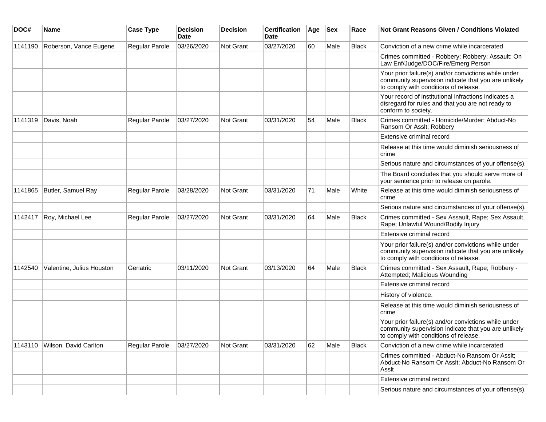| DOC#    | <b>Name</b>               | <b>Case Type</b> | <b>Decision</b><br>Date | <b>Decision</b>  | <b>Certification</b><br>Date | Age | <b>Sex</b> | Race         | Not Grant Reasons Given / Conditions Violated                                                                                                         |
|---------|---------------------------|------------------|-------------------------|------------------|------------------------------|-----|------------|--------------|-------------------------------------------------------------------------------------------------------------------------------------------------------|
| 1141190 | Roberson, Vance Eugene    | Regular Parole   | 03/26/2020              | <b>Not Grant</b> | 03/27/2020                   | 60  | Male       | <b>Black</b> | Conviction of a new crime while incarcerated                                                                                                          |
|         |                           |                  |                         |                  |                              |     |            |              | Crimes committed - Robbery; Robbery; Assault: On<br>Law Enf/Judge/DOC/Fire/Emerg Person                                                               |
|         |                           |                  |                         |                  |                              |     |            |              | Your prior failure(s) and/or convictions while under<br>community supervision indicate that you are unlikely<br>to comply with conditions of release. |
|         |                           |                  |                         |                  |                              |     |            |              | Your record of institutional infractions indicates a<br>disregard for rules and that you are not ready to<br>conform to society.                      |
| 1141319 | Davis, Noah               | Regular Parole   | 03/27/2020              | Not Grant        | 03/31/2020                   | 54  | Male       | Black        | Crimes committed - Homicide/Murder; Abduct-No<br>Ransom Or Asslt; Robbery                                                                             |
|         |                           |                  |                         |                  |                              |     |            |              | Extensive criminal record                                                                                                                             |
|         |                           |                  |                         |                  |                              |     |            |              | Release at this time would diminish seriousness of<br>crime                                                                                           |
|         |                           |                  |                         |                  |                              |     |            |              | Serious nature and circumstances of your offense(s).                                                                                                  |
|         |                           |                  |                         |                  |                              |     |            |              | The Board concludes that you should serve more of<br>your sentence prior to release on parole.                                                        |
| 1141865 | Butler, Samuel Ray        | Regular Parole   | 03/28/2020              | Not Grant        | 03/31/2020                   | 71  | Male       | White        | Release at this time would diminish seriousness of<br>crime                                                                                           |
|         |                           |                  |                         |                  |                              |     |            |              | Serious nature and circumstances of your offense(s).                                                                                                  |
| 1142417 | Roy, Michael Lee          | Regular Parole   | 03/27/2020              | <b>Not Grant</b> | 03/31/2020                   | 64  | Male       | <b>Black</b> | Crimes committed - Sex Assault, Rape; Sex Assault,<br>Rape; Unlawful Wound/Bodily Injury                                                              |
|         |                           |                  |                         |                  |                              |     |            |              | Extensive criminal record                                                                                                                             |
|         |                           |                  |                         |                  |                              |     |            |              | Your prior failure(s) and/or convictions while under<br>community supervision indicate that you are unlikely<br>to comply with conditions of release. |
| 1142540 | Valentine, Julius Houston | Geriatric        | 03/11/2020              | <b>Not Grant</b> | 03/13/2020                   | 64  | Male       | Black        | Crimes committed - Sex Assault, Rape; Robbery -<br>Attempted; Malicious Wounding                                                                      |
|         |                           |                  |                         |                  |                              |     |            |              | Extensive criminal record                                                                                                                             |
|         |                           |                  |                         |                  |                              |     |            |              | History of violence.                                                                                                                                  |
|         |                           |                  |                         |                  |                              |     |            |              | Release at this time would diminish seriousness of<br>crime                                                                                           |
|         |                           |                  |                         |                  |                              |     |            |              | Your prior failure(s) and/or convictions while under<br>community supervision indicate that you are unlikely<br>to comply with conditions of release. |
| 1143110 | Wilson, David Carlton     | Regular Parole   | 03/27/2020              | Not Grant        | 03/31/2020                   | 62  | Male       | Black        | Conviction of a new crime while incarcerated                                                                                                          |
|         |                           |                  |                         |                  |                              |     |            |              | Crimes committed - Abduct-No Ransom Or Asslt;<br>Abduct-No Ransom Or Asslt; Abduct-No Ransom Or<br>Asslt                                              |
|         |                           |                  |                         |                  |                              |     |            |              | Extensive criminal record                                                                                                                             |
|         |                           |                  |                         |                  |                              |     |            |              | Serious nature and circumstances of your offense(s).                                                                                                  |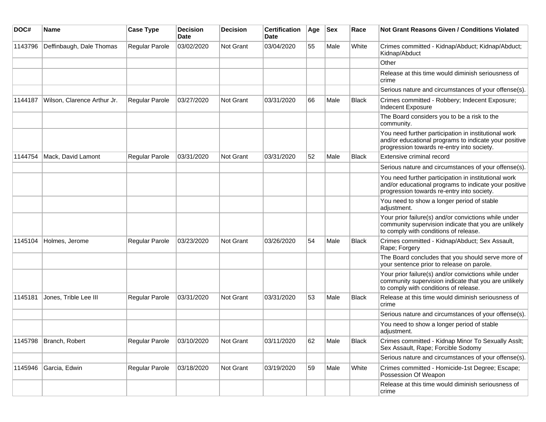| DOC#    | Name                        | <b>Case Type</b> | <b>Decision</b><br><b>Date</b> | <b>Decision</b>  | <b>Certification</b><br>Date | Age | <b>Sex</b> | Race         | Not Grant Reasons Given / Conditions Violated                                                                                                               |
|---------|-----------------------------|------------------|--------------------------------|------------------|------------------------------|-----|------------|--------------|-------------------------------------------------------------------------------------------------------------------------------------------------------------|
| 1143796 | Deffinbaugh, Dale Thomas    | Regular Parole   | 03/02/2020                     | Not Grant        | 03/04/2020                   | 55  | Male       | White        | Crimes committed - Kidnap/Abduct; Kidnap/Abduct;<br>Kidnap/Abduct                                                                                           |
|         |                             |                  |                                |                  |                              |     |            |              | Other                                                                                                                                                       |
|         |                             |                  |                                |                  |                              |     |            |              | Release at this time would diminish seriousness of<br>crime                                                                                                 |
|         |                             |                  |                                |                  |                              |     |            |              | Serious nature and circumstances of your offense(s).                                                                                                        |
| 1144187 | Wilson, Clarence Arthur Jr. | Regular Parole   | 03/27/2020                     | <b>Not Grant</b> | 03/31/2020                   | 66  | Male       | <b>Black</b> | Crimes committed - Robbery; Indecent Exposure;<br>Indecent Exposure                                                                                         |
|         |                             |                  |                                |                  |                              |     |            |              | The Board considers you to be a risk to the<br>community.                                                                                                   |
|         |                             |                  |                                |                  |                              |     |            |              | You need further participation in institutional work<br>and/or educational programs to indicate your positive<br>progression towards re-entry into society. |
| 1144754 | Mack, David Lamont          | Regular Parole   | 03/31/2020                     | <b>Not Grant</b> | 03/31/2020                   | 52  | Male       | <b>Black</b> | Extensive criminal record                                                                                                                                   |
|         |                             |                  |                                |                  |                              |     |            |              | Serious nature and circumstances of your offense(s).                                                                                                        |
|         |                             |                  |                                |                  |                              |     |            |              | You need further participation in institutional work<br>and/or educational programs to indicate your positive<br>progression towards re-entry into society. |
|         |                             |                  |                                |                  |                              |     |            |              | You need to show a longer period of stable<br>adjustment.                                                                                                   |
|         |                             |                  |                                |                  |                              |     |            |              | Your prior failure(s) and/or convictions while under<br>community supervision indicate that you are unlikely<br>to comply with conditions of release.       |
| 1145104 | Holmes, Jerome              | Regular Parole   | 03/23/2020                     | <b>Not Grant</b> | 03/26/2020                   | 54  | Male       | <b>Black</b> | Crimes committed - Kidnap/Abduct; Sex Assault,<br>Rape; Forgery                                                                                             |
|         |                             |                  |                                |                  |                              |     |            |              | The Board concludes that you should serve more of<br>your sentence prior to release on parole.                                                              |
|         |                             |                  |                                |                  |                              |     |            |              | Your prior failure(s) and/or convictions while under<br>community supervision indicate that you are unlikely<br>to comply with conditions of release.       |
| 1145181 | Jones, Trible Lee III       | Regular Parole   | 03/31/2020                     | Not Grant        | 03/31/2020                   | 53  | Male       | <b>Black</b> | Release at this time would diminish seriousness of<br>crime                                                                                                 |
|         |                             |                  |                                |                  |                              |     |            |              | Serious nature and circumstances of your offense(s).                                                                                                        |
|         |                             |                  |                                |                  |                              |     |            |              | You need to show a longer period of stable<br>adjustment.                                                                                                   |
| 1145798 | Branch, Robert              | Regular Parole   | 03/10/2020                     | Not Grant        | 03/11/2020                   | 62  | Male       | <b>Black</b> | Crimes committed - Kidnap Minor To Sexually Asslt;<br>Sex Assault, Rape; Forcible Sodomy                                                                    |
|         |                             |                  |                                |                  |                              |     |            |              | Serious nature and circumstances of your offense(s).                                                                                                        |
| 1145946 | Garcia, Edwin               | Regular Parole   | 03/18/2020                     | Not Grant        | 03/19/2020                   | 59  | Male       | White        | Crimes committed - Homicide-1st Degree; Escape;<br>Possession Of Weapon                                                                                     |
|         |                             |                  |                                |                  |                              |     |            |              | Release at this time would diminish seriousness of<br>crime                                                                                                 |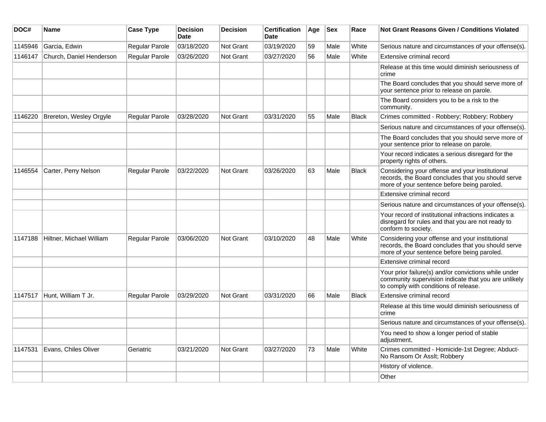| DOC#    | Name                     | <b>Case Type</b>      | <b>Decision</b><br><b>Date</b> | <b>Decision</b> | <b>Certification</b><br><b>Date</b> | Age | <b>Sex</b> | Race         | <b>Not Grant Reasons Given / Conditions Violated</b>                                                                                                  |
|---------|--------------------------|-----------------------|--------------------------------|-----------------|-------------------------------------|-----|------------|--------------|-------------------------------------------------------------------------------------------------------------------------------------------------------|
| 1145946 | Garcia, Edwin            | Regular Parole        | 03/18/2020                     | Not Grant       | 03/19/2020                          | 59  | Male       | White        | Serious nature and circumstances of your offense(s).                                                                                                  |
| 1146147 | Church, Daniel Henderson | Regular Parole        | 03/26/2020                     | Not Grant       | 03/27/2020                          | 56  | Male       | White        | Extensive criminal record                                                                                                                             |
|         |                          |                       |                                |                 |                                     |     |            |              | Release at this time would diminish seriousness of<br>crime                                                                                           |
|         |                          |                       |                                |                 |                                     |     |            |              | The Board concludes that you should serve more of<br>your sentence prior to release on parole.                                                        |
|         |                          |                       |                                |                 |                                     |     |            |              | The Board considers you to be a risk to the<br>community.                                                                                             |
| 1146220 | Brereton, Wesley Orgyle  | Regular Parole        | 03/28/2020                     | Not Grant       | 03/31/2020                          | 55  | Male       | <b>Black</b> | Crimes committed - Robbery; Robbery; Robbery                                                                                                          |
|         |                          |                       |                                |                 |                                     |     |            |              | Serious nature and circumstances of your offense(s).                                                                                                  |
|         |                          |                       |                                |                 |                                     |     |            |              | The Board concludes that you should serve more of<br>your sentence prior to release on parole.                                                        |
|         |                          |                       |                                |                 |                                     |     |            |              | Your record indicates a serious disregard for the<br>property rights of others.                                                                       |
| 1146554 | Carter, Perry Nelson     | <b>Regular Parole</b> | 03/22/2020                     | Not Grant       | 03/26/2020                          | 63  | Male       | <b>Black</b> | Considering your offense and your institutional<br>records, the Board concludes that you should serve<br>more of your sentence before being paroled.  |
|         |                          |                       |                                |                 |                                     |     |            |              | Extensive criminal record                                                                                                                             |
|         |                          |                       |                                |                 |                                     |     |            |              | Serious nature and circumstances of your offense(s).                                                                                                  |
|         |                          |                       |                                |                 |                                     |     |            |              | Your record of institutional infractions indicates a<br>disregard for rules and that you are not ready to<br>conform to society.                      |
| 1147188 | Hiltner, Michael William | <b>Regular Parole</b> | 03/06/2020                     | Not Grant       | 03/10/2020                          | 48  | Male       | White        | Considering your offense and your institutional<br>records, the Board concludes that you should serve<br>more of your sentence before being paroled.  |
|         |                          |                       |                                |                 |                                     |     |            |              | Extensive criminal record                                                                                                                             |
|         |                          |                       |                                |                 |                                     |     |            |              | Your prior failure(s) and/or convictions while under<br>community supervision indicate that you are unlikely<br>to comply with conditions of release. |
| 1147517 | Hunt, William T Jr.      | Regular Parole        | 03/29/2020                     | Not Grant       | 03/31/2020                          | 66  | Male       | <b>Black</b> | Extensive criminal record                                                                                                                             |
|         |                          |                       |                                |                 |                                     |     |            |              | Release at this time would diminish seriousness of<br>crime                                                                                           |
|         |                          |                       |                                |                 |                                     |     |            |              | Serious nature and circumstances of your offense(s).                                                                                                  |
|         |                          |                       |                                |                 |                                     |     |            |              | You need to show a longer period of stable<br>adjustment.                                                                                             |
| 1147531 | Evans, Chiles Oliver     | Geriatric             | 03/21/2020                     | Not Grant       | 03/27/2020                          | 73  | Male       | White        | Crimes committed - Homicide-1st Degree; Abduct-<br>No Ransom Or Asslt; Robbery                                                                        |
|         |                          |                       |                                |                 |                                     |     |            |              | History of violence.                                                                                                                                  |
|         |                          |                       |                                |                 |                                     |     |            |              | Other                                                                                                                                                 |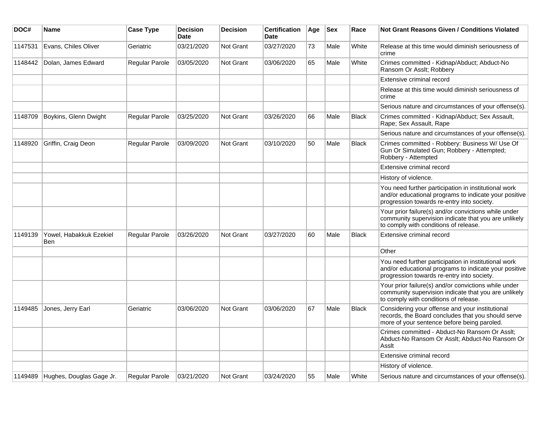| DOC#    | <b>Name</b>                    | <b>Case Type</b> | <b>Decision</b><br><b>Date</b> | <b>Decision</b>  | <b>Certification</b><br><b>Date</b> | Age | <b>Sex</b> | Race         | <b>Not Grant Reasons Given / Conditions Violated</b>                                                                                                        |
|---------|--------------------------------|------------------|--------------------------------|------------------|-------------------------------------|-----|------------|--------------|-------------------------------------------------------------------------------------------------------------------------------------------------------------|
| 1147531 | Evans, Chiles Oliver           | Geriatric        | 03/21/2020                     | Not Grant        | 03/27/2020                          | 73  | Male       | White        | Release at this time would diminish seriousness of<br>crime                                                                                                 |
| 1148442 | Dolan, James Edward            | Regular Parole   | 03/05/2020                     | Not Grant        | 03/06/2020                          | 65  | Male       | White        | Crimes committed - Kidnap/Abduct; Abduct-No<br>Ransom Or Asslt; Robbery                                                                                     |
|         |                                |                  |                                |                  |                                     |     |            |              | Extensive criminal record                                                                                                                                   |
|         |                                |                  |                                |                  |                                     |     |            |              | Release at this time would diminish seriousness of<br>crime                                                                                                 |
|         |                                |                  |                                |                  |                                     |     |            |              | Serious nature and circumstances of your offense(s).                                                                                                        |
| 1148709 | Boykins, Glenn Dwight          | Regular Parole   | 03/25/2020                     | Not Grant        | 03/26/2020                          | 66  | Male       | <b>Black</b> | Crimes committed - Kidnap/Abduct; Sex Assault,<br>Rape; Sex Assault, Rape                                                                                   |
|         |                                |                  |                                |                  |                                     |     |            |              | Serious nature and circumstances of your offense(s).                                                                                                        |
| 1148920 | Griffin, Craig Deon            | Regular Parole   | 03/09/2020                     | Not Grant        | 03/10/2020                          | 50  | Male       | <b>Black</b> | Crimes committed - Robbery: Business W/ Use Of<br>Gun Or Simulated Gun; Robbery - Attempted;<br>Robbery - Attempted                                         |
|         |                                |                  |                                |                  |                                     |     |            |              | Extensive criminal record                                                                                                                                   |
|         |                                |                  |                                |                  |                                     |     |            |              | History of violence.                                                                                                                                        |
|         |                                |                  |                                |                  |                                     |     |            |              | You need further participation in institutional work<br>and/or educational programs to indicate your positive<br>progression towards re-entry into society. |
|         |                                |                  |                                |                  |                                     |     |            |              | Your prior failure(s) and/or convictions while under<br>community supervision indicate that you are unlikely<br>to comply with conditions of release.       |
| 1149139 | Yowel, Habakkuk Ezekiel<br>Ben | Regular Parole   | 03/26/2020                     | Not Grant        | 03/27/2020                          | 60  | Male       | <b>Black</b> | Extensive criminal record                                                                                                                                   |
|         |                                |                  |                                |                  |                                     |     |            |              | Other                                                                                                                                                       |
|         |                                |                  |                                |                  |                                     |     |            |              | You need further participation in institutional work<br>and/or educational programs to indicate your positive<br>progression towards re-entry into society. |
|         |                                |                  |                                |                  |                                     |     |            |              | Your prior failure(s) and/or convictions while under<br>community supervision indicate that you are unlikely<br>to comply with conditions of release.       |
| 1149485 | Jones, Jerry Earl              | Geriatric        | 03/06/2020                     | Not Grant        | 03/06/2020                          | 67  | Male       | <b>Black</b> | Considering your offense and your institutional<br>records, the Board concludes that you should serve<br>more of your sentence before being paroled.        |
|         |                                |                  |                                |                  |                                     |     |            |              | Crimes committed - Abduct-No Ransom Or Asslt;<br>Abduct-No Ransom Or Asslt; Abduct-No Ransom Or<br>Asslt                                                    |
|         |                                |                  |                                |                  |                                     |     |            |              | Extensive criminal record                                                                                                                                   |
|         |                                |                  |                                |                  |                                     |     |            |              | History of violence.                                                                                                                                        |
| 1149489 | Hughes, Douglas Gage Jr.       | Regular Parole   | 03/21/2020                     | <b>Not Grant</b> | 03/24/2020                          | 55  | Male       | White        | Serious nature and circumstances of your offense(s).                                                                                                        |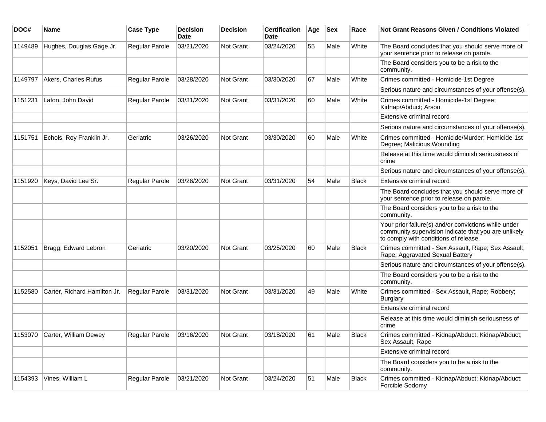| DOC#    | Name                          | <b>Case Type</b> | <b>Decision</b><br>Date | <b>Decision</b>  | <b>Certification</b><br>Date | Age | <b>Sex</b> | Race         | <b>Not Grant Reasons Given / Conditions Violated</b>                                                                                                  |
|---------|-------------------------------|------------------|-------------------------|------------------|------------------------------|-----|------------|--------------|-------------------------------------------------------------------------------------------------------------------------------------------------------|
| 1149489 | Hughes, Douglas Gage Jr.      | Regular Parole   | 03/21/2020              | Not Grant        | 03/24/2020                   | 55  | Male       | White        | The Board concludes that you should serve more of<br>your sentence prior to release on parole.                                                        |
|         |                               |                  |                         |                  |                              |     |            |              | The Board considers you to be a risk to the<br>community.                                                                                             |
| 1149797 | Akers, Charles Rufus          | Regular Parole   | 03/28/2020              | Not Grant        | 03/30/2020                   | 67  | Male       | White        | Crimes committed - Homicide-1st Degree                                                                                                                |
|         |                               |                  |                         |                  |                              |     |            |              | Serious nature and circumstances of your offense(s).                                                                                                  |
| 1151231 | Lafon, John David             | Regular Parole   | 03/31/2020              | <b>Not Grant</b> | 03/31/2020                   | 60  | Male       | White        | Crimes committed - Homicide-1st Degree;<br>Kidnap/Abduct; Arson                                                                                       |
|         |                               |                  |                         |                  |                              |     |            |              | Extensive criminal record                                                                                                                             |
|         |                               |                  |                         |                  |                              |     |            |              | Serious nature and circumstances of your offense(s).                                                                                                  |
| 1151751 | Echols, Roy Franklin Jr.      | Geriatric        | 03/26/2020              | <b>Not Grant</b> | 03/30/2020                   | 60  | Male       | White        | Crimes committed - Homicide/Murder; Homicide-1st<br>Degree; Malicious Wounding                                                                        |
|         |                               |                  |                         |                  |                              |     |            |              | Release at this time would diminish seriousness of<br>crime                                                                                           |
|         |                               |                  |                         |                  |                              |     |            |              | Serious nature and circumstances of your offense(s).                                                                                                  |
| 1151920 | Keys, David Lee Sr.           | Regular Parole   | 03/26/2020              | <b>Not Grant</b> | 03/31/2020                   | 54  | Male       | Black        | Extensive criminal record                                                                                                                             |
|         |                               |                  |                         |                  |                              |     |            |              | The Board concludes that you should serve more of<br>your sentence prior to release on parole.                                                        |
|         |                               |                  |                         |                  |                              |     |            |              | The Board considers you to be a risk to the<br>community.                                                                                             |
|         |                               |                  |                         |                  |                              |     |            |              | Your prior failure(s) and/or convictions while under<br>community supervision indicate that you are unlikely<br>to comply with conditions of release. |
| 1152051 | Bragg, Edward Lebron          | Geriatric        | 03/20/2020              | Not Grant        | 03/25/2020                   | 60  | Male       | <b>Black</b> | Crimes committed - Sex Assault, Rape; Sex Assault,<br>Rape; Aggravated Sexual Battery                                                                 |
|         |                               |                  |                         |                  |                              |     |            |              | Serious nature and circumstances of your offense(s).                                                                                                  |
|         |                               |                  |                         |                  |                              |     |            |              | The Board considers you to be a risk to the<br>community.                                                                                             |
| 1152580 | Carter, Richard Hamilton Jr.  | Regular Parole   | 03/31/2020              | <b>Not Grant</b> | 03/31/2020                   | 49  | Male       | White        | Crimes committed - Sex Assault, Rape; Robbery;<br>Burglary                                                                                            |
|         |                               |                  |                         |                  |                              |     |            |              | Extensive criminal record                                                                                                                             |
|         |                               |                  |                         |                  |                              |     |            |              | Release at this time would diminish seriousness of<br>crime                                                                                           |
|         | 1153070 Carter, William Dewey | Regular Parole   | 03/16/2020              | Not Grant        | 03/18/2020                   | 61  | Male       | <b>Black</b> | Crimes committed - Kidnap/Abduct; Kidnap/Abduct;<br>Sex Assault, Rape                                                                                 |
|         |                               |                  |                         |                  |                              |     |            |              | Extensive criminal record                                                                                                                             |
|         |                               |                  |                         |                  |                              |     |            |              | The Board considers you to be a risk to the<br>community.                                                                                             |
| 1154393 | Vines, William L              | Regular Parole   | 03/21/2020              | Not Grant        | 03/24/2020                   | 51  | Male       | Black        | Crimes committed - Kidnap/Abduct; Kidnap/Abduct;<br>Forcible Sodomy                                                                                   |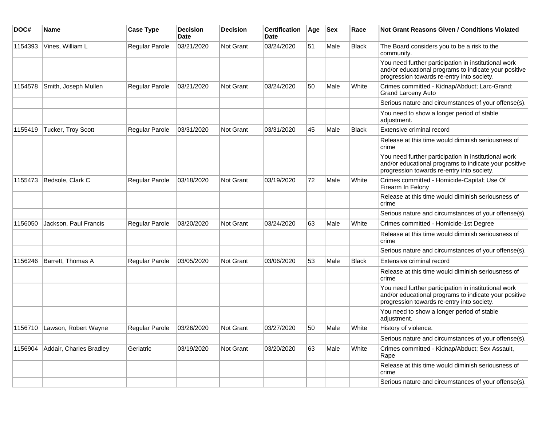| DOC#    | <b>Name</b>                    | <b>Case Type</b> | <b>Decision</b><br>Date | <b>Decision</b> | <b>Certification</b><br>Date | Age | <b>Sex</b> | Race         | Not Grant Reasons Given / Conditions Violated                                                                                                               |
|---------|--------------------------------|------------------|-------------------------|-----------------|------------------------------|-----|------------|--------------|-------------------------------------------------------------------------------------------------------------------------------------------------------------|
| 1154393 | Vines, William L               | Regular Parole   | 03/21/2020              | Not Grant       | 03/24/2020                   | 51  | Male       | Black        | The Board considers you to be a risk to the<br>community.                                                                                                   |
|         |                                |                  |                         |                 |                              |     |            |              | You need further participation in institutional work<br>and/or educational programs to indicate your positive<br>progression towards re-entry into society. |
| 1154578 | Smith, Joseph Mullen           | Regular Parole   | 03/21/2020              | Not Grant       | 03/24/2020                   | 50  | Male       | White        | Crimes committed - Kidnap/Abduct; Larc-Grand;<br><b>Grand Larceny Auto</b>                                                                                  |
|         |                                |                  |                         |                 |                              |     |            |              | Serious nature and circumstances of your offense(s).                                                                                                        |
|         |                                |                  |                         |                 |                              |     |            |              | You need to show a longer period of stable<br>adjustment.                                                                                                   |
| 1155419 | Tucker, Troy Scott             | Regular Parole   | 03/31/2020              | Not Grant       | 03/31/2020                   | 45  | Male       | <b>Black</b> | Extensive criminal record                                                                                                                                   |
|         |                                |                  |                         |                 |                              |     |            |              | Release at this time would diminish seriousness of<br>crime                                                                                                 |
|         |                                |                  |                         |                 |                              |     |            |              | You need further participation in institutional work<br>and/or educational programs to indicate your positive<br>progression towards re-entry into society. |
| 1155473 | Bedsole, Clark C               | Regular Parole   | 03/18/2020              | Not Grant       | 03/19/2020                   | 72  | Male       | White        | Crimes committed - Homicide-Capital; Use Of<br>Firearm In Felony                                                                                            |
|         |                                |                  |                         |                 |                              |     |            |              | Release at this time would diminish seriousness of<br>crime                                                                                                 |
|         |                                |                  |                         |                 |                              |     |            |              | Serious nature and circumstances of your offense(s).                                                                                                        |
| 1156050 | Jackson, Paul Francis          | Regular Parole   | 03/20/2020              | Not Grant       | 03/24/2020                   | 63  | Male       | White        | Crimes committed - Homicide-1st Degree                                                                                                                      |
|         |                                |                  |                         |                 |                              |     |            |              | Release at this time would diminish seriousness of<br>crime                                                                                                 |
|         |                                |                  |                         |                 |                              |     |            |              | Serious nature and circumstances of your offense(s).                                                                                                        |
| 1156246 | Barrett, Thomas A              | Regular Parole   | 03/05/2020              | Not Grant       | 03/06/2020                   | 53  | Male       | <b>Black</b> | Extensive criminal record                                                                                                                                   |
|         |                                |                  |                         |                 |                              |     |            |              | Release at this time would diminish seriousness of<br>crime                                                                                                 |
|         |                                |                  |                         |                 |                              |     |            |              | You need further participation in institutional work<br>and/or educational programs to indicate your positive<br>progression towards re-entry into society. |
|         |                                |                  |                         |                 |                              |     |            |              | You need to show a longer period of stable<br>adjustment.                                                                                                   |
|         | 1156710   Lawson, Robert Wayne | Regular Parole   | 03/26/2020              | Not Grant       | 03/27/2020                   | 50  | Male       | White        | History of violence.                                                                                                                                        |
|         |                                |                  |                         |                 |                              |     |            |              | Serious nature and circumstances of your offense(s).                                                                                                        |
| 1156904 | Addair, Charles Bradley        | Geriatric        | 03/19/2020              | Not Grant       | 03/20/2020                   | 63  | Male       | White        | Crimes committed - Kidnap/Abduct; Sex Assault,<br>Rape                                                                                                      |
|         |                                |                  |                         |                 |                              |     |            |              | Release at this time would diminish seriousness of<br>crime                                                                                                 |
|         |                                |                  |                         |                 |                              |     |            |              | Serious nature and circumstances of your offense(s).                                                                                                        |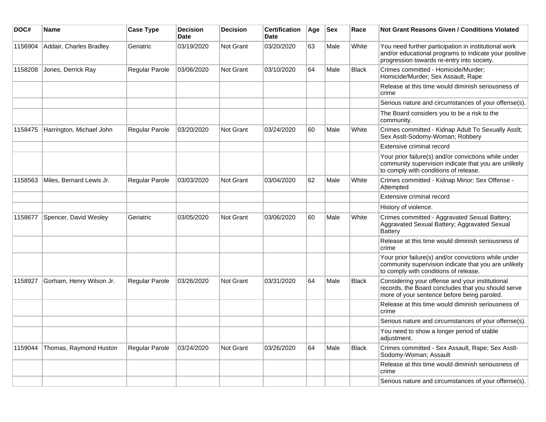| DOC#    | Name                     | <b>Case Type</b>      | <b>Decision</b><br><b>Date</b> | <b>Decision</b> | <b>Certification</b><br>Date | Age | <b>Sex</b> | Race         | <b>Not Grant Reasons Given / Conditions Violated</b>                                                                                                        |
|---------|--------------------------|-----------------------|--------------------------------|-----------------|------------------------------|-----|------------|--------------|-------------------------------------------------------------------------------------------------------------------------------------------------------------|
| 1156904 | Addair, Charles Bradley  | Geriatric             | 03/19/2020                     | Not Grant       | 03/20/2020                   | 63  | Male       | White        | You need further participation in institutional work<br>and/or educational programs to indicate your positive<br>progression towards re-entry into society. |
| 1158208 | Jones, Derrick Ray       | Regular Parole        | 03/06/2020                     | Not Grant       | 03/10/2020                   | 64  | Male       | <b>Black</b> | Crimes committed - Homicide/Murder;<br>Homicide/Murder; Sex Assault, Rape                                                                                   |
|         |                          |                       |                                |                 |                              |     |            |              | Release at this time would diminish seriousness of<br>crime                                                                                                 |
|         |                          |                       |                                |                 |                              |     |            |              | Serious nature and circumstances of your offense(s).                                                                                                        |
|         |                          |                       |                                |                 |                              |     |            |              | The Board considers you to be a risk to the<br>community.                                                                                                   |
| 1158475 | Harrington, Michael John | <b>Regular Parole</b> | 03/20/2020                     | Not Grant       | 03/24/2020                   | 60  | Male       | White        | Crimes committed - Kidnap Adult To Sexually Asslt;<br>Sex Asslt-Sodomy-Woman; Robbery                                                                       |
|         |                          |                       |                                |                 |                              |     |            |              | Extensive criminal record                                                                                                                                   |
|         |                          |                       |                                |                 |                              |     |            |              | Your prior failure(s) and/or convictions while under<br>community supervision indicate that you are unlikely<br>to comply with conditions of release.       |
| 1158563 | Miles, Bernard Lewis Jr. | <b>Regular Parole</b> | 03/03/2020                     | Not Grant       | 03/04/2020                   | 62  | Male       | White        | Crimes committed - Kidnap Minor; Sex Offense -<br>Attempted                                                                                                 |
|         |                          |                       |                                |                 |                              |     |            |              | Extensive criminal record                                                                                                                                   |
|         |                          |                       |                                |                 |                              |     |            |              | History of violence.                                                                                                                                        |
| 1158677 | Spencer, David Wesley    | Geriatric             | 03/05/2020                     | Not Grant       | 03/06/2020                   | 60  | Male       | White        | Crimes committed - Aggravated Sexual Battery;<br>Aggravated Sexual Battery; Aggravated Sexual<br>Battery                                                    |
|         |                          |                       |                                |                 |                              |     |            |              | Release at this time would diminish seriousness of<br>crime                                                                                                 |
|         |                          |                       |                                |                 |                              |     |            |              | Your prior failure(s) and/or convictions while under<br>community supervision indicate that you are unlikely<br>to comply with conditions of release.       |
| 1158927 | Gorham, Henry Wilson Jr. | <b>Regular Parole</b> | 03/26/2020                     | Not Grant       | 03/31/2020                   | 64  | Male       | Black        | Considering your offense and your institutional<br>records, the Board concludes that you should serve<br>more of your sentence before being paroled.        |
|         |                          |                       |                                |                 |                              |     |            |              | Release at this time would diminish seriousness of<br>crime                                                                                                 |
|         |                          |                       |                                |                 |                              |     |            |              | Serious nature and circumstances of your offense(s).                                                                                                        |
|         |                          |                       |                                |                 |                              |     |            |              | You need to show a longer period of stable<br>adjustment.                                                                                                   |
| 1159044 | Thomas, Raymond Huston   | Regular Parole        | 03/24/2020                     | Not Grant       | 03/26/2020                   | 64  | Male       | <b>Black</b> | Crimes committed - Sex Assault, Rape; Sex Asslt-<br>Sodomy-Woman; Assault                                                                                   |
|         |                          |                       |                                |                 |                              |     |            |              | Release at this time would diminish seriousness of<br>crime                                                                                                 |
|         |                          |                       |                                |                 |                              |     |            |              | Serious nature and circumstances of your offense(s).                                                                                                        |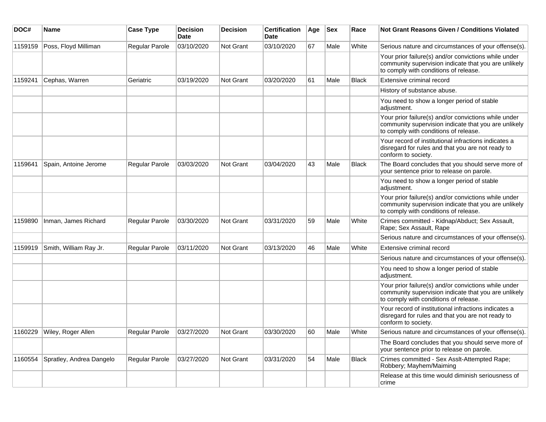| DOC#    | Name                         | <b>Case Type</b>      | <b>Decision</b><br>Date | <b>Decision</b>  | <b>Certification</b><br>Date | Age | <b>Sex</b> | Race         | <b>Not Grant Reasons Given / Conditions Violated</b>                                                                                                  |
|---------|------------------------------|-----------------------|-------------------------|------------------|------------------------------|-----|------------|--------------|-------------------------------------------------------------------------------------------------------------------------------------------------------|
| 1159159 | Poss, Floyd Milliman         | <b>Regular Parole</b> | 03/10/2020              | Not Grant        | 03/10/2020                   | 67  | Male       | White        | Serious nature and circumstances of your offense(s).                                                                                                  |
|         |                              |                       |                         |                  |                              |     |            |              | Your prior failure(s) and/or convictions while under<br>community supervision indicate that you are unlikely<br>to comply with conditions of release. |
| 1159241 | Cephas, Warren               | Geriatric             | 03/19/2020              | <b>Not Grant</b> | 03/20/2020                   | 61  | Male       | <b>Black</b> | Extensive criminal record                                                                                                                             |
|         |                              |                       |                         |                  |                              |     |            |              | History of substance abuse.                                                                                                                           |
|         |                              |                       |                         |                  |                              |     |            |              | You need to show a longer period of stable<br>adjustment.                                                                                             |
|         |                              |                       |                         |                  |                              |     |            |              | Your prior failure(s) and/or convictions while under<br>community supervision indicate that you are unlikely<br>to comply with conditions of release. |
|         |                              |                       |                         |                  |                              |     |            |              | Your record of institutional infractions indicates a<br>disregard for rules and that you are not ready to<br>conform to society.                      |
| 1159641 | Spain, Antoine Jerome        | Regular Parole        | 03/03/2020              | <b>Not Grant</b> | 03/04/2020                   | 43  | Male       | Black        | The Board concludes that you should serve more of<br>your sentence prior to release on parole.                                                        |
|         |                              |                       |                         |                  |                              |     |            |              | You need to show a longer period of stable<br>adjustment.                                                                                             |
|         |                              |                       |                         |                  |                              |     |            |              | Your prior failure(s) and/or convictions while under<br>community supervision indicate that you are unlikely<br>to comply with conditions of release. |
| 1159890 | Inman, James Richard         | Regular Parole        | 03/30/2020              | Not Grant        | 03/31/2020                   | 59  | Male       | White        | Crimes committed - Kidnap/Abduct; Sex Assault,<br>Rape; Sex Assault, Rape                                                                             |
|         |                              |                       |                         |                  |                              |     |            |              | Serious nature and circumstances of your offense(s).                                                                                                  |
| 1159919 | Smith, William Ray Jr.       | <b>Regular Parole</b> | 03/11/2020              | Not Grant        | 03/13/2020                   | 46  | Male       | White        | Extensive criminal record                                                                                                                             |
|         |                              |                       |                         |                  |                              |     |            |              | Serious nature and circumstances of your offense(s).                                                                                                  |
|         |                              |                       |                         |                  |                              |     |            |              | You need to show a longer period of stable<br>adjustment.                                                                                             |
|         |                              |                       |                         |                  |                              |     |            |              | Your prior failure(s) and/or convictions while under<br>community supervision indicate that you are unlikely<br>to comply with conditions of release. |
|         |                              |                       |                         |                  |                              |     |            |              | Your record of institutional infractions indicates a<br>disregard for rules and that you are not ready to<br>conform to society.                      |
|         | 1160229   Wiley, Roger Allen | Regular Parole        | 03/27/2020              | Not Grant        | 03/30/2020                   | 60  | Male       | White        | Serious nature and circumstances of your offense(s).                                                                                                  |
|         |                              |                       |                         |                  |                              |     |            |              | The Board concludes that you should serve more of<br>your sentence prior to release on parole.                                                        |
| 1160554 | Spratley, Andrea Dangelo     | Regular Parole        | 03/27/2020              | Not Grant        | 03/31/2020                   | 54  | Male       | Black        | Crimes committed - Sex Asslt-Attempted Rape;<br>Robbery; Mayhem/Maiming                                                                               |
|         |                              |                       |                         |                  |                              |     |            |              | Release at this time would diminish seriousness of<br>crime                                                                                           |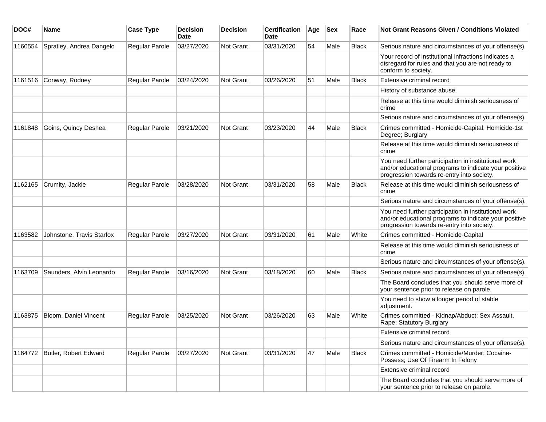| DOC#    | Name                      | <b>Case Type</b>      | <b>Decision</b><br>Date | <b>Decision</b>  | <b>Certification</b><br>Date | Age | Sex  | Race         | <b>Not Grant Reasons Given / Conditions Violated</b>                                                                                                        |
|---------|---------------------------|-----------------------|-------------------------|------------------|------------------------------|-----|------|--------------|-------------------------------------------------------------------------------------------------------------------------------------------------------------|
| 1160554 | Spratley, Andrea Dangelo  | Regular Parole        | 03/27/2020              | Not Grant        | 03/31/2020                   | 54  | Male | <b>Black</b> | Serious nature and circumstances of your offense(s).                                                                                                        |
|         |                           |                       |                         |                  |                              |     |      |              | Your record of institutional infractions indicates a<br>disregard for rules and that you are not ready to<br>conform to society.                            |
| 1161516 | Conway, Rodney            | Regular Parole        | 03/24/2020              | Not Grant        | 03/26/2020                   | 51  | Male | <b>Black</b> | Extensive criminal record                                                                                                                                   |
|         |                           |                       |                         |                  |                              |     |      |              | History of substance abuse.                                                                                                                                 |
|         |                           |                       |                         |                  |                              |     |      |              | Release at this time would diminish seriousness of<br>crime                                                                                                 |
|         |                           |                       |                         |                  |                              |     |      |              | Serious nature and circumstances of your offense(s).                                                                                                        |
| 1161848 | Goins, Quincy Deshea      | Regular Parole        | 03/21/2020              | Not Grant        | 03/23/2020                   | 44  | Male | <b>Black</b> | Crimes committed - Homicide-Capital; Homicide-1st<br>Degree; Burglary                                                                                       |
|         |                           |                       |                         |                  |                              |     |      |              | Release at this time would diminish seriousness of<br>crime                                                                                                 |
|         |                           |                       |                         |                  |                              |     |      |              | You need further participation in institutional work<br>and/or educational programs to indicate your positive<br>progression towards re-entry into society. |
| 1162165 | Crumity, Jackie           | Regular Parole        | 03/28/2020              | Not Grant        | 03/31/2020                   | 58  | Male | <b>Black</b> | Release at this time would diminish seriousness of<br>crime                                                                                                 |
|         |                           |                       |                         |                  |                              |     |      |              | Serious nature and circumstances of your offense(s).                                                                                                        |
|         |                           |                       |                         |                  |                              |     |      |              | You need further participation in institutional work<br>and/or educational programs to indicate your positive<br>progression towards re-entry into society. |
| 1163582 | Johnstone, Travis Starfox | <b>Regular Parole</b> | 03/27/2020              | <b>Not Grant</b> | 03/31/2020                   | 61  | Male | White        | Crimes committed - Homicide-Capital                                                                                                                         |
|         |                           |                       |                         |                  |                              |     |      |              | Release at this time would diminish seriousness of<br>crime                                                                                                 |
|         |                           |                       |                         |                  |                              |     |      |              | Serious nature and circumstances of your offense(s).                                                                                                        |
| 1163709 | Saunders, Alvin Leonardo  | <b>Regular Parole</b> | 03/16/2020              | <b>Not Grant</b> | 03/18/2020                   | 60  | Male | Black        | Serious nature and circumstances of your offense(s).                                                                                                        |
|         |                           |                       |                         |                  |                              |     |      |              | The Board concludes that you should serve more of<br>your sentence prior to release on parole.                                                              |
|         |                           |                       |                         |                  |                              |     |      |              | You need to show a longer period of stable<br>adjustment.                                                                                                   |
| 1163875 | Bloom, Daniel Vincent     | <b>Regular Parole</b> | 03/25/2020              | <b>Not Grant</b> | 03/26/2020                   | 63  | Male | White        | Crimes committed - Kidnap/Abduct; Sex Assault,<br>Rape; Statutory Burglary                                                                                  |
|         |                           |                       |                         |                  |                              |     |      |              | Extensive criminal record                                                                                                                                   |
|         |                           |                       |                         |                  |                              |     |      |              | Serious nature and circumstances of your offense(s).                                                                                                        |
| 1164772 | Butler, Robert Edward     | Regular Parole        | 03/27/2020              | Not Grant        | 03/31/2020                   | 47  | Male | <b>Black</b> | Crimes committed - Homicide/Murder; Cocaine-<br>Possess; Use Of Firearm In Felony                                                                           |
|         |                           |                       |                         |                  |                              |     |      |              | Extensive criminal record                                                                                                                                   |
|         |                           |                       |                         |                  |                              |     |      |              | The Board concludes that you should serve more of<br>your sentence prior to release on parole.                                                              |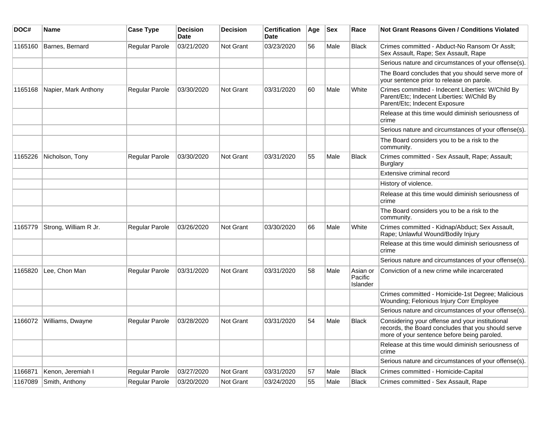| DOC#    | <b>Name</b>           | <b>Case Type</b> | <b>Decision</b><br><b>Date</b> | <b>Decision</b> | <b>Certification</b><br>Date | Age | <b>Sex</b> | Race                            | Not Grant Reasons Given / Conditions Violated                                                                                                        |
|---------|-----------------------|------------------|--------------------------------|-----------------|------------------------------|-----|------------|---------------------------------|------------------------------------------------------------------------------------------------------------------------------------------------------|
| 1165160 | Barnes, Bernard       | Regular Parole   | 03/21/2020                     | Not Grant       | 03/23/2020                   | 56  | Male       | <b>Black</b>                    | Crimes committed - Abduct-No Ransom Or Asslt;<br>Sex Assault, Rape; Sex Assault, Rape                                                                |
|         |                       |                  |                                |                 |                              |     |            |                                 | Serious nature and circumstances of your offense(s).                                                                                                 |
|         |                       |                  |                                |                 |                              |     |            |                                 | The Board concludes that you should serve more of<br>your sentence prior to release on parole.                                                       |
| 1165168 | Napier, Mark Anthony  | Regular Parole   | 03/30/2020                     | Not Grant       | 03/31/2020                   | 60  | Male       | White                           | Crimes committed - Indecent Liberties: W/Child By<br>Parent/Etc; Indecent Liberties: W/Child By<br>Parent/Etc; Indecent Exposure                     |
|         |                       |                  |                                |                 |                              |     |            |                                 | Release at this time would diminish seriousness of<br>crime                                                                                          |
|         |                       |                  |                                |                 |                              |     |            |                                 | Serious nature and circumstances of your offense(s).                                                                                                 |
|         |                       |                  |                                |                 |                              |     |            |                                 | The Board considers you to be a risk to the<br>community.                                                                                            |
| 1165226 | Nicholson, Tony       | Regular Parole   | 03/30/2020                     | Not Grant       | 03/31/2020                   | 55  | Male       | Black                           | Crimes committed - Sex Assault, Rape; Assault;<br><b>Burglary</b>                                                                                    |
|         |                       |                  |                                |                 |                              |     |            |                                 | Extensive criminal record                                                                                                                            |
|         |                       |                  |                                |                 |                              |     |            |                                 | History of violence.                                                                                                                                 |
|         |                       |                  |                                |                 |                              |     |            |                                 | Release at this time would diminish seriousness of<br>crime                                                                                          |
|         |                       |                  |                                |                 |                              |     |            |                                 | The Board considers you to be a risk to the<br>community.                                                                                            |
| 1165779 | Strong, William R Jr. | Regular Parole   | 03/26/2020                     | Not Grant       | 03/30/2020                   | 66  | Male       | White                           | Crimes committed - Kidnap/Abduct; Sex Assault,<br>Rape; Unlawful Wound/Bodily Injury                                                                 |
|         |                       |                  |                                |                 |                              |     |            |                                 | Release at this time would diminish seriousness of<br>crime                                                                                          |
|         |                       |                  |                                |                 |                              |     |            |                                 | Serious nature and circumstances of your offense(s).                                                                                                 |
| 1165820 | Lee, Chon Man         | Regular Parole   | 03/31/2020                     | Not Grant       | 03/31/2020                   | 58  | Male       | Asian or<br>Pacific<br>Islander | Conviction of a new crime while incarcerated                                                                                                         |
|         |                       |                  |                                |                 |                              |     |            |                                 | Crimes committed - Homicide-1st Degree; Malicious<br>Wounding; Felonious Injury Corr Employee                                                        |
|         |                       |                  |                                |                 |                              |     |            |                                 | Serious nature and circumstances of your offense(s).                                                                                                 |
| 1166072 | Williams, Dwayne      | Regular Parole   | 03/28/2020                     | Not Grant       | 03/31/2020                   | 54  | Male       | <b>Black</b>                    | Considering your offense and your institutional<br>records, the Board concludes that you should serve<br>more of your sentence before being paroled. |
|         |                       |                  |                                |                 |                              |     |            |                                 | Release at this time would diminish seriousness of<br>crime                                                                                          |
|         |                       |                  |                                |                 |                              |     |            |                                 | Serious nature and circumstances of your offense(s).                                                                                                 |
| 1166871 | Kenon, Jeremiah I     | Regular Parole   | 03/27/2020                     | Not Grant       | 03/31/2020                   | 57  | Male       | <b>Black</b>                    | Crimes committed - Homicide-Capital                                                                                                                  |
| 1167089 | Smith, Anthony        | Regular Parole   | 03/20/2020                     | Not Grant       | 03/24/2020                   | 55  | Male       | <b>Black</b>                    | Crimes committed - Sex Assault, Rape                                                                                                                 |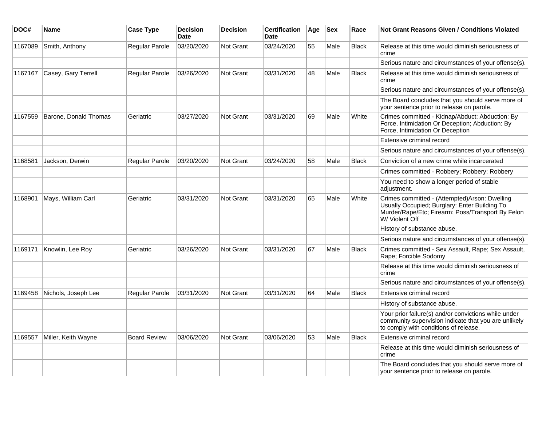| DOC#    | <b>Name</b>           | <b>Case Type</b>    | <b>Decision</b><br><b>Date</b> | <b>Decision</b>  | <b>Certification</b><br><b>Date</b> | Age | <b>Sex</b> | Race         | <b>Not Grant Reasons Given / Conditions Violated</b>                                                                                                                  |
|---------|-----------------------|---------------------|--------------------------------|------------------|-------------------------------------|-----|------------|--------------|-----------------------------------------------------------------------------------------------------------------------------------------------------------------------|
| 1167089 | Smith, Anthony        | Regular Parole      | 03/20/2020                     | <b>Not Grant</b> | 03/24/2020                          | 55  | Male       | <b>Black</b> | Release at this time would diminish seriousness of<br>crime                                                                                                           |
|         |                       |                     |                                |                  |                                     |     |            |              | Serious nature and circumstances of your offense(s).                                                                                                                  |
| 1167167 | Casey, Gary Terrell   | Regular Parole      | 03/26/2020                     | Not Grant        | 03/31/2020                          | 48  | Male       | <b>Black</b> | Release at this time would diminish seriousness of<br>crime                                                                                                           |
|         |                       |                     |                                |                  |                                     |     |            |              | Serious nature and circumstances of your offense(s).                                                                                                                  |
|         |                       |                     |                                |                  |                                     |     |            |              | The Board concludes that you should serve more of<br>your sentence prior to release on parole.                                                                        |
| 1167559 | Barone, Donald Thomas | Geriatric           | 03/27/2020                     | <b>Not Grant</b> | 03/31/2020                          | 69  | Male       | White        | Crimes committed - Kidnap/Abduct; Abduction: By<br>Force, Intimidation Or Deception; Abduction: By<br>Force, Intimidation Or Deception                                |
|         |                       |                     |                                |                  |                                     |     |            |              | Extensive criminal record                                                                                                                                             |
|         |                       |                     |                                |                  |                                     |     |            |              | Serious nature and circumstances of your offense(s).                                                                                                                  |
| 1168581 | Jackson, Derwin       | Regular Parole      | 03/20/2020                     | <b>Not Grant</b> | 03/24/2020                          | 58  | Male       | <b>Black</b> | Conviction of a new crime while incarcerated                                                                                                                          |
|         |                       |                     |                                |                  |                                     |     |            |              | Crimes committed - Robbery; Robbery; Robbery                                                                                                                          |
|         |                       |                     |                                |                  |                                     |     |            |              | You need to show a longer period of stable<br>adjustment.                                                                                                             |
| 1168901 | Mays, William Carl    | Geriatric           | 03/31/2020                     | Not Grant        | 03/31/2020                          | 65  | Male       | White        | Crimes committed - (Attempted)Arson: Dwelling<br>Usually Occupied; Burglary: Enter Building To<br>Murder/Rape/Etc; Firearm: Poss/Transport By Felon<br>W/ Violent Off |
|         |                       |                     |                                |                  |                                     |     |            |              | History of substance abuse.                                                                                                                                           |
|         |                       |                     |                                |                  |                                     |     |            |              | Serious nature and circumstances of your offense(s).                                                                                                                  |
| 1169171 | Knowlin, Lee Roy      | Geriatric           | 03/26/2020                     | <b>Not Grant</b> | 03/31/2020                          | 67  | Male       | Black        | Crimes committed - Sex Assault, Rape; Sex Assault,<br>Rape; Forcible Sodomy                                                                                           |
|         |                       |                     |                                |                  |                                     |     |            |              | Release at this time would diminish seriousness of<br>crime                                                                                                           |
|         |                       |                     |                                |                  |                                     |     |            |              | Serious nature and circumstances of your offense(s).                                                                                                                  |
| 1169458 | Nichols, Joseph Lee   | Regular Parole      | 03/31/2020                     | <b>Not Grant</b> | 03/31/2020                          | 64  | Male       | <b>Black</b> | Extensive criminal record                                                                                                                                             |
|         |                       |                     |                                |                  |                                     |     |            |              | History of substance abuse.                                                                                                                                           |
|         |                       |                     |                                |                  |                                     |     |            |              | Your prior failure(s) and/or convictions while under<br>community supervision indicate that you are unlikely<br>to comply with conditions of release.                 |
| 1169557 | Miller, Keith Wayne   | <b>Board Review</b> | 03/06/2020                     | Not Grant        | 03/06/2020                          | 53  | Male       | <b>Black</b> | Extensive criminal record                                                                                                                                             |
|         |                       |                     |                                |                  |                                     |     |            |              | Release at this time would diminish seriousness of<br>crime                                                                                                           |
|         |                       |                     |                                |                  |                                     |     |            |              | The Board concludes that you should serve more of<br>your sentence prior to release on parole.                                                                        |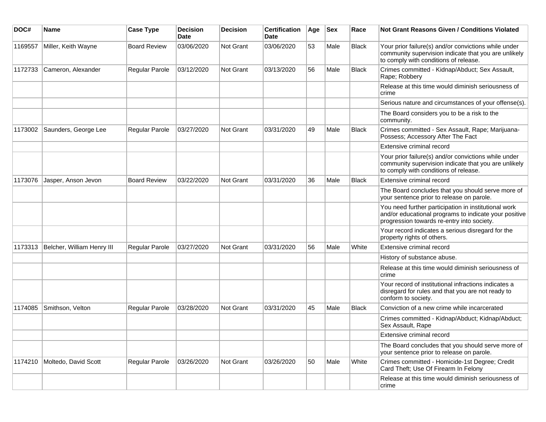| DOC#    | Name                       | <b>Case Type</b>    | <b>Decision</b><br><b>Date</b> | <b>Decision</b>  | <b>Certification</b><br>Date | Age | <b>Sex</b> | Race         | Not Grant Reasons Given / Conditions Violated                                                                                                               |
|---------|----------------------------|---------------------|--------------------------------|------------------|------------------------------|-----|------------|--------------|-------------------------------------------------------------------------------------------------------------------------------------------------------------|
| 1169557 | Miller, Keith Wayne        | <b>Board Review</b> | 03/06/2020                     | Not Grant        | 03/06/2020                   | 53  | Male       | <b>Black</b> | Your prior failure(s) and/or convictions while under<br>community supervision indicate that you are unlikely<br>to comply with conditions of release.       |
| 1172733 | Cameron, Alexander         | Regular Parole      | 03/12/2020                     | Not Grant        | 03/13/2020                   | 56  | Male       | <b>Black</b> | Crimes committed - Kidnap/Abduct; Sex Assault,<br>Rape; Robbery                                                                                             |
|         |                            |                     |                                |                  |                              |     |            |              | Release at this time would diminish seriousness of<br>crime                                                                                                 |
|         |                            |                     |                                |                  |                              |     |            |              | Serious nature and circumstances of your offense(s).                                                                                                        |
|         |                            |                     |                                |                  |                              |     |            |              | The Board considers you to be a risk to the<br>community.                                                                                                   |
| 1173002 | Saunders, George Lee       | Regular Parole      | 03/27/2020                     | <b>Not Grant</b> | 03/31/2020                   | 49  | Male       | <b>Black</b> | Crimes committed - Sex Assault, Rape; Marijuana-<br>Possess; Accessory After The Fact                                                                       |
|         |                            |                     |                                |                  |                              |     |            |              | Extensive criminal record                                                                                                                                   |
|         |                            |                     |                                |                  |                              |     |            |              | Your prior failure(s) and/or convictions while under<br>community supervision indicate that you are unlikely<br>to comply with conditions of release.       |
| 1173076 | Jasper, Anson Jevon        | <b>Board Review</b> | 03/22/2020                     | <b>Not Grant</b> | 03/31/2020                   | 36  | Male       | <b>Black</b> | Extensive criminal record                                                                                                                                   |
|         |                            |                     |                                |                  |                              |     |            |              | The Board concludes that you should serve more of<br>your sentence prior to release on parole.                                                              |
|         |                            |                     |                                |                  |                              |     |            |              | You need further participation in institutional work<br>and/or educational programs to indicate your positive<br>progression towards re-entry into society. |
|         |                            |                     |                                |                  |                              |     |            |              | Your record indicates a serious disregard for the<br>property rights of others.                                                                             |
| 1173313 | Belcher, William Henry III | Regular Parole      | 03/27/2020                     | Not Grant        | 03/31/2020                   | 56  | Male       | White        | Extensive criminal record                                                                                                                                   |
|         |                            |                     |                                |                  |                              |     |            |              | History of substance abuse.                                                                                                                                 |
|         |                            |                     |                                |                  |                              |     |            |              | Release at this time would diminish seriousness of<br>crime                                                                                                 |
|         |                            |                     |                                |                  |                              |     |            |              | Your record of institutional infractions indicates a<br>disregard for rules and that you are not ready to<br>conform to society.                            |
| 1174085 | Smithson, Velton           | Regular Parole      | 03/28/2020                     | Not Grant        | 03/31/2020                   | 45  | Male       | <b>Black</b> | Conviction of a new crime while incarcerated                                                                                                                |
|         |                            |                     |                                |                  |                              |     |            |              | Crimes committed - Kidnap/Abduct; Kidnap/Abduct;<br>Sex Assault, Rape                                                                                       |
|         |                            |                     |                                |                  |                              |     |            |              | Extensive criminal record                                                                                                                                   |
|         |                            |                     |                                |                  |                              |     |            |              | The Board concludes that you should serve more of<br>your sentence prior to release on parole.                                                              |
| 1174210 | Moltedo, David Scott       | Regular Parole      | 03/26/2020                     | Not Grant        | 03/26/2020                   | 50  | Male       | White        | Crimes committed - Homicide-1st Degree; Credit<br>Card Theft; Use Of Firearm In Felony                                                                      |
|         |                            |                     |                                |                  |                              |     |            |              | Release at this time would diminish seriousness of<br>crime                                                                                                 |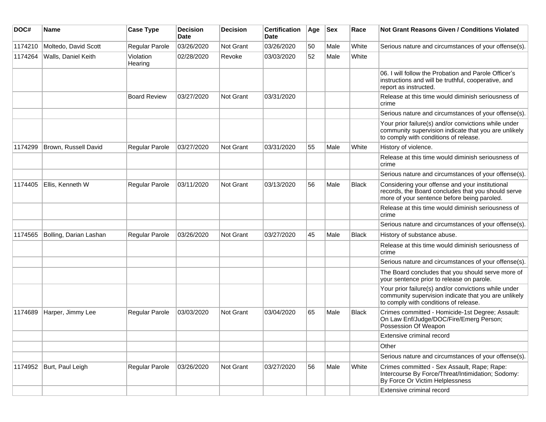| DOC#    | Name                     | <b>Case Type</b>     | <b>Decision</b><br><b>Date</b> | Decision  | <b>Certification</b><br><b>Date</b> | Age | <b>Sex</b> | Race         | <b>Not Grant Reasons Given / Conditions Violated</b>                                                                                                  |
|---------|--------------------------|----------------------|--------------------------------|-----------|-------------------------------------|-----|------------|--------------|-------------------------------------------------------------------------------------------------------------------------------------------------------|
| 1174210 | Moltedo, David Scott     | Regular Parole       | 03/26/2020                     | Not Grant | 03/26/2020                          | 50  | Male       | White        | Serious nature and circumstances of your offense(s).                                                                                                  |
| 1174264 | Walls, Daniel Keith      | Violation<br>Hearing | 02/28/2020                     | Revoke    | 03/03/2020                          | 52  | Male       | White        |                                                                                                                                                       |
|         |                          |                      |                                |           |                                     |     |            |              | 06. I will follow the Probation and Parole Officer's<br>instructions and will be truthful, cooperative, and<br>report as instructed.                  |
|         |                          | <b>Board Review</b>  | 03/27/2020                     | Not Grant | 03/31/2020                          |     |            |              | Release at this time would diminish seriousness of<br>crime                                                                                           |
|         |                          |                      |                                |           |                                     |     |            |              | Serious nature and circumstances of your offense(s).                                                                                                  |
|         |                          |                      |                                |           |                                     |     |            |              | Your prior failure(s) and/or convictions while under<br>community supervision indicate that you are unlikely<br>to comply with conditions of release. |
| 1174299 | Brown, Russell David     | Regular Parole       | 03/27/2020                     | Not Grant | 03/31/2020                          | 55  | Male       | White        | History of violence.                                                                                                                                  |
|         |                          |                      |                                |           |                                     |     |            |              | Release at this time would diminish seriousness of<br>crime                                                                                           |
|         |                          |                      |                                |           |                                     |     |            |              | Serious nature and circumstances of your offense(s).                                                                                                  |
| 1174405 | Ellis, Kenneth W         | Regular Parole       | 03/11/2020                     | Not Grant | 03/13/2020                          | 56  | Male       | Black        | Considering your offense and your institutional<br>records, the Board concludes that you should serve<br>more of your sentence before being paroled.  |
|         |                          |                      |                                |           |                                     |     |            |              | Release at this time would diminish seriousness of<br>crime                                                                                           |
|         |                          |                      |                                |           |                                     |     |            |              | Serious nature and circumstances of your offense(s).                                                                                                  |
| 1174565 | Bolling, Darian Lashan   | Regular Parole       | 03/26/2020                     | Not Grant | 03/27/2020                          | 45  | Male       | <b>Black</b> | History of substance abuse.                                                                                                                           |
|         |                          |                      |                                |           |                                     |     |            |              | Release at this time would diminish seriousness of<br>crime                                                                                           |
|         |                          |                      |                                |           |                                     |     |            |              | Serious nature and circumstances of your offense(s).                                                                                                  |
|         |                          |                      |                                |           |                                     |     |            |              | The Board concludes that you should serve more of<br>your sentence prior to release on parole.                                                        |
|         |                          |                      |                                |           |                                     |     |            |              | Your prior failure(s) and/or convictions while under<br>community supervision indicate that you are unlikely<br>to comply with conditions of release. |
| 1174689 | Harper, Jimmy Lee        | Regular Parole       | 03/03/2020                     | Not Grant | 03/04/2020                          | 65  | Male       | <b>Black</b> | Crimes committed - Homicide-1st Degree; Assault:<br>On Law Enf/Judge/DOC/Fire/Emerg Person;<br>Possession Of Weapon                                   |
|         |                          |                      |                                |           |                                     |     |            |              | Extensive criminal record                                                                                                                             |
|         |                          |                      |                                |           |                                     |     |            |              | Other                                                                                                                                                 |
|         |                          |                      |                                |           |                                     |     |            |              | Serious nature and circumstances of your offense(s).                                                                                                  |
|         | 1174952 Burt, Paul Leigh | Regular Parole       | 03/26/2020                     | Not Grant | 03/27/2020                          | 56  | Male       | White        | Crimes committed - Sex Assault, Rape; Rape:<br>Intercourse By Force/Threat/Intimidation; Sodomy:<br>By Force Or Victim Helplessness                   |
|         |                          |                      |                                |           |                                     |     |            |              | Extensive criminal record                                                                                                                             |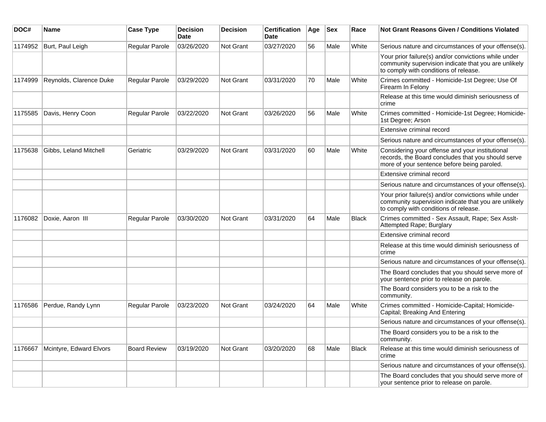| DOC#    | <b>Name</b>             | <b>Case Type</b>    | <b>Decision</b><br><b>Date</b> | <b>Decision</b> | <b>Certification</b><br>Date | Age | <b>Sex</b> | Race         | Not Grant Reasons Given / Conditions Violated                                                                                                         |
|---------|-------------------------|---------------------|--------------------------------|-----------------|------------------------------|-----|------------|--------------|-------------------------------------------------------------------------------------------------------------------------------------------------------|
| 1174952 | Burt, Paul Leigh        | Regular Parole      | 03/26/2020                     | Not Grant       | 03/27/2020                   | 56  | Male       | White        | Serious nature and circumstances of your offense(s).                                                                                                  |
|         |                         |                     |                                |                 |                              |     |            |              | Your prior failure(s) and/or convictions while under<br>community supervision indicate that you are unlikely<br>to comply with conditions of release. |
| 1174999 | Reynolds, Clarence Duke | Regular Parole      | 03/29/2020                     | Not Grant       | 03/31/2020                   | 70  | Male       | White        | Crimes committed - Homicide-1st Degree; Use Of<br>Firearm In Felony                                                                                   |
|         |                         |                     |                                |                 |                              |     |            |              | Release at this time would diminish seriousness of<br>crime                                                                                           |
| 1175585 | Davis, Henry Coon       | Regular Parole      | 03/22/2020                     | Not Grant       | 03/26/2020                   | 56  | Male       | White        | Crimes committed - Homicide-1st Degree; Homicide-<br>1st Degree; Arson                                                                                |
|         |                         |                     |                                |                 |                              |     |            |              | Extensive criminal record                                                                                                                             |
|         |                         |                     |                                |                 |                              |     |            |              | Serious nature and circumstances of your offense(s).                                                                                                  |
| 1175638 | Gibbs, Leland Mitchell  | Geriatric           | 03/29/2020                     | Not Grant       | 03/31/2020                   | 60  | Male       | White        | Considering your offense and your institutional<br>records, the Board concludes that you should serve<br>more of your sentence before being paroled.  |
|         |                         |                     |                                |                 |                              |     |            |              | Extensive criminal record                                                                                                                             |
|         |                         |                     |                                |                 |                              |     |            |              | Serious nature and circumstances of your offense(s).                                                                                                  |
|         |                         |                     |                                |                 |                              |     |            |              | Your prior failure(s) and/or convictions while under<br>community supervision indicate that you are unlikely<br>to comply with conditions of release. |
| 1176082 | Doxie, Aaron III        | Regular Parole      | 03/30/2020                     | Not Grant       | 03/31/2020                   | 64  | Male       | <b>Black</b> | Crimes committed - Sex Assault, Rape; Sex Asslt-<br>Attempted Rape; Burglary                                                                          |
|         |                         |                     |                                |                 |                              |     |            |              | Extensive criminal record                                                                                                                             |
|         |                         |                     |                                |                 |                              |     |            |              | Release at this time would diminish seriousness of<br>crime                                                                                           |
|         |                         |                     |                                |                 |                              |     |            |              | Serious nature and circumstances of your offense(s).                                                                                                  |
|         |                         |                     |                                |                 |                              |     |            |              | The Board concludes that you should serve more of<br>your sentence prior to release on parole.                                                        |
|         |                         |                     |                                |                 |                              |     |            |              | The Board considers you to be a risk to the<br>community.                                                                                             |
| 1176586 | Perdue, Randy Lynn      | Regular Parole      | 03/23/2020                     | Not Grant       | 03/24/2020                   | 64  | Male       | White        | Crimes committed - Homicide-Capital; Homicide-<br>Capital; Breaking And Entering                                                                      |
|         |                         |                     |                                |                 |                              |     |            |              | Serious nature and circumstances of your offense(s).                                                                                                  |
|         |                         |                     |                                |                 |                              |     |            |              | The Board considers you to be a risk to the<br>community.                                                                                             |
| 1176667 | Mcintyre, Edward Elvors | <b>Board Review</b> | 03/19/2020                     | Not Grant       | 03/20/2020                   | 68  | Male       | <b>Black</b> | Release at this time would diminish seriousness of<br>crime                                                                                           |
|         |                         |                     |                                |                 |                              |     |            |              | Serious nature and circumstances of your offense(s).                                                                                                  |
|         |                         |                     |                                |                 |                              |     |            |              | The Board concludes that you should serve more of<br>your sentence prior to release on parole.                                                        |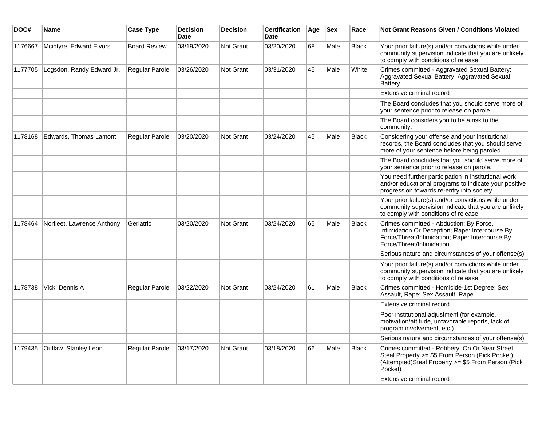| DOC#    | <b>Name</b>                | <b>Case Type</b>    | <b>Decision</b><br><b>Date</b> | <b>Decision</b>  | <b>Certification</b><br><b>Date</b> | Age | <b>Sex</b> | Race         | <b>Not Grant Reasons Given / Conditions Violated</b>                                                                                                                       |
|---------|----------------------------|---------------------|--------------------------------|------------------|-------------------------------------|-----|------------|--------------|----------------------------------------------------------------------------------------------------------------------------------------------------------------------------|
| 1176667 | Mcintyre, Edward Elvors    | <b>Board Review</b> | 03/19/2020                     | Not Grant        | 03/20/2020                          | 68  | Male       | <b>Black</b> | Your prior failure(s) and/or convictions while under<br>community supervision indicate that you are unlikely<br>to comply with conditions of release.                      |
| 1177705 | Logsdon, Randy Edward Jr.  | Regular Parole      | 03/26/2020                     | Not Grant        | 03/31/2020                          | 45  | Male       | White        | Crimes committed - Aggravated Sexual Battery;<br>Aggravated Sexual Battery; Aggravated Sexual<br><b>Battery</b>                                                            |
|         |                            |                     |                                |                  |                                     |     |            |              | Extensive criminal record                                                                                                                                                  |
|         |                            |                     |                                |                  |                                     |     |            |              | The Board concludes that you should serve more of<br>your sentence prior to release on parole.                                                                             |
|         |                            |                     |                                |                  |                                     |     |            |              | The Board considers you to be a risk to the<br>community.                                                                                                                  |
| 1178168 | Edwards, Thomas Lamont     | Regular Parole      | 03/20/2020                     | <b>Not Grant</b> | 03/24/2020                          | 45  | Male       | Black        | Considering your offense and your institutional<br>records, the Board concludes that you should serve<br>more of your sentence before being paroled.                       |
|         |                            |                     |                                |                  |                                     |     |            |              | The Board concludes that you should serve more of<br>your sentence prior to release on parole.                                                                             |
|         |                            |                     |                                |                  |                                     |     |            |              | You need further participation in institutional work<br>and/or educational programs to indicate your positive<br>progression towards re-entry into society.                |
|         |                            |                     |                                |                  |                                     |     |            |              | Your prior failure(s) and/or convictions while under<br>community supervision indicate that you are unlikely<br>to comply with conditions of release.                      |
| 1178464 | Norfleet, Lawrence Anthony | Geriatric           | 03/20/2020                     | Not Grant        | 03/24/2020                          | 65  | Male       | <b>Black</b> | Crimes committed - Abduction: By Force,<br>Intimidation Or Deception; Rape: Intercourse By<br>Force/Threat/Intimidation; Rape: Intercourse By<br>Force/Threat/Intimidation |
|         |                            |                     |                                |                  |                                     |     |            |              | Serious nature and circumstances of your offense(s).                                                                                                                       |
|         |                            |                     |                                |                  |                                     |     |            |              | Your prior failure(s) and/or convictions while under<br>community supervision indicate that you are unlikely<br>to comply with conditions of release.                      |
| 1178738 | Vick, Dennis A             | Regular Parole      | 03/22/2020                     | <b>Not Grant</b> | 03/24/2020                          | 61  | Male       | <b>Black</b> | Crimes committed - Homicide-1st Degree; Sex<br>Assault, Rape; Sex Assault, Rape                                                                                            |
|         |                            |                     |                                |                  |                                     |     |            |              | Extensive criminal record                                                                                                                                                  |
|         |                            |                     |                                |                  |                                     |     |            |              | Poor institutional adjustment (for example,<br>motivation/attitude, unfavorable reports, lack of<br>program involvement, etc.)                                             |
|         |                            |                     |                                |                  |                                     |     |            |              | Serious nature and circumstances of your offense(s).                                                                                                                       |
| 1179435 | Outlaw, Stanley Leon       | Regular Parole      | 03/17/2020                     | Not Grant        | 03/18/2020                          | 66  | Male       | <b>Black</b> | Crimes committed - Robbery: On Or Near Street;<br>Steal Property >= \$5 From Person (Pick Pocket);<br>(Attempted)Steal Property >= \$5 From Person (Pick<br>Pocket)        |
|         |                            |                     |                                |                  |                                     |     |            |              | Extensive criminal record                                                                                                                                                  |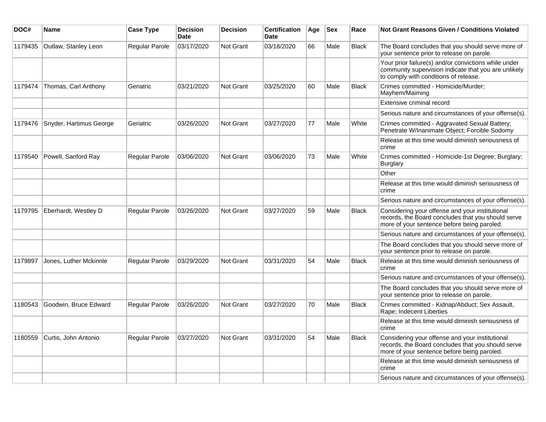| DOC#    | Name                    | <b>Case Type</b> | <b>Decision</b><br><b>Date</b> | <b>Decision</b>  | <b>Certification</b><br><b>Date</b> | Age | <b>Sex</b> | Race         | <b>Not Grant Reasons Given / Conditions Violated</b>                                                                                                  |
|---------|-------------------------|------------------|--------------------------------|------------------|-------------------------------------|-----|------------|--------------|-------------------------------------------------------------------------------------------------------------------------------------------------------|
| 1179435 | Outlaw, Stanley Leon    | Regular Parole   | 03/17/2020                     | Not Grant        | 03/18/2020                          | 66  | Male       | <b>Black</b> | The Board concludes that you should serve more of<br>your sentence prior to release on parole.                                                        |
|         |                         |                  |                                |                  |                                     |     |            |              | Your prior failure(s) and/or convictions while under<br>community supervision indicate that you are unlikely<br>to comply with conditions of release. |
| 1179474 | Thomas, Carl Anthony    | Geriatric        | 03/21/2020                     | <b>Not Grant</b> | 03/25/2020                          | 60  | Male       | <b>Black</b> | Crimes committed - Homicide/Murder;<br>Mayhem/Maiming                                                                                                 |
|         |                         |                  |                                |                  |                                     |     |            |              | Extensive criminal record                                                                                                                             |
|         |                         |                  |                                |                  |                                     |     |            |              | Serious nature and circumstances of your offense(s).                                                                                                  |
| 1179476 | Snyder, Hartimus George | Geriatric        | 03/26/2020                     | Not Grant        | 03/27/2020                          | 77  | Male       | White        | Crimes committed - Aggravated Sexual Battery;<br>Penetrate W/Inanimate Object; Forcible Sodomy                                                        |
|         |                         |                  |                                |                  |                                     |     |            |              | Release at this time would diminish seriousness of<br>crime                                                                                           |
| 1179540 | Powell, Sanford Ray     | Regular Parole   | 03/06/2020                     | <b>Not Grant</b> | 03/06/2020                          | 73  | Male       | White        | Crimes committed - Homicide-1st Degree; Burglary;<br>Burglary                                                                                         |
|         |                         |                  |                                |                  |                                     |     |            |              | Other                                                                                                                                                 |
|         |                         |                  |                                |                  |                                     |     |            |              | Release at this time would diminish seriousness of<br>crime                                                                                           |
|         |                         |                  |                                |                  |                                     |     |            |              | Serious nature and circumstances of your offense(s).                                                                                                  |
| 1179795 | Eberhardt, Westley D    | Regular Parole   | 03/26/2020                     | Not Grant        | 03/27/2020                          | 59  | Male       | <b>Black</b> | Considering your offense and your institutional<br>records, the Board concludes that you should serve<br>more of your sentence before being paroled.  |
|         |                         |                  |                                |                  |                                     |     |            |              | Serious nature and circumstances of your offense(s).                                                                                                  |
|         |                         |                  |                                |                  |                                     |     |            |              | The Board concludes that you should serve more of<br>your sentence prior to release on parole.                                                        |
| 1179897 | Jones, Luther Mckinnle  | Regular Parole   | 03/29/2020                     | <b>Not Grant</b> | 03/31/2020                          | 54  | Male       | Black        | Release at this time would diminish seriousness of<br>crime                                                                                           |
|         |                         |                  |                                |                  |                                     |     |            |              | Serious nature and circumstances of your offense(s).                                                                                                  |
|         |                         |                  |                                |                  |                                     |     |            |              | The Board concludes that you should serve more of<br>your sentence prior to release on parole.                                                        |
| 1180543 | Goodwin, Bruce Edward   | Regular Parole   | 03/26/2020                     | Not Grant        | 03/27/2020                          | 70  | Male       | <b>Black</b> | Crimes committed - Kidnap/Abduct; Sex Assault,<br>Rape; Indecent Liberties                                                                            |
|         |                         |                  |                                |                  |                                     |     |            |              | Release at this time would diminish seriousness of<br>crime                                                                                           |
| 1180559 | Curtis, John Antonio    | Regular Parole   | 03/27/2020                     | Not Grant        | 03/31/2020                          | 54  | Male       | <b>Black</b> | Considering your offense and your institutional<br>records, the Board concludes that you should serve<br>more of your sentence before being paroled.  |
|         |                         |                  |                                |                  |                                     |     |            |              | Release at this time would diminish seriousness of<br>crime                                                                                           |
|         |                         |                  |                                |                  |                                     |     |            |              | Serious nature and circumstances of your offense(s).                                                                                                  |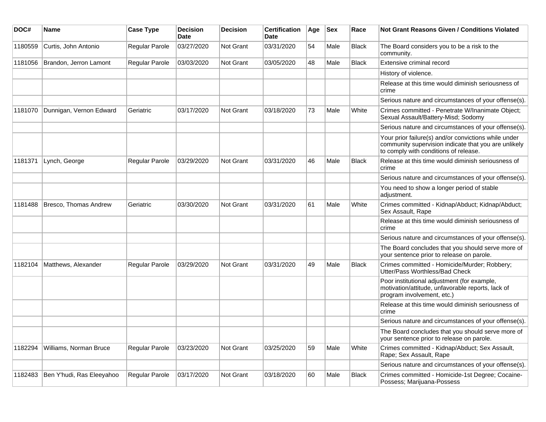| DOC#    | Name                      | <b>Case Type</b> | <b>Decision</b><br>Date | <b>Decision</b>  | <b>Certification</b><br>Date | Age | <b>Sex</b> | Race         | <b>Not Grant Reasons Given / Conditions Violated</b>                                                                                                  |
|---------|---------------------------|------------------|-------------------------|------------------|------------------------------|-----|------------|--------------|-------------------------------------------------------------------------------------------------------------------------------------------------------|
| 1180559 | Curtis, John Antonio      | Regular Parole   | 03/27/2020              | Not Grant        | 03/31/2020                   | 54  | Male       | <b>Black</b> | The Board considers you to be a risk to the<br>community.                                                                                             |
| 1181056 | Brandon, Jerron Lamont    | Regular Parole   | 03/03/2020              | <b>Not Grant</b> | 03/05/2020                   | 48  | Male       | <b>Black</b> | Extensive criminal record                                                                                                                             |
|         |                           |                  |                         |                  |                              |     |            |              | History of violence.                                                                                                                                  |
|         |                           |                  |                         |                  |                              |     |            |              | Release at this time would diminish seriousness of<br>crime                                                                                           |
|         |                           |                  |                         |                  |                              |     |            |              | Serious nature and circumstances of your offense(s).                                                                                                  |
| 1181070 | Dunnigan, Vernon Edward   | Geriatric        | 03/17/2020              | Not Grant        | 03/18/2020                   | 73  | Male       | White        | Crimes committed - Penetrate W/Inanimate Object;<br>Sexual Assault/Battery-Misd; Sodomy                                                               |
|         |                           |                  |                         |                  |                              |     |            |              | Serious nature and circumstances of your offense(s).                                                                                                  |
|         |                           |                  |                         |                  |                              |     |            |              | Your prior failure(s) and/or convictions while under<br>community supervision indicate that you are unlikely<br>to comply with conditions of release. |
| 1181371 | Lynch, George             | Regular Parole   | 03/29/2020              | Not Grant        | 03/31/2020                   | 46  | Male       | Black        | Release at this time would diminish seriousness of<br>crime                                                                                           |
|         |                           |                  |                         |                  |                              |     |            |              | Serious nature and circumstances of your offense(s).                                                                                                  |
|         |                           |                  |                         |                  |                              |     |            |              | You need to show a longer period of stable<br>adjustment.                                                                                             |
| 1181488 | Bresco, Thomas Andrew     | Geriatric        | 03/30/2020              | Not Grant        | 03/31/2020                   | 61  | Male       | White        | Crimes committed - Kidnap/Abduct; Kidnap/Abduct;<br>Sex Assault, Rape                                                                                 |
|         |                           |                  |                         |                  |                              |     |            |              | Release at this time would diminish seriousness of<br>crime                                                                                           |
|         |                           |                  |                         |                  |                              |     |            |              | Serious nature and circumstances of your offense(s).                                                                                                  |
|         |                           |                  |                         |                  |                              |     |            |              | The Board concludes that you should serve more of<br>your sentence prior to release on parole.                                                        |
| 1182104 | Matthews, Alexander       | Regular Parole   | 03/29/2020              | Not Grant        | 03/31/2020                   | 49  | Male       | <b>Black</b> | Crimes committed - Homicide/Murder; Robbery;<br>Utter/Pass Worthless/Bad Check                                                                        |
|         |                           |                  |                         |                  |                              |     |            |              | Poor institutional adjustment (for example,<br>motivation/attitude, unfavorable reports, lack of<br>program involvement, etc.)                        |
|         |                           |                  |                         |                  |                              |     |            |              | Release at this time would diminish seriousness of<br>crime                                                                                           |
|         |                           |                  |                         |                  |                              |     |            |              | Serious nature and circumstances of your offense(s).                                                                                                  |
|         |                           |                  |                         |                  |                              |     |            |              | The Board concludes that you should serve more of<br>your sentence prior to release on parole.                                                        |
| 1182294 | Williams, Norman Bruce    | Regular Parole   | 03/23/2020              | Not Grant        | 03/25/2020                   | 59  | Male       | White        | Crimes committed - Kidnap/Abduct; Sex Assault,<br>Rape; Sex Assault, Rape                                                                             |
|         |                           |                  |                         |                  |                              |     |            |              | Serious nature and circumstances of your offense(s).                                                                                                  |
| 1182483 | Ben Y'hudi, Ras Eleeyahoo | Regular Parole   | 03/17/2020              | <b>Not Grant</b> | 03/18/2020                   | 60  | Male       | <b>Black</b> | Crimes committed - Homicide-1st Degree; Cocaine-<br>Possess; Marijuana-Possess                                                                        |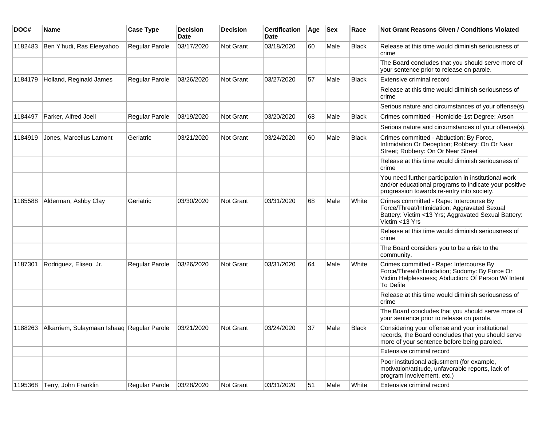| DOC#    | Name                                       | <b>Case Type</b> | <b>Decision</b><br>Date | <b>Decision</b> | <b>Certification</b><br>Date | Age | <b>Sex</b> | Race         | <b>Not Grant Reasons Given / Conditions Violated</b>                                                                                                             |
|---------|--------------------------------------------|------------------|-------------------------|-----------------|------------------------------|-----|------------|--------------|------------------------------------------------------------------------------------------------------------------------------------------------------------------|
| 1182483 | Ben Y'hudi, Ras Eleeyahoo                  | Regular Parole   | 03/17/2020              | Not Grant       | 03/18/2020                   | 60  | Male       | <b>Black</b> | Release at this time would diminish seriousness of<br>crime                                                                                                      |
|         |                                            |                  |                         |                 |                              |     |            |              | The Board concludes that you should serve more of<br>your sentence prior to release on parole.                                                                   |
| 1184179 | Holland, Reginald James                    | Regular Parole   | 03/26/2020              | Not Grant       | 03/27/2020                   | 57  | Male       | Black        | Extensive criminal record                                                                                                                                        |
|         |                                            |                  |                         |                 |                              |     |            |              | Release at this time would diminish seriousness of<br>crime                                                                                                      |
|         |                                            |                  |                         |                 |                              |     |            |              | Serious nature and circumstances of your offense(s).                                                                                                             |
| 1184497 | Parker, Alfred Joell                       | Regular Parole   | 03/19/2020              | Not Grant       | 03/20/2020                   | 68  | Male       | <b>Black</b> | Crimes committed - Homicide-1st Degree; Arson                                                                                                                    |
|         |                                            |                  |                         |                 |                              |     |            |              | Serious nature and circumstances of your offense(s).                                                                                                             |
| 1184919 | Jones, Marcellus Lamont                    | Geriatric        | 03/21/2020              | Not Grant       | 03/24/2020                   | 60  | Male       | Black        | Crimes committed - Abduction: By Force,<br>Intimidation Or Deception; Robbery: On Or Near<br>Street; Robbery: On Or Near Street                                  |
|         |                                            |                  |                         |                 |                              |     |            |              | Release at this time would diminish seriousness of<br>crime                                                                                                      |
|         |                                            |                  |                         |                 |                              |     |            |              | You need further participation in institutional work<br>and/or educational programs to indicate your positive<br>progression towards re-entry into society.      |
| 1185588 | Alderman, Ashby Clay                       | Geriatric        | 03/30/2020              | Not Grant       | 03/31/2020                   | 68  | Male       | White        | Crimes committed - Rape: Intercourse By<br>Force/Threat/Intimidation; Aggravated Sexual<br>Battery: Victim <13 Yrs; Aggravated Sexual Battery:<br>Victim <13 Yrs |
|         |                                            |                  |                         |                 |                              |     |            |              | Release at this time would diminish seriousness of<br>crime                                                                                                      |
|         |                                            |                  |                         |                 |                              |     |            |              | The Board considers you to be a risk to the<br>community.                                                                                                        |
| 1187301 | Rodriguez, Eliseo Jr.                      | Regular Parole   | 03/26/2020              | Not Grant       | 03/31/2020                   | 64  | Male       | White        | Crimes committed - Rape: Intercourse By<br>Force/Threat/Intimidation; Sodomy: By Force Or<br>Victim Helplessness; Abduction: Of Person W/ Intent<br>To Defile    |
|         |                                            |                  |                         |                 |                              |     |            |              | Release at this time would diminish seriousness of<br>crime                                                                                                      |
|         |                                            |                  |                         |                 |                              |     |            |              | The Board concludes that you should serve more of<br>your sentence prior to release on parole.                                                                   |
| 1188263 | Alkarriem, Sulaymaan Ishaaq Regular Parole |                  | 03/21/2020              | Not Grant       | 03/24/2020                   | 37  | Male       | <b>Black</b> | Considering your offense and your institutional<br>records, the Board concludes that you should serve<br>more of your sentence before being paroled.             |
|         |                                            |                  |                         |                 |                              |     |            |              | Extensive criminal record                                                                                                                                        |
|         |                                            |                  |                         |                 |                              |     |            |              | Poor institutional adjustment (for example,<br>motivation/attitude, unfavorable reports, lack of<br>program involvement, etc.)                                   |
| 1195368 | Terry, John Franklin                       | Regular Parole   | 03/28/2020              | Not Grant       | 03/31/2020                   | 51  | Male       | White        | Extensive criminal record                                                                                                                                        |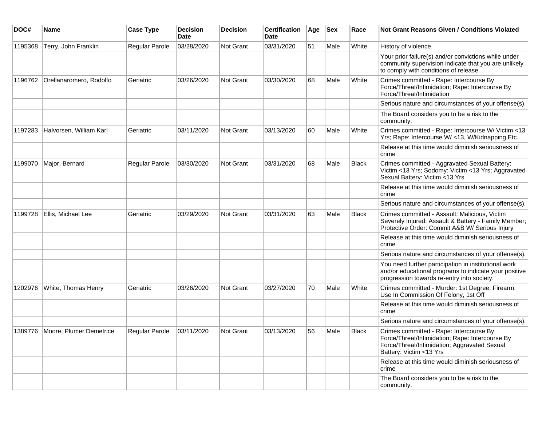| DOC#    | <b>Name</b>                       | <b>Case Type</b>      | <b>Decision</b><br>Date | <b>Decision</b>  | <b>Certification</b><br>Date | Age | <b>Sex</b> | Race         | <b>Not Grant Reasons Given / Conditions Violated</b>                                                                                                                  |
|---------|-----------------------------------|-----------------------|-------------------------|------------------|------------------------------|-----|------------|--------------|-----------------------------------------------------------------------------------------------------------------------------------------------------------------------|
| 1195368 | Terry, John Franklin              | Regular Parole        | 03/28/2020              | <b>Not Grant</b> | 03/31/2020                   | 51  | Male       | White        | History of violence.                                                                                                                                                  |
|         |                                   |                       |                         |                  |                              |     |            |              | Your prior failure(s) and/or convictions while under<br>community supervision indicate that you are unlikely<br>to comply with conditions of release.                 |
| 1196762 | Orellanaromero, Rodolfo           | Geriatric             | 03/26/2020              | <b>Not Grant</b> | 03/30/2020                   | 68  | Male       | White        | Crimes committed - Rape: Intercourse By<br>Force/Threat/Intimidation; Rape: Intercourse By<br>Force/Threat/Intimidation                                               |
|         |                                   |                       |                         |                  |                              |     |            |              | Serious nature and circumstances of your offense(s).                                                                                                                  |
|         |                                   |                       |                         |                  |                              |     |            |              | The Board considers you to be a risk to the<br>community.                                                                                                             |
| 1197283 | Halvorsen, William Karl           | Geriatric             | 03/11/2020              | Not Grant        | 03/13/2020                   | 60  | Male       | White        | Crimes committed - Rape: Intercourse W/ Victim <13<br>Yrs; Rape: Intercourse W/ <13, W/Kidnapping, Etc.                                                               |
|         |                                   |                       |                         |                  |                              |     |            |              | Release at this time would diminish seriousness of<br>crime                                                                                                           |
| 1199070 | Major, Bernard                    | Regular Parole        | 03/30/2020              | <b>Not Grant</b> | 03/31/2020                   | 68  | Male       | Black        | Crimes committed - Aggravated Sexual Battery:<br>Victim <13 Yrs; Sodomy: Victim <13 Yrs; Aggravated<br>Sexual Battery: Victim <13 Yrs                                 |
|         |                                   |                       |                         |                  |                              |     |            |              | Release at this time would diminish seriousness of<br>crime                                                                                                           |
|         |                                   |                       |                         |                  |                              |     |            |              | Serious nature and circumstances of your offense(s).                                                                                                                  |
| 1199728 | Ellis, Michael Lee                | Geriatric             | 03/29/2020              | Not Grant        | 03/31/2020                   | 63  | Male       | <b>Black</b> | Crimes committed - Assault: Malicious, Victim<br>Severely Injured; Assault & Battery - Family Member;<br>Protective Order: Commit A&B W/ Serious Injury               |
|         |                                   |                       |                         |                  |                              |     |            |              | Release at this time would diminish seriousness of<br>crime                                                                                                           |
|         |                                   |                       |                         |                  |                              |     |            |              | Serious nature and circumstances of your offense(s).                                                                                                                  |
|         |                                   |                       |                         |                  |                              |     |            |              | You need further participation in institutional work<br>and/or educational programs to indicate your positive<br>progression towards re-entry into society.           |
| 1202976 | White, Thomas Henry               | Geriatric             | 03/26/2020              | <b>Not Grant</b> | 03/27/2020                   | 70  | Male       | White        | Crimes committed - Murder: 1st Degree; Firearm:<br>Use In Commission Of Felony, 1st Off                                                                               |
|         |                                   |                       |                         |                  |                              |     |            |              | Release at this time would diminish seriousness of<br>crime                                                                                                           |
|         |                                   |                       |                         |                  |                              |     |            |              | Serious nature and circumstances of your offense(s).                                                                                                                  |
|         | 1389776   Moore, Plumer Demetrice | <b>Regular Parole</b> | 03/11/2020              | Not Grant        | 03/13/2020                   | 56  | Male       | <b>Black</b> | Crimes committed - Rape: Intercourse By<br>Force/Threat/Intimidation; Rape: Intercourse By<br>Force/Threat/Intimidation; Aggravated Sexual<br>Battery: Victim <13 Yrs |
|         |                                   |                       |                         |                  |                              |     |            |              | Release at this time would diminish seriousness of<br>crime                                                                                                           |
|         |                                   |                       |                         |                  |                              |     |            |              | The Board considers you to be a risk to the<br>community.                                                                                                             |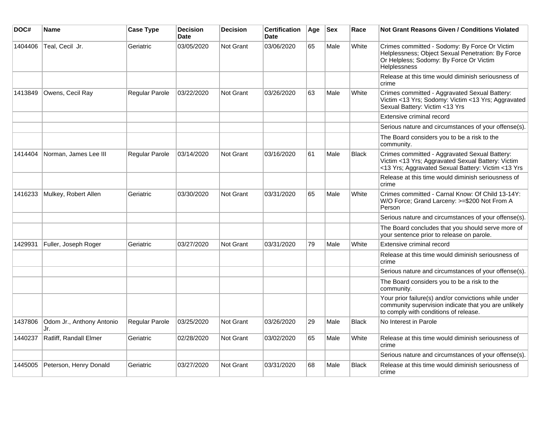| DOC#    | <b>Name</b>                      | <b>Case Type</b> | <b>Decision</b><br><b>Date</b> | <b>Decision</b> | Certification<br><b>Date</b> | Age | <b>Sex</b> | Race         | <b>Not Grant Reasons Given / Conditions Violated</b>                                                                                                                 |
|---------|----------------------------------|------------------|--------------------------------|-----------------|------------------------------|-----|------------|--------------|----------------------------------------------------------------------------------------------------------------------------------------------------------------------|
| 1404406 | Teal, Cecil Jr.                  | Geriatric        | 03/05/2020                     | Not Grant       | 03/06/2020                   | 65  | Male       | White        | Crimes committed - Sodomy: By Force Or Victim<br>Helplessness; Object Sexual Penetration: By Force<br>Or Helpless; Sodomy: By Force Or Victim<br><b>Helplessness</b> |
|         |                                  |                  |                                |                 |                              |     |            |              | Release at this time would diminish seriousness of<br>crime                                                                                                          |
| 1413849 | Owens, Cecil Ray                 | Regular Parole   | 03/22/2020                     | Not Grant       | 03/26/2020                   | 63  | Male       | White        | Crimes committed - Aggravated Sexual Battery:<br>Victim <13 Yrs; Sodomy: Victim <13 Yrs; Aggravated<br>Sexual Battery: Victim <13 Yrs                                |
|         |                                  |                  |                                |                 |                              |     |            |              | Extensive criminal record                                                                                                                                            |
|         |                                  |                  |                                |                 |                              |     |            |              | Serious nature and circumstances of your offense(s).                                                                                                                 |
|         |                                  |                  |                                |                 |                              |     |            |              | The Board considers you to be a risk to the<br>community.                                                                                                            |
| 1414404 | Norman, James Lee III            | Regular Parole   | 03/14/2020                     | Not Grant       | 03/16/2020                   | 61  | Male       | <b>Black</b> | Crimes committed - Aggravated Sexual Battery:<br>Victim <13 Yrs; Aggravated Sexual Battery: Victim<br><13 Yrs; Aggravated Sexual Battery: Victim <13 Yrs             |
|         |                                  |                  |                                |                 |                              |     |            |              | Release at this time would diminish seriousness of<br>crime                                                                                                          |
| 1416233 | Mulkey, Robert Allen             | Geriatric        | 03/30/2020                     | Not Grant       | 03/31/2020                   | 65  | Male       | White        | Crimes committed - Carnal Know: Of Child 13-14Y:<br>W/O Force; Grand Larceny: >=\$200 Not From A<br>Person                                                           |
|         |                                  |                  |                                |                 |                              |     |            |              | Serious nature and circumstances of your offense(s).                                                                                                                 |
|         |                                  |                  |                                |                 |                              |     |            |              | The Board concludes that you should serve more of<br>your sentence prior to release on parole.                                                                       |
| 1429931 | Fuller, Joseph Roger             | Geriatric        | 03/27/2020                     | Not Grant       | 03/31/2020                   | 79  | Male       | White        | Extensive criminal record                                                                                                                                            |
|         |                                  |                  |                                |                 |                              |     |            |              | Release at this time would diminish seriousness of<br>crime                                                                                                          |
|         |                                  |                  |                                |                 |                              |     |            |              | Serious nature and circumstances of your offense(s).                                                                                                                 |
|         |                                  |                  |                                |                 |                              |     |            |              | The Board considers you to be a risk to the<br>community.                                                                                                            |
|         |                                  |                  |                                |                 |                              |     |            |              | Your prior failure(s) and/or convictions while under<br>community supervision indicate that you are unlikely<br>to comply with conditions of release.                |
| 1437806 | Odom Jr., Anthony Antonio<br>Jr. | Regular Parole   | 03/25/2020                     | Not Grant       | 03/26/2020                   | 29  | Male       | <b>Black</b> | No Interest in Parole                                                                                                                                                |
| 1440237 | Ratliff, Randall Elmer           | Geriatric        | 02/28/2020                     | Not Grant       | 03/02/2020                   | 65  | Male       | White        | Release at this time would diminish seriousness of<br>crime                                                                                                          |
|         |                                  |                  |                                |                 |                              |     |            |              | Serious nature and circumstances of your offense(s).                                                                                                                 |
| 1445005 | Peterson, Henry Donald           | Geriatric        | 03/27/2020                     | Not Grant       | 03/31/2020                   | 68  | Male       | <b>Black</b> | Release at this time would diminish seriousness of<br>crime                                                                                                          |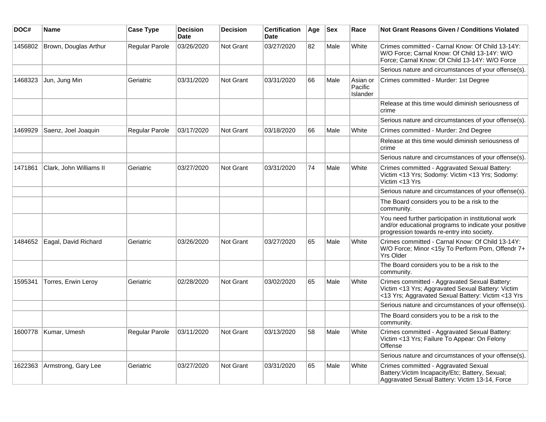| DOC#    | Name                    | <b>Case Type</b>      | <b>Decision</b><br><b>Date</b> | <b>Decision</b>  | <b>Certification</b><br><b>Date</b> | Age | <b>Sex</b> | Race                            | <b>Not Grant Reasons Given / Conditions Violated</b>                                                                                                        |
|---------|-------------------------|-----------------------|--------------------------------|------------------|-------------------------------------|-----|------------|---------------------------------|-------------------------------------------------------------------------------------------------------------------------------------------------------------|
| 1456802 | Brown, Douglas Arthur   | Regular Parole        | 03/26/2020                     | Not Grant        | 03/27/2020                          | 82  | Male       | White                           | Crimes committed - Carnal Know: Of Child 13-14Y:<br>W/O Force; Carnal Know: Of Child 13-14Y: W/O<br>Force; Carnal Know: Of Child 13-14Y: W/O Force          |
|         |                         |                       |                                |                  |                                     |     |            |                                 | Serious nature and circumstances of your offense(s).                                                                                                        |
| 1468323 | Jun, Jung Min           | Geriatric             | 03/31/2020                     | <b>Not Grant</b> | 03/31/2020                          | 66  | Male       | Asian or<br>Pacific<br>Islander | Crimes committed - Murder: 1st Degree                                                                                                                       |
|         |                         |                       |                                |                  |                                     |     |            |                                 | Release at this time would diminish seriousness of<br>crime                                                                                                 |
|         |                         |                       |                                |                  |                                     |     |            |                                 | Serious nature and circumstances of your offense(s).                                                                                                        |
| 1469929 | Saenz, Joel Joaquin     | Regular Parole        | 03/17/2020                     | <b>Not Grant</b> | 03/18/2020                          | 66  | Male       | White                           | Crimes committed - Murder: 2nd Degree                                                                                                                       |
|         |                         |                       |                                |                  |                                     |     |            |                                 | Release at this time would diminish seriousness of<br>crime                                                                                                 |
|         |                         |                       |                                |                  |                                     |     |            |                                 | Serious nature and circumstances of your offense(s).                                                                                                        |
| 1471861 | Clark, John Williams II | Geriatric             | 03/27/2020                     | <b>Not Grant</b> | 03/31/2020                          | 74  | Male       | White                           | Crimes committed - Aggravated Sexual Battery:<br>Victim <13 Yrs; Sodomy: Victim <13 Yrs; Sodomy:<br>Victim <13 Yrs                                          |
|         |                         |                       |                                |                  |                                     |     |            |                                 | Serious nature and circumstances of your offense(s).                                                                                                        |
|         |                         |                       |                                |                  |                                     |     |            |                                 | The Board considers you to be a risk to the<br>community.                                                                                                   |
|         |                         |                       |                                |                  |                                     |     |            |                                 | You need further participation in institutional work<br>and/or educational programs to indicate your positive<br>progression towards re-entry into society. |
| 1484652 | Eagal, David Richard    | Geriatric             | 03/26/2020                     | <b>Not Grant</b> | 03/27/2020                          | 65  | Male       | White                           | Crimes committed - Carnal Know: Of Child 13-14Y:<br>W/O Force; Minor <15y To Perform Porn, Offendr 7+<br><b>Yrs Older</b>                                   |
|         |                         |                       |                                |                  |                                     |     |            |                                 | The Board considers you to be a risk to the<br>community.                                                                                                   |
| 1595341 | Torres, Erwin Leroy     | Geriatric             | 02/28/2020                     | <b>Not Grant</b> | 03/02/2020                          | 65  | Male       | White                           | Crimes committed - Aggravated Sexual Battery:<br>Victim <13 Yrs; Aggravated Sexual Battery: Victim<br><13 Yrs; Aggravated Sexual Battery: Victim <13 Yrs    |
|         |                         |                       |                                |                  |                                     |     |            |                                 | Serious nature and circumstances of your offense(s).                                                                                                        |
|         |                         |                       |                                |                  |                                     |     |            |                                 | The Board considers you to be a risk to the<br>community.                                                                                                   |
| 1600778 | Kumar, Umesh            | <b>Regular Parole</b> | 03/11/2020                     | <b>Not Grant</b> | 03/13/2020                          | 58  | Male       | White                           | Crimes committed - Aggravated Sexual Battery:<br>Victim <13 Yrs; Failure To Appear: On Felony<br>Offense                                                    |
|         |                         |                       |                                |                  |                                     |     |            |                                 | Serious nature and circumstances of your offense(s).                                                                                                        |
| 1622363 | Armstrong, Gary Lee     | Geriatric             | 03/27/2020                     | <b>Not Grant</b> | 03/31/2020                          | 65  | Male       | White                           | Crimes committed - Aggravated Sexual<br>Battery: Victim Incapacity/Etc; Battery, Sexual;<br>Aggravated Sexual Battery: Victim 13-14, Force                  |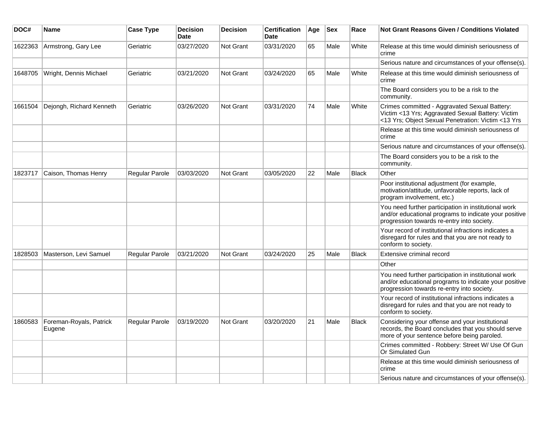| DOC#    | Name                              | <b>Case Type</b>      | <b>Decision</b><br><b>Date</b> | <b>Decision</b>  | <b>Certification</b><br><b>Date</b> | Age | <b>Sex</b> | Race         | Not Grant Reasons Given / Conditions Violated                                                                                                               |
|---------|-----------------------------------|-----------------------|--------------------------------|------------------|-------------------------------------|-----|------------|--------------|-------------------------------------------------------------------------------------------------------------------------------------------------------------|
| 1622363 | Armstrong, Gary Lee               | Geriatric             | 03/27/2020                     | Not Grant        | 03/31/2020                          | 65  | Male       | White        | Release at this time would diminish seriousness of<br>crime                                                                                                 |
|         |                                   |                       |                                |                  |                                     |     |            |              | Serious nature and circumstances of your offense(s).                                                                                                        |
| 1648705 | Wright, Dennis Michael            | Geriatric             | 03/21/2020                     | <b>Not Grant</b> | 03/24/2020                          | 65  | Male       | White        | Release at this time would diminish seriousness of<br>crime                                                                                                 |
|         |                                   |                       |                                |                  |                                     |     |            |              | The Board considers you to be a risk to the<br>community.                                                                                                   |
| 1661504 | Dejongh, Richard Kenneth          | Geriatric             | 03/26/2020                     | <b>Not Grant</b> | 03/31/2020                          | 74  | Male       | White        | Crimes committed - Aggravated Sexual Battery:<br>Victim <13 Yrs; Aggravated Sexual Battery: Victim<br><13 Yrs; Object Sexual Penetration: Victim <13 Yrs    |
|         |                                   |                       |                                |                  |                                     |     |            |              | Release at this time would diminish seriousness of<br>crime                                                                                                 |
|         |                                   |                       |                                |                  |                                     |     |            |              | Serious nature and circumstances of your offense(s).                                                                                                        |
|         |                                   |                       |                                |                  |                                     |     |            |              | The Board considers you to be a risk to the<br>community.                                                                                                   |
| 1823717 | Caison, Thomas Henry              | Regular Parole        | 03/03/2020                     | <b>Not Grant</b> | 03/05/2020                          | 22  | Male       | <b>Black</b> | Other                                                                                                                                                       |
|         |                                   |                       |                                |                  |                                     |     |            |              | Poor institutional adjustment (for example,<br>motivation/attitude, unfavorable reports, lack of<br>program involvement, etc.)                              |
|         |                                   |                       |                                |                  |                                     |     |            |              | You need further participation in institutional work<br>and/or educational programs to indicate your positive<br>progression towards re-entry into society. |
|         |                                   |                       |                                |                  |                                     |     |            |              | Your record of institutional infractions indicates a<br>disregard for rules and that you are not ready to<br>conform to society.                            |
| 1828503 | Masterson, Levi Samuel            | Regular Parole        | 03/21/2020                     | <b>Not Grant</b> | 03/24/2020                          | 25  | Male       | <b>Black</b> | Extensive criminal record                                                                                                                                   |
|         |                                   |                       |                                |                  |                                     |     |            |              | Other                                                                                                                                                       |
|         |                                   |                       |                                |                  |                                     |     |            |              | You need further participation in institutional work<br>and/or educational programs to indicate your positive<br>progression towards re-entry into society. |
|         |                                   |                       |                                |                  |                                     |     |            |              | Your record of institutional infractions indicates a<br>disregard for rules and that you are not ready to<br>conform to society.                            |
| 1860583 | Foreman-Royals, Patrick<br>Eugene | <b>Regular Parole</b> | 03/19/2020                     | Not Grant        | 03/20/2020                          | 21  | Male       | <b>Black</b> | Considering your offense and your institutional<br>records, the Board concludes that you should serve<br>more of your sentence before being paroled.        |
|         |                                   |                       |                                |                  |                                     |     |            |              | Crimes committed - Robbery: Street W/ Use Of Gun<br>Or Simulated Gun                                                                                        |
|         |                                   |                       |                                |                  |                                     |     |            |              | Release at this time would diminish seriousness of<br>crime                                                                                                 |
|         |                                   |                       |                                |                  |                                     |     |            |              | Serious nature and circumstances of your offense(s).                                                                                                        |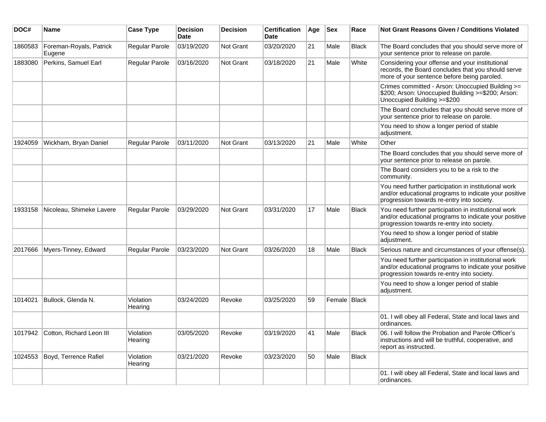| DOC#    | Name                              | <b>Case Type</b>      | <b>Decision</b><br><b>Date</b> | <b>Decision</b>  | <b>Certification</b><br><b>Date</b> | Age | <b>Sex</b>     | Race         | <b>Not Grant Reasons Given / Conditions Violated</b>                                                                                                        |
|---------|-----------------------------------|-----------------------|--------------------------------|------------------|-------------------------------------|-----|----------------|--------------|-------------------------------------------------------------------------------------------------------------------------------------------------------------|
| 1860583 | Foreman-Royals, Patrick<br>Eugene | Regular Parole        | 03/19/2020                     | Not Grant        | 03/20/2020                          | 21  | Male           | <b>Black</b> | The Board concludes that you should serve more of<br>your sentence prior to release on parole.                                                              |
| 1883080 | Perkins, Samuel Earl              | Regular Parole        | 03/16/2020                     | Not Grant        | 03/18/2020                          | 21  | Male           | White        | Considering your offense and your institutional<br>records, the Board concludes that you should serve<br>more of your sentence before being paroled.        |
|         |                                   |                       |                                |                  |                                     |     |                |              | Crimes committed - Arson: Unoccupied Building >=<br>\$200; Arson: Unoccupied Building >=\$200; Arson:<br>Unoccupied Building >=\$200                        |
|         |                                   |                       |                                |                  |                                     |     |                |              | The Board concludes that you should serve more of<br>your sentence prior to release on parole.                                                              |
|         |                                   |                       |                                |                  |                                     |     |                |              | You need to show a longer period of stable<br>adjustment.                                                                                                   |
| 1924059 | Wickham, Bryan Daniel             | <b>Regular Parole</b> | 03/11/2020                     | <b>Not Grant</b> | 03/13/2020                          | 21  | Male           | White        | Other                                                                                                                                                       |
|         |                                   |                       |                                |                  |                                     |     |                |              | The Board concludes that you should serve more of<br>your sentence prior to release on parole.                                                              |
|         |                                   |                       |                                |                  |                                     |     |                |              | The Board considers you to be a risk to the<br>community.                                                                                                   |
|         |                                   |                       |                                |                  |                                     |     |                |              | You need further participation in institutional work<br>and/or educational programs to indicate your positive<br>progression towards re-entry into society. |
| 1933158 | Nicoleau, Shimeke Lavere          | Regular Parole        | 03/29/2020                     | <b>Not Grant</b> | 03/31/2020                          | 17  | Male           | <b>Black</b> | You need further participation in institutional work<br>and/or educational programs to indicate your positive<br>progression towards re-entry into society. |
|         |                                   |                       |                                |                  |                                     |     |                |              | You need to show a longer period of stable<br>adjustment.                                                                                                   |
| 2017666 | Myers-Tinney, Edward              | Regular Parole        | 03/23/2020                     | <b>Not Grant</b> | 03/26/2020                          | 18  | Male           | <b>Black</b> | Serious nature and circumstances of your offense(s).                                                                                                        |
|         |                                   |                       |                                |                  |                                     |     |                |              | You need further participation in institutional work<br>and/or educational programs to indicate your positive<br>progression towards re-entry into society. |
|         |                                   |                       |                                |                  |                                     |     |                |              | You need to show a longer period of stable<br>adjustment.                                                                                                   |
| 1014021 | Bullock, Glenda N.                | Violation<br>Hearing  | 03/24/2020                     | Revoke           | 03/25/2020                          | 59  | Female   Black |              |                                                                                                                                                             |
|         |                                   |                       |                                |                  |                                     |     |                |              | 01. I will obey all Federal, State and local laws and<br>ordinances.                                                                                        |
| 1017942 | Cotton, Richard Leon III          | Violation<br>Hearing  | 03/05/2020                     | Revoke           | 03/19/2020                          | 41  | Male           | <b>Black</b> | 06. I will follow the Probation and Parole Officer's<br>instructions and will be truthful, cooperative, and<br>report as instructed.                        |
| 1024553 | Boyd, Terrence Rafiel             | Violation<br>Hearing  | 03/21/2020                     | Revoke           | 03/23/2020                          | 50  | Male           | <b>Black</b> |                                                                                                                                                             |
|         |                                   |                       |                                |                  |                                     |     |                |              | 01. I will obey all Federal, State and local laws and<br>ordinances.                                                                                        |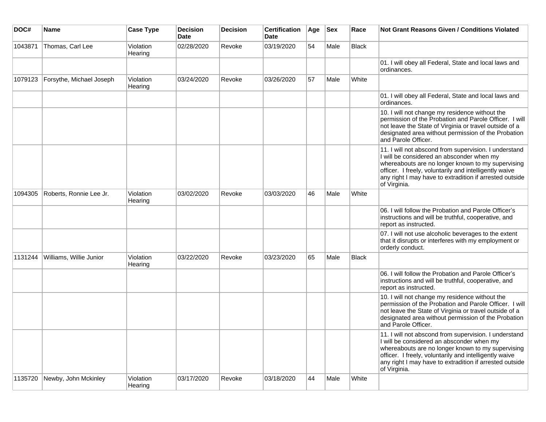| DOC#    | <b>Name</b>              | <b>Case Type</b>     | <b>Decision</b><br><b>Date</b> | <b>Decision</b> | <b>Certification</b><br><b>Date</b> | Age | <b>Sex</b> | Race         | <b>Not Grant Reasons Given / Conditions Violated</b>                                                                                                                                                                                                                                         |
|---------|--------------------------|----------------------|--------------------------------|-----------------|-------------------------------------|-----|------------|--------------|----------------------------------------------------------------------------------------------------------------------------------------------------------------------------------------------------------------------------------------------------------------------------------------------|
| 1043871 | Thomas, Carl Lee         | Violation<br>Hearing | 02/28/2020                     | Revoke          | 03/19/2020                          | 54  | Male       | Black        |                                                                                                                                                                                                                                                                                              |
|         |                          |                      |                                |                 |                                     |     |            |              | 01. I will obey all Federal, State and local laws and<br>ordinances.                                                                                                                                                                                                                         |
| 1079123 | Forsythe, Michael Joseph | Violation<br>Hearing | 03/24/2020                     | Revoke          | 03/26/2020                          | 57  | Male       | White        |                                                                                                                                                                                                                                                                                              |
|         |                          |                      |                                |                 |                                     |     |            |              | 01. I will obey all Federal, State and local laws and<br>ordinances.                                                                                                                                                                                                                         |
|         |                          |                      |                                |                 |                                     |     |            |              | 10. I will not change my residence without the<br>permission of the Probation and Parole Officer. I will<br>not leave the State of Virginia or travel outside of a<br>designated area without permission of the Probation<br>and Parole Officer.                                             |
|         |                          |                      |                                |                 |                                     |     |            |              | 11. I will not abscond from supervision. I understand<br>I will be considered an absconder when my<br>whereabouts are no longer known to my supervising<br>officer. I freely, voluntarily and intelligently waive<br>any right I may have to extradition if arrested outside<br>of Virginia. |
| 1094305 | Roberts, Ronnie Lee Jr.  | Violation<br>Hearing | 03/02/2020                     | Revoke          | 03/03/2020                          | 46  | Male       | White        |                                                                                                                                                                                                                                                                                              |
|         |                          |                      |                                |                 |                                     |     |            |              | 06. I will follow the Probation and Parole Officer's<br>instructions and will be truthful, cooperative, and<br>report as instructed.                                                                                                                                                         |
|         |                          |                      |                                |                 |                                     |     |            |              | 07. I will not use alcoholic beverages to the extent<br>that it disrupts or interferes with my employment or<br>orderly conduct.                                                                                                                                                             |
| 1131244 | Williams, Willie Junior  | Violation<br>Hearing | 03/22/2020                     | Revoke          | 03/23/2020                          | 65  | Male       | <b>Black</b> |                                                                                                                                                                                                                                                                                              |
|         |                          |                      |                                |                 |                                     |     |            |              | 06. I will follow the Probation and Parole Officer's<br>instructions and will be truthful, cooperative, and<br>report as instructed.                                                                                                                                                         |
|         |                          |                      |                                |                 |                                     |     |            |              | 10. I will not change my residence without the<br>permission of the Probation and Parole Officer. I will<br>not leave the State of Virginia or travel outside of a<br>designated area without permission of the Probation<br>and Parole Officer.                                             |
|         |                          |                      |                                |                 |                                     |     |            |              | 11. I will not abscond from supervision. I understand<br>I will be considered an absconder when my<br>whereabouts are no longer known to my supervising<br>officer. I freely, voluntarily and intelligently waive<br>any right I may have to extradition if arrested outside<br>of Virginia. |
| 1135720 | Newby, John Mckinley     | Violation<br>Hearing | 03/17/2020                     | Revoke          | 03/18/2020                          | 44  | Male       | White        |                                                                                                                                                                                                                                                                                              |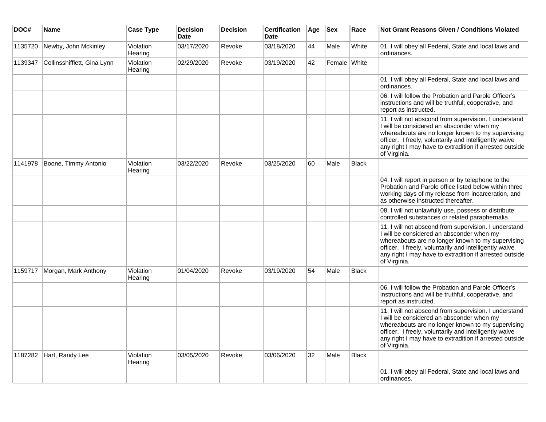| DOC#    | <b>Name</b>                 | <b>Case Type</b>     | <b>Decision</b><br><b>Date</b> | <b>Decision</b> | <b>Certification</b><br><b>Date</b> | Age | <b>Sex</b>   | Race         | <b>Not Grant Reasons Given / Conditions Violated</b>                                                                                                                                                                                                                                         |
|---------|-----------------------------|----------------------|--------------------------------|-----------------|-------------------------------------|-----|--------------|--------------|----------------------------------------------------------------------------------------------------------------------------------------------------------------------------------------------------------------------------------------------------------------------------------------------|
| 1135720 | Newby, John Mckinley        | Violation<br>Hearing | 03/17/2020                     | Revoke          | 03/18/2020                          | 44  | Male         | White        | 01. I will obey all Federal, State and local laws and<br>ordinances.                                                                                                                                                                                                                         |
| 1139347 | Collinsshifflett, Gina Lynn | Violation<br>Hearing | 02/29/2020                     | Revoke          | 03/19/2020                          | 42  | Female White |              |                                                                                                                                                                                                                                                                                              |
|         |                             |                      |                                |                 |                                     |     |              |              | 01. I will obey all Federal, State and local laws and<br>ordinances.                                                                                                                                                                                                                         |
|         |                             |                      |                                |                 |                                     |     |              |              | 06. I will follow the Probation and Parole Officer's<br>instructions and will be truthful, cooperative, and<br>report as instructed.                                                                                                                                                         |
|         |                             |                      |                                |                 |                                     |     |              |              | 11. I will not abscond from supervision. I understand<br>I will be considered an absconder when my<br>whereabouts are no longer known to my supervising<br>officer. I freely, voluntarily and intelligently waive<br>any right I may have to extradition if arrested outside<br>of Virginia. |
| 1141978 | Boone, Timmy Antonio        | Violation<br>Hearing | 03/22/2020                     | Revoke          | 03/25/2020                          | 60  | Male         | <b>Black</b> |                                                                                                                                                                                                                                                                                              |
|         |                             |                      |                                |                 |                                     |     |              |              | 04. I will report in person or by telephone to the<br>Probation and Parole office listed below within three<br>working days of my release from incarceration, and<br>as otherwise instructed thereafter.                                                                                     |
|         |                             |                      |                                |                 |                                     |     |              |              | 08. I will not unlawfully use, possess or distribute<br>controlled substances or related paraphernalia.                                                                                                                                                                                      |
|         |                             |                      |                                |                 |                                     |     |              |              | 11. I will not abscond from supervision. I understand<br>I will be considered an absconder when my<br>whereabouts are no longer known to my supervising<br>officer. I freely, voluntarily and intelligently waive<br>any right I may have to extradition if arrested outside<br>of Virginia. |
| 1159717 | Morgan, Mark Anthony        | Violation<br>Hearing | 01/04/2020                     | Revoke          | 03/19/2020                          | 54  | Male         | Black        |                                                                                                                                                                                                                                                                                              |
|         |                             |                      |                                |                 |                                     |     |              |              | 06. I will follow the Probation and Parole Officer's<br>instructions and will be truthful, cooperative, and<br>report as instructed.                                                                                                                                                         |
|         |                             |                      |                                |                 |                                     |     |              |              | 11. I will not abscond from supervision. I understand<br>I will be considered an absconder when my<br>whereabouts are no longer known to my supervising<br>officer. I freely, voluntarily and intelligently waive<br>any right I may have to extradition if arrested outside<br>of Virginia. |
| 1187282 | Hart, Randy Lee             | Violation<br>Hearing | 03/05/2020                     | Revoke          | 03/06/2020                          | 32  | Male         | <b>Black</b> |                                                                                                                                                                                                                                                                                              |
|         |                             |                      |                                |                 |                                     |     |              |              | 01. I will obey all Federal, State and local laws and<br>ordinances.                                                                                                                                                                                                                         |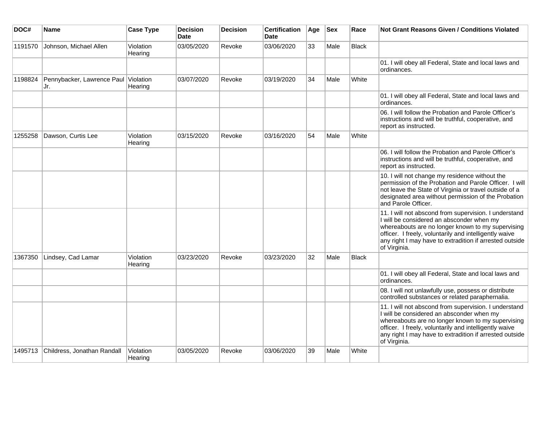| DOC#    | Name                                        | <b>Case Type</b>     | <b>Decision</b><br><b>Date</b> | <b>Decision</b> | <b>Certification</b><br><b>Date</b> | Age | <b>Sex</b> | Race         | <b>Not Grant Reasons Given / Conditions Violated</b>                                                                                                                                                                                                                                         |
|---------|---------------------------------------------|----------------------|--------------------------------|-----------------|-------------------------------------|-----|------------|--------------|----------------------------------------------------------------------------------------------------------------------------------------------------------------------------------------------------------------------------------------------------------------------------------------------|
| 1191570 | Johnson, Michael Allen                      | Violation<br>Hearing | 03/05/2020                     | Revoke          | 03/06/2020                          | 33  | Male       | Black        |                                                                                                                                                                                                                                                                                              |
|         |                                             |                      |                                |                 |                                     |     |            |              | 01. I will obey all Federal, State and local laws and<br>ordinances.                                                                                                                                                                                                                         |
| 1198824 | Pennybacker, Lawrence Paul Violation<br>Jr. | Hearing              | 03/07/2020                     | Revoke          | 03/19/2020                          | 34  | Male       | White        |                                                                                                                                                                                                                                                                                              |
|         |                                             |                      |                                |                 |                                     |     |            |              | 01. I will obey all Federal, State and local laws and<br>ordinances.                                                                                                                                                                                                                         |
|         |                                             |                      |                                |                 |                                     |     |            |              | 06. I will follow the Probation and Parole Officer's<br>instructions and will be truthful, cooperative, and<br>report as instructed.                                                                                                                                                         |
| 1255258 | Dawson, Curtis Lee                          | Violation<br>Hearing | 03/15/2020                     | Revoke          | 03/16/2020                          | 54  | Male       | White        |                                                                                                                                                                                                                                                                                              |
|         |                                             |                      |                                |                 |                                     |     |            |              | 06. I will follow the Probation and Parole Officer's<br>instructions and will be truthful, cooperative, and<br>report as instructed.                                                                                                                                                         |
|         |                                             |                      |                                |                 |                                     |     |            |              | 10. I will not change my residence without the<br>permission of the Probation and Parole Officer. I will<br>not leave the State of Virginia or travel outside of a<br>designated area without permission of the Probation<br>and Parole Officer.                                             |
|         |                                             |                      |                                |                 |                                     |     |            |              | 11. I will not abscond from supervision. I understand<br>I will be considered an absconder when my<br>whereabouts are no longer known to my supervising<br>officer. I freely, voluntarily and intelligently waive<br>any right I may have to extradition if arrested outside<br>of Virginia. |
| 1367350 | Lindsey, Cad Lamar                          | Violation<br>Hearing | 03/23/2020                     | Revoke          | 03/23/2020                          | 32  | Male       | <b>Black</b> |                                                                                                                                                                                                                                                                                              |
|         |                                             |                      |                                |                 |                                     |     |            |              | 01. I will obey all Federal, State and local laws and<br>ordinances.                                                                                                                                                                                                                         |
|         |                                             |                      |                                |                 |                                     |     |            |              | 08. I will not unlawfully use, possess or distribute<br>controlled substances or related paraphernalia.                                                                                                                                                                                      |
|         |                                             |                      |                                |                 |                                     |     |            |              | 11. I will not abscond from supervision. I understand<br>I will be considered an absconder when my<br>whereabouts are no longer known to my supervising<br>officer. I freely, voluntarily and intelligently waive<br>any right I may have to extradition if arrested outside<br>of Virginia. |
| 1495713 | Childress, Jonathan Randall                 | Violation<br>Hearing | 03/05/2020                     | Revoke          | 03/06/2020                          | 39  | Male       | White        |                                                                                                                                                                                                                                                                                              |